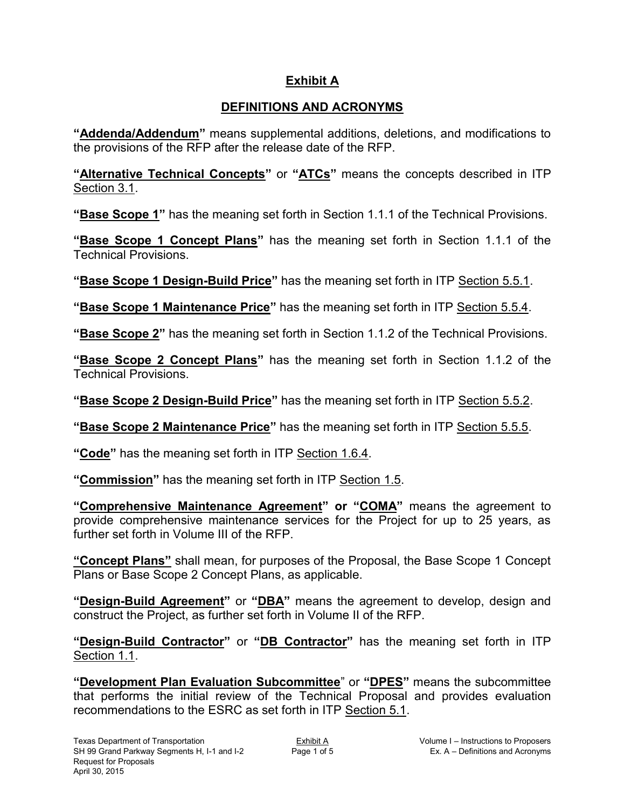## **Exhibit A**

## **DEFINITIONS AND ACRONYMS**

**"Addenda/Addendum"** means supplemental additions, deletions, and modifications to the provisions of the RFP after the release date of the RFP.

**"Alternative Technical Concepts"** or **"ATCs"** means the concepts described in ITP Section 3.1.

**"Base Scope 1"** has the meaning set forth in Section 1.1.1 of the Technical Provisions.

**"Base Scope 1 Concept Plans"** has the meaning set forth in Section 1.1.1 of the Technical Provisions.

**"Base Scope 1 Design-Build Price"** has the meaning set forth in ITP Section 5.5.1.

**"Base Scope 1 Maintenance Price"** has the meaning set forth in ITP Section 5.5.4.

**"Base Scope 2"** has the meaning set forth in Section 1.1.2 of the Technical Provisions.

**"Base Scope 2 Concept Plans"** has the meaning set forth in Section 1.1.2 of the Technical Provisions.

**"Base Scope 2 Design-Build Price"** has the meaning set forth in ITP Section 5.5.2.

**"Base Scope 2 Maintenance Price"** has the meaning set forth in ITP Section 5.5.5.

**"Code"** has the meaning set forth in ITP Section 1.6.4.

**"Commission"** has the meaning set forth in ITP Section 1.5.

**"Comprehensive Maintenance Agreement" or "COMA"** means the agreement to provide comprehensive maintenance services for the Project for up to 25 years, as further set forth in Volume III of the RFP.

**"Concept Plans"** shall mean, for purposes of the Proposal, the Base Scope 1 Concept Plans or Base Scope 2 Concept Plans, as applicable.

**"Design-Build Agreement"** or **"DBA"** means the agreement to develop, design and construct the Project, as further set forth in Volume II of the RFP.

**"Design-Build Contractor"** or **"DB Contractor"** has the meaning set forth in ITP Section 1.1.

**"Development Plan Evaluation Subcommittee**" or **"DPES"** means the subcommittee that performs the initial review of the Technical Proposal and provides evaluation recommendations to the ESRC as set forth in ITP Section 5.1.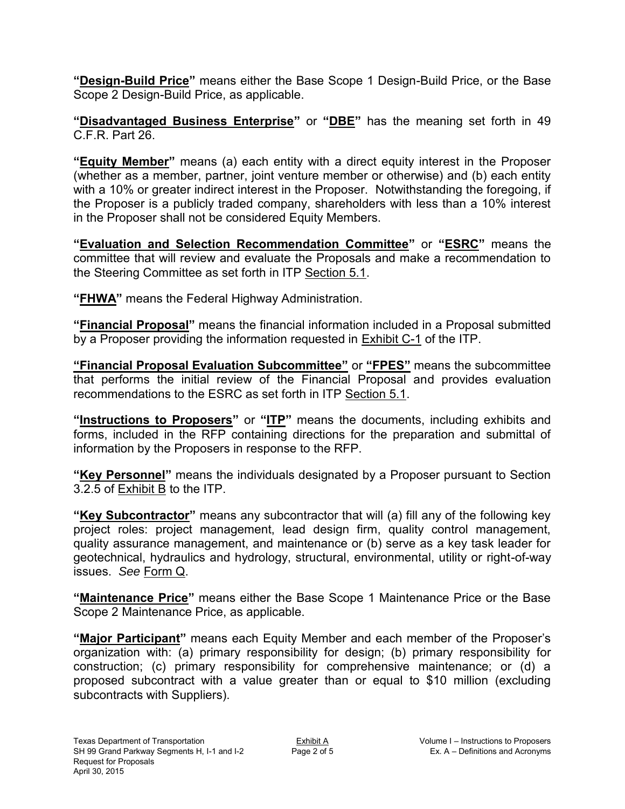**"Design-Build Price"** means either the Base Scope 1 Design-Build Price, or the Base Scope 2 Design-Build Price, as applicable.

**"Disadvantaged Business Enterprise"** or **"DBE"** has the meaning set forth in 49 C.F.R. Part 26.

**"Equity Member"** means (a) each entity with a direct equity interest in the Proposer (whether as a member, partner, joint venture member or otherwise) and (b) each entity with a 10% or greater indirect interest in the Proposer. Notwithstanding the foregoing, if the Proposer is a publicly traded company, shareholders with less than a 10% interest in the Proposer shall not be considered Equity Members.

**"Evaluation and Selection Recommendation Committee"** or **"ESRC"** means the committee that will review and evaluate the Proposals and make a recommendation to the Steering Committee as set forth in ITP Section 5.1.

**"FHWA"** means the Federal Highway Administration.

**"Financial Proposal"** means the financial information included in a Proposal submitted by a Proposer providing the information requested in Exhibit C-1 of the ITP.

**"Financial Proposal Evaluation Subcommittee"** or **"FPES"** means the subcommittee that performs the initial review of the Financial Proposal and provides evaluation recommendations to the ESRC as set forth in ITP Section 5.1.

**"Instructions to Proposers"** or **"ITP"** means the documents, including exhibits and forms, included in the RFP containing directions for the preparation and submittal of information by the Proposers in response to the RFP.

**"Key Personnel"** means the individuals designated by a Proposer pursuant to Section 3.2.5 of Exhibit B to the ITP.

**"Key Subcontractor"** means any subcontractor that will (a) fill any of the following key project roles: project management, lead design firm, quality control management, quality assurance management, and maintenance or (b) serve as a key task leader for geotechnical, hydraulics and hydrology, structural, environmental, utility or right-of-way issues. *See* Form Q.

**"Maintenance Price"** means either the Base Scope 1 Maintenance Price or the Base Scope 2 Maintenance Price, as applicable.

**"Major Participant"** means each Equity Member and each member of the Proposer's organization with: (a) primary responsibility for design; (b) primary responsibility for construction; (c) primary responsibility for comprehensive maintenance; or (d) a proposed subcontract with a value greater than or equal to \$10 million (excluding subcontracts with Suppliers).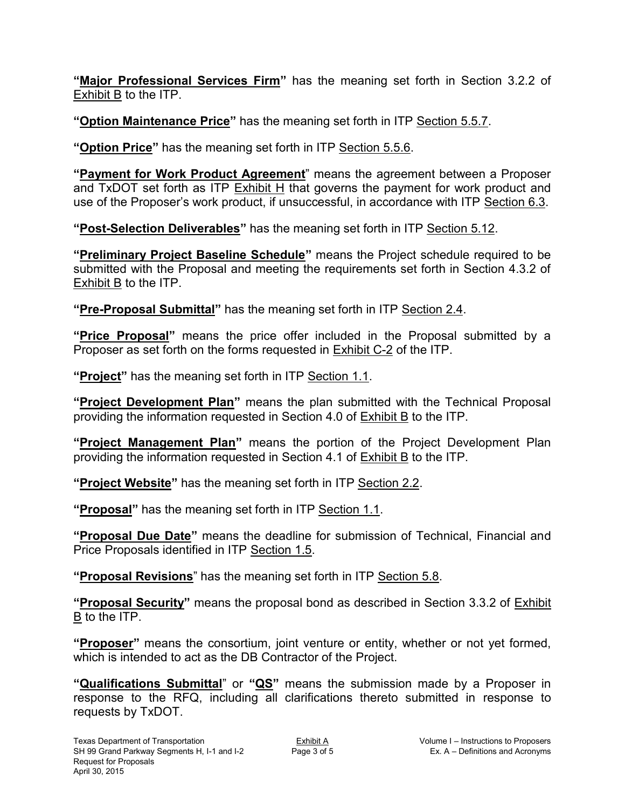**"Major Professional Services Firm"** has the meaning set forth in Section 3.2.2 of Exhibit B to the ITP.

**"Option Maintenance Price"** has the meaning set forth in ITP Section 5.5.7.

**"Option Price"** has the meaning set forth in ITP Section 5.5.6.

**"Payment for Work Product Agreement**" means the agreement between a Proposer and TxDOT set forth as ITP Exhibit H that governs the payment for work product and use of the Proposer's work product, if unsuccessful, in accordance with ITP Section 6.3.

**"Post-Selection Deliverables"** has the meaning set forth in ITP Section 5.12.

**"Preliminary Project Baseline Schedule"** means the Project schedule required to be submitted with the Proposal and meeting the requirements set forth in Section 4.3.2 of Exhibit B to the ITP.

**"Pre-Proposal Submittal"** has the meaning set forth in ITP Section 2.4.

**"Price Proposal"** means the price offer included in the Proposal submitted by a Proposer as set forth on the forms requested in Exhibit C-2 of the ITP.

**"Project"** has the meaning set forth in ITP Section 1.1.

**"Project Development Plan"** means the plan submitted with the Technical Proposal providing the information requested in Section 4.0 of Exhibit B to the ITP.

**"Project Management Plan"** means the portion of the Project Development Plan providing the information requested in Section 4.1 of Exhibit B to the ITP.

**"Project Website"** has the meaning set forth in ITP Section 2.2.

**"Proposal"** has the meaning set forth in ITP Section 1.1.

**"Proposal Due Date"** means the deadline for submission of Technical, Financial and Price Proposals identified in ITP Section 1.5.

**"Proposal Revisions**" has the meaning set forth in ITP Section 5.8.

**"Proposal Security"** means the proposal bond as described in Section 3.3.2 of Exhibit B to the ITP.

**"Proposer"** means the consortium, joint venture or entity, whether or not yet formed, which is intended to act as the DB Contractor of the Project.

**"Qualifications Submittal**" or **"QS"** means the submission made by a Proposer in response to the RFQ, including all clarifications thereto submitted in response to requests by TxDOT.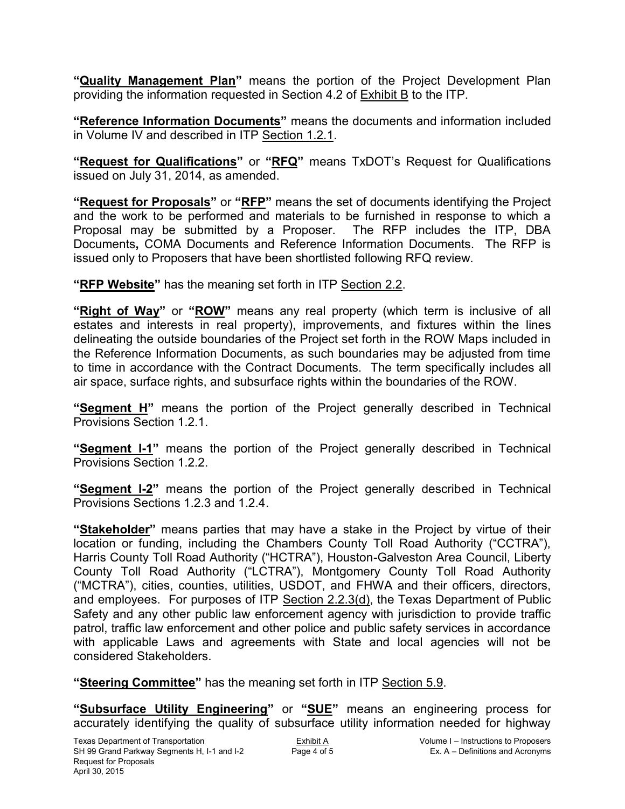**"Quality Management Plan"** means the portion of the Project Development Plan providing the information requested in Section 4.2 of Exhibit B to the ITP.

**"Reference Information Documents"** means the documents and information included in Volume IV and described in ITP Section 1.2.1.

**"Request for Qualifications"** or **"RFQ"** means TxDOT's Request for Qualifications issued on July 31, 2014, as amended.

**"Request for Proposals"** or **"RFP"** means the set of documents identifying the Project and the work to be performed and materials to be furnished in response to which a Proposal may be submitted by a Proposer. The RFP includes the ITP, DBA Documents**,** COMA Documents and Reference Information Documents. The RFP is issued only to Proposers that have been shortlisted following RFQ review.

**"RFP Website"** has the meaning set forth in ITP Section 2.2.

**"Right of Way"** or **"ROW"** means any real property (which term is inclusive of all estates and interests in real property), improvements, and fixtures within the lines delineating the outside boundaries of the Project set forth in the ROW Maps included in the Reference Information Documents, as such boundaries may be adjusted from time to time in accordance with the Contract Documents. The term specifically includes all air space, surface rights, and subsurface rights within the boundaries of the ROW.

**"Segment H"** means the portion of the Project generally described in Technical Provisions Section 1.2.1.

**"Segment I-1"** means the portion of the Project generally described in Technical Provisions Section 1.2.2.

**"Segment I-2"** means the portion of the Project generally described in Technical Provisions Sections 1.2.3 and 1.2.4.

**"Stakeholder"** means parties that may have a stake in the Project by virtue of their location or funding, including the Chambers County Toll Road Authority ("CCTRA"), Harris County Toll Road Authority ("HCTRA"), Houston-Galveston Area Council, Liberty County Toll Road Authority ("LCTRA"), Montgomery County Toll Road Authority ("MCTRA"), cities, counties, utilities, USDOT, and FHWA and their officers, directors, and employees. For purposes of ITP Section 2.2.3(d), the Texas Department of Public Safety and any other public law enforcement agency with jurisdiction to provide traffic patrol, traffic law enforcement and other police and public safety services in accordance with applicable Laws and agreements with State and local agencies will not be considered Stakeholders.

**"Steering Committee"** has the meaning set forth in ITP Section 5.9.

**"Subsurface Utility Engineering"** or **"SUE"** means an engineering process for accurately identifying the quality of subsurface utility information needed for highway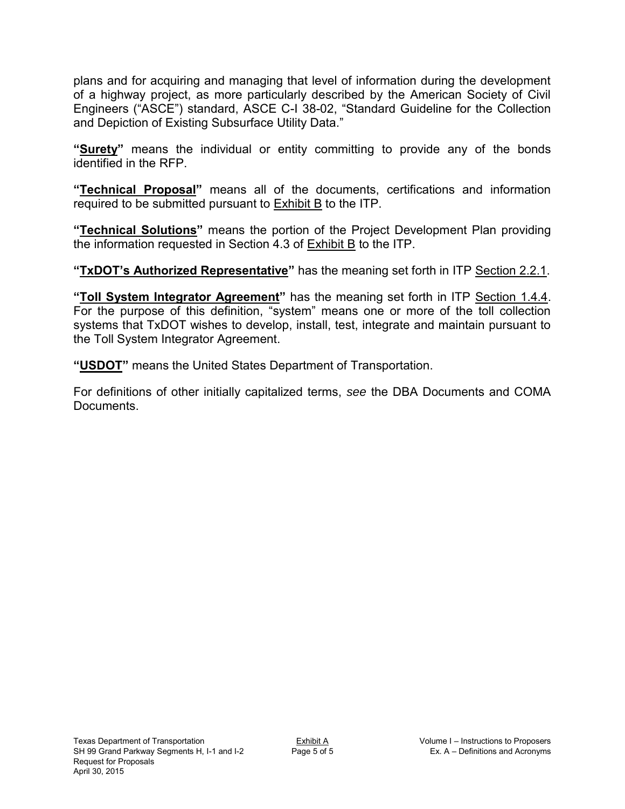plans and for acquiring and managing that level of information during the development of a highway project, as more particularly described by the American Society of Civil Engineers ("ASCE") standard, ASCE C-I 38-02, "Standard Guideline for the Collection and Depiction of Existing Subsurface Utility Data."

**"Surety"** means the individual or entity committing to provide any of the bonds identified in the RFP.

**"Technical Proposal"** means all of the documents, certifications and information required to be submitted pursuant to **Exhibit B** to the ITP.

**"Technical Solutions"** means the portion of the Project Development Plan providing the information requested in Section 4.3 of Exhibit B to the ITP.

**"TxDOT's Authorized Representative"** has the meaning set forth in ITP Section 2.2.1.

**"Toll System Integrator Agreement"** has the meaning set forth in ITP Section 1.4.4. For the purpose of this definition, "system" means one or more of the toll collection systems that TxDOT wishes to develop, install, test, integrate and maintain pursuant to the Toll System Integrator Agreement.

**"USDOT"** means the United States Department of Transportation.

For definitions of other initially capitalized terms, *see* the DBA Documents and COMA Documents.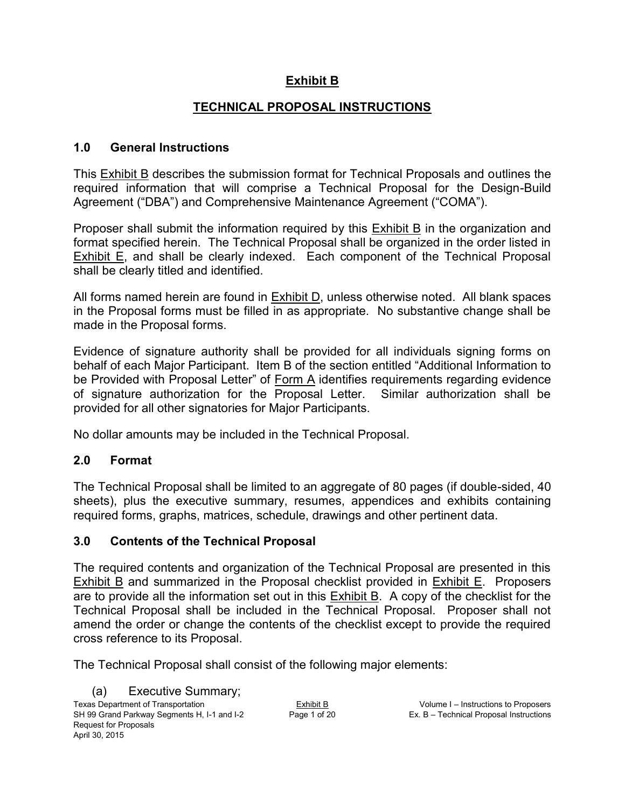## **Exhibit B**

## **TECHNICAL PROPOSAL INSTRUCTIONS**

#### **1.0 General Instructions**

This Exhibit B describes the submission format for Technical Proposals and outlines the required information that will comprise a Technical Proposal for the Design-Build Agreement ("DBA") and Comprehensive Maintenance Agreement ("COMA").

Proposer shall submit the information required by this Exhibit B in the organization and format specified herein. The Technical Proposal shall be organized in the order listed in Exhibit E, and shall be clearly indexed. Each component of the Technical Proposal shall be clearly titled and identified.

All forms named herein are found in Exhibit D, unless otherwise noted. All blank spaces in the Proposal forms must be filled in as appropriate. No substantive change shall be made in the Proposal forms.

Evidence of signature authority shall be provided for all individuals signing forms on behalf of each Major Participant. Item B of the section entitled "Additional Information to be Provided with Proposal Letter" of Form A identifies requirements regarding evidence of signature authorization for the Proposal Letter. Similar authorization shall be provided for all other signatories for Major Participants.

No dollar amounts may be included in the Technical Proposal.

## **2.0 Format**

The Technical Proposal shall be limited to an aggregate of 80 pages (if double-sided, 40 sheets), plus the executive summary, resumes, appendices and exhibits containing required forms, graphs, matrices, schedule, drawings and other pertinent data.

#### **3.0 Contents of the Technical Proposal**

The required contents and organization of the Technical Proposal are presented in this Exhibit B and summarized in the Proposal checklist provided in Exhibit E. Proposers are to provide all the information set out in this  $Exhibit B$ . A copy of the checklist for the Technical Proposal shall be included in the Technical Proposal. Proposer shall not amend the order or change the contents of the checklist except to provide the required cross reference to its Proposal.

The Technical Proposal shall consist of the following major elements:

Texas Department of Transportation Exhibit B Exhibit B Volume I – Instructions to Proposers<br>SH 99 Grand Parkway Segments H, I-1 and I-2 Page 1 of 20 Ex. B – Technical Proposal Instructions SH 99 Grand Parkway Segments H, I-1 and I-2 Page 1 of 20 Ex. B – Technical Proposal Instructions Request for Proposals April 30, 2015 (a) Executive Summary;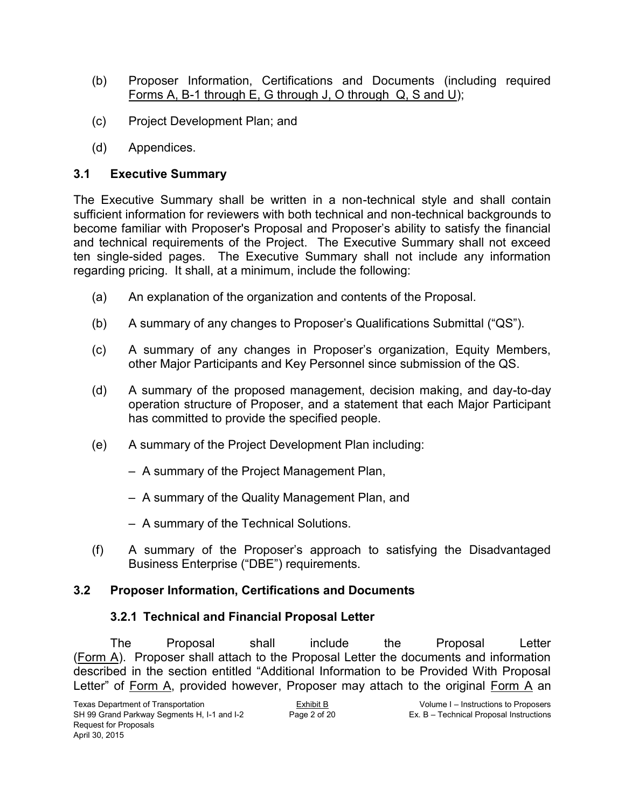- (b) Proposer Information, Certifications and Documents (including required Forms A, B-1 through E, G through J, O through Q, S and U);
- (c) Project Development Plan; and
- (d) Appendices.

## **3.1 Executive Summary**

The Executive Summary shall be written in a non-technical style and shall contain sufficient information for reviewers with both technical and non-technical backgrounds to become familiar with Proposer's Proposal and Proposer's ability to satisfy the financial and technical requirements of the Project. The Executive Summary shall not exceed ten single-sided pages. The Executive Summary shall not include any information regarding pricing. It shall, at a minimum, include the following:

- (a) An explanation of the organization and contents of the Proposal.
- (b) A summary of any changes to Proposer's Qualifications Submittal ("QS").
- (c) A summary of any changes in Proposer's organization, Equity Members, other Major Participants and Key Personnel since submission of the QS.
- (d) A summary of the proposed management, decision making, and day-to-day operation structure of Proposer, and a statement that each Major Participant has committed to provide the specified people.
- (e) A summary of the Project Development Plan including:
	- A summary of the Project Management Plan,
	- A summary of the Quality Management Plan, and
	- A summary of the Technical Solutions.
- (f) A summary of the Proposer's approach to satisfying the Disadvantaged Business Enterprise ("DBE") requirements.

## **3.2 Proposer Information, Certifications and Documents**

## **3.2.1 Technical and Financial Proposal Letter**

The Proposal shall include the Proposal Letter (Form A). Proposer shall attach to the Proposal Letter the documents and information described in the section entitled "Additional Information to be Provided With Proposal Letter" of Form A, provided however, Proposer may attach to the original Form A an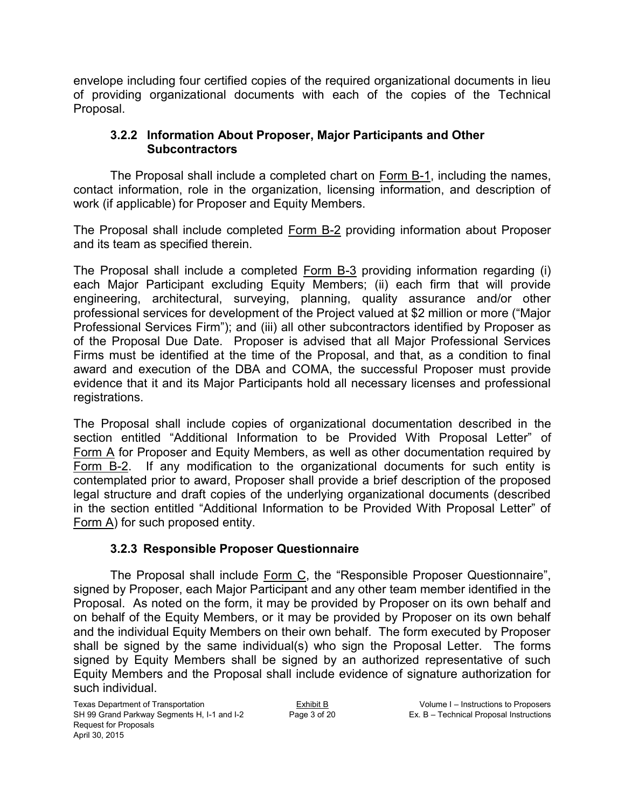envelope including four certified copies of the required organizational documents in lieu of providing organizational documents with each of the copies of the Technical Proposal.

## **3.2.2 Information About Proposer, Major Participants and Other Subcontractors**

The Proposal shall include a completed chart on Form B-1, including the names, contact information, role in the organization, licensing information, and description of work (if applicable) for Proposer and Equity Members.

The Proposal shall include completed Form B-2 providing information about Proposer and its team as specified therein.

The Proposal shall include a completed Form B-3 providing information regarding (i) each Major Participant excluding Equity Members; (ii) each firm that will provide engineering, architectural, surveying, planning, quality assurance and/or other professional services for development of the Project valued at \$2 million or more ("Major Professional Services Firm"); and (iii) all other subcontractors identified by Proposer as of the Proposal Due Date. Proposer is advised that all Major Professional Services Firms must be identified at the time of the Proposal, and that, as a condition to final award and execution of the DBA and COMA, the successful Proposer must provide evidence that it and its Major Participants hold all necessary licenses and professional registrations.

The Proposal shall include copies of organizational documentation described in the section entitled "Additional Information to be Provided With Proposal Letter" of Form A for Proposer and Equity Members, as well as other documentation required by Form B-2. If any modification to the organizational documents for such entity is contemplated prior to award, Proposer shall provide a brief description of the proposed legal structure and draft copies of the underlying organizational documents (described in the section entitled "Additional Information to be Provided With Proposal Letter" of Form A) for such proposed entity.

## **3.2.3 Responsible Proposer Questionnaire**

The Proposal shall include Form C, the "Responsible Proposer Questionnaire", signed by Proposer, each Major Participant and any other team member identified in the Proposal. As noted on the form, it may be provided by Proposer on its own behalf and on behalf of the Equity Members, or it may be provided by Proposer on its own behalf and the individual Equity Members on their own behalf. The form executed by Proposer shall be signed by the same individual(s) who sign the Proposal Letter. The forms signed by Equity Members shall be signed by an authorized representative of such Equity Members and the Proposal shall include evidence of signature authorization for such individual.

Texas Department of Transportation Exhibit B<br>
SH 99 Grand Parkway Segments H, I-1 and I-2 Page 3 of 20 Ex. B – Technical Proposal Instructions SH 99 Grand Parkway Segments H, I-1 and I-2 Request for Proposals April 30, 2015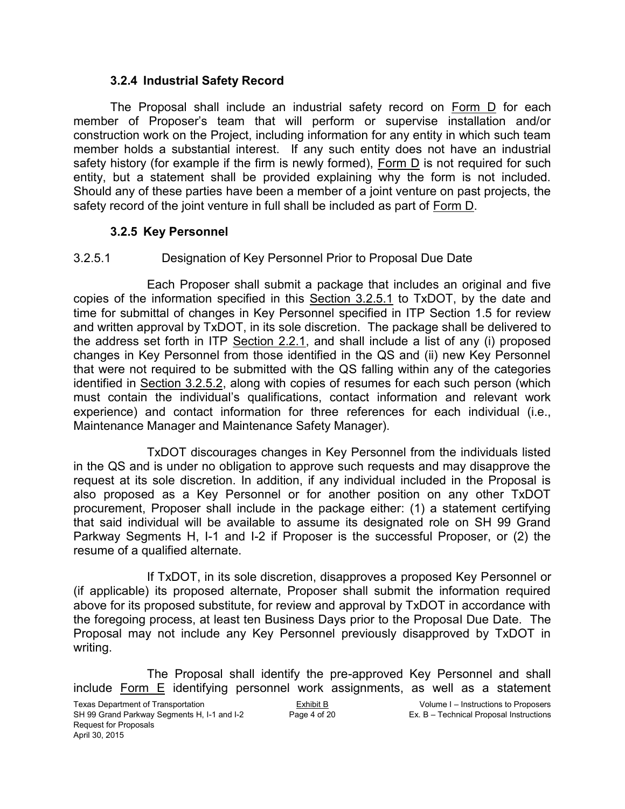#### **3.2.4 Industrial Safety Record**

The Proposal shall include an industrial safety record on Form D for each member of Proposer's team that will perform or supervise installation and/or construction work on the Project, including information for any entity in which such team member holds a substantial interest. If any such entity does not have an industrial safety history (for example if the firm is newly formed), Form D is not required for such entity, but a statement shall be provided explaining why the form is not included. Should any of these parties have been a member of a joint venture on past projects, the safety record of the joint venture in full shall be included as part of Form D.

#### **3.2.5 Key Personnel**

#### 3.2.5.1 Designation of Key Personnel Prior to Proposal Due Date

Each Proposer shall submit a package that includes an original and five copies of the information specified in this Section 3.2.5.1 to TxDOT, by the date and time for submittal of changes in Key Personnel specified in ITP Section 1.5 for review and written approval by TxDOT, in its sole discretion. The package shall be delivered to the address set forth in ITP Section 2.2.1, and shall include a list of any (i) proposed changes in Key Personnel from those identified in the QS and (ii) new Key Personnel that were not required to be submitted with the QS falling within any of the categories identified in Section 3.2.5.2, along with copies of resumes for each such person (which must contain the individual's qualifications, contact information and relevant work experience) and contact information for three references for each individual (i.e., Maintenance Manager and Maintenance Safety Manager).

TxDOT discourages changes in Key Personnel from the individuals listed in the QS and is under no obligation to approve such requests and may disapprove the request at its sole discretion. In addition, if any individual included in the Proposal is also proposed as a Key Personnel or for another position on any other TxDOT procurement, Proposer shall include in the package either: (1) a statement certifying that said individual will be available to assume its designated role on SH 99 Grand Parkway Segments H, I-1 and I-2 if Proposer is the successful Proposer, or (2) the resume of a qualified alternate.

If TxDOT, in its sole discretion, disapproves a proposed Key Personnel or (if applicable) its proposed alternate, Proposer shall submit the information required above for its proposed substitute, for review and approval by TxDOT in accordance with the foregoing process, at least ten Business Days prior to the Proposal Due Date. The Proposal may not include any Key Personnel previously disapproved by TxDOT in writing.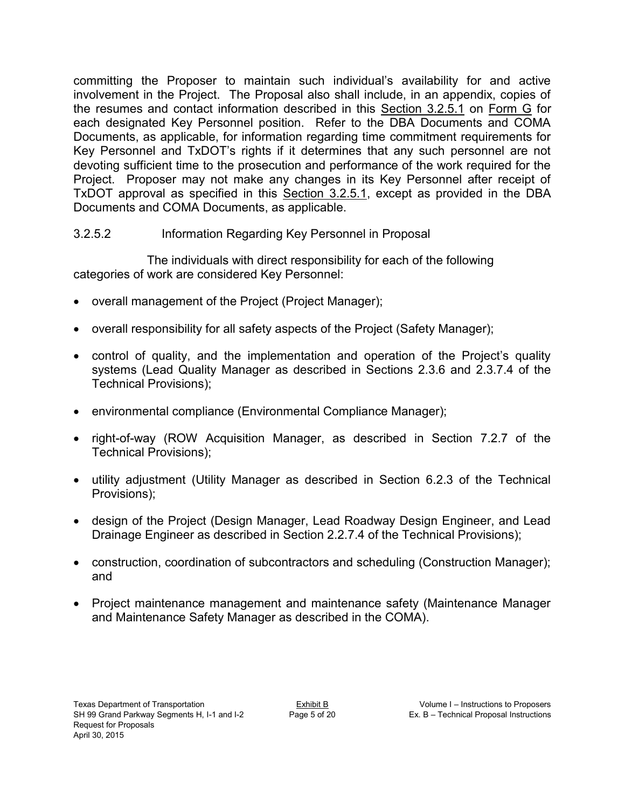committing the Proposer to maintain such individual's availability for and active involvement in the Project. The Proposal also shall include, in an appendix, copies of the resumes and contact information described in this Section 3.2.5.1 on Form G for each designated Key Personnel position. Refer to the DBA Documents and COMA Documents, as applicable, for information regarding time commitment requirements for Key Personnel and TxDOT's rights if it determines that any such personnel are not devoting sufficient time to the prosecution and performance of the work required for the Project. Proposer may not make any changes in its Key Personnel after receipt of TxDOT approval as specified in this Section 3.2.5.1, except as provided in the DBA Documents and COMA Documents, as applicable.

## 3.2.5.2 Information Regarding Key Personnel in Proposal

The individuals with direct responsibility for each of the following categories of work are considered Key Personnel:

- overall management of the Project (Project Manager);
- overall responsibility for all safety aspects of the Project (Safety Manager);
- control of quality, and the implementation and operation of the Project's quality systems (Lead Quality Manager as described in Sections 2.3.6 and 2.3.7.4 of the Technical Provisions);
- environmental compliance (Environmental Compliance Manager);
- right-of-way (ROW Acquisition Manager, as described in Section 7.2.7 of the Technical Provisions);
- utility adjustment (Utility Manager as described in Section 6.2.3 of the Technical Provisions);
- design of the Project (Design Manager, Lead Roadway Design Engineer, and Lead Drainage Engineer as described in Section 2.2.7.4 of the Technical Provisions);
- construction, coordination of subcontractors and scheduling (Construction Manager); and
- Project maintenance management and maintenance safety (Maintenance Manager and Maintenance Safety Manager as described in the COMA).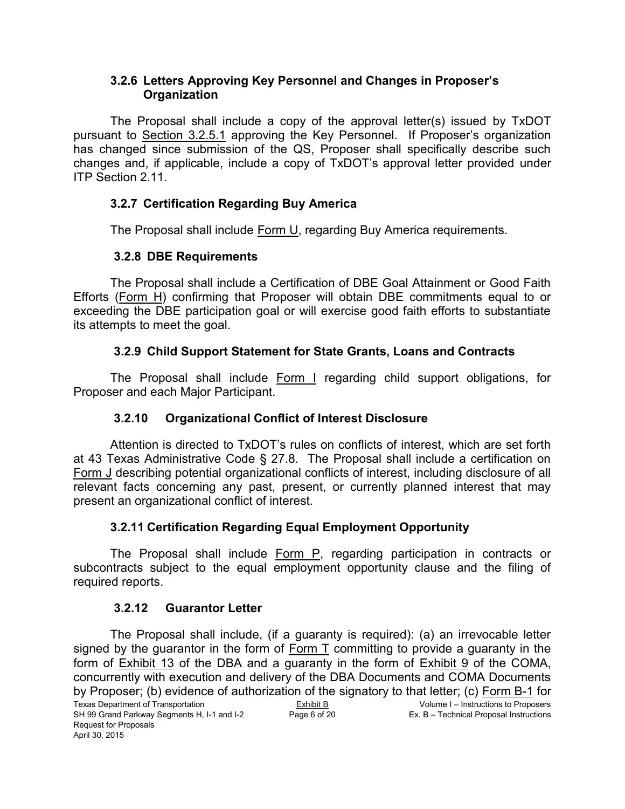#### **3.2.6 Letters Approving Key Personnel and Changes in Proposer's Organization**

The Proposal shall include a copy of the approval letter(s) issued by TxDOT pursuant to Section 3.2.5.1 approving the Key Personnel. If Proposer's organization has changed since submission of the QS, Proposer shall specifically describe such changes and, if applicable, include a copy of TxDOT's approval letter provided under ITP Section 2.11.

## **3.2.7 Certification Regarding Buy America**

The Proposal shall include Form U, regarding Buy America requirements.

## **3.2.8 DBE Requirements**

The Proposal shall include a Certification of DBE Goal Attainment or Good Faith Efforts (Form H) confirming that Proposer will obtain DBE commitments equal to or exceeding the DBE participation goal or will exercise good faith efforts to substantiate its attempts to meet the goal.

## **3.2.9 Child Support Statement for State Grants, Loans and Contracts**

The Proposal shall include Form I regarding child support obligations, for Proposer and each Major Participant.

## **3.2.10 Organizational Conflict of Interest Disclosure**

Attention is directed to TxDOT's rules on conflicts of interest, which are set forth at 43 Texas Administrative Code § 27.8. The Proposal shall include a certification on Form J describing potential organizational conflicts of interest, including disclosure of all relevant facts concerning any past, present, or currently planned interest that may present an organizational conflict of interest.

## **3.2.11 Certification Regarding Equal Employment Opportunity**

The Proposal shall include Form P, regarding participation in contracts or subcontracts subject to the equal employment opportunity clause and the filing of required reports.

## **3.2.12 Guarantor Letter**

Texas Department of Transportation Exhibit B<br>
SH 99 Grand Parkway Segments H, I-1 and I-2 Page 6 of 20 Ex. B – Technical Proposal Instructions SH 99 Grand Parkway Segments H, I-1 and I-2 Request for Proposals April 30, 2015 The Proposal shall include, (if a guaranty is required): (a) an irrevocable letter signed by the guarantor in the form of Form T committing to provide a guaranty in the form of Exhibit 13 of the DBA and a guaranty in the form of Exhibit 9 of the COMA, concurrently with execution and delivery of the DBA Documents and COMA Documents by Proposer; (b) evidence of authorization of the signatory to that letter; (c) Form B-1 for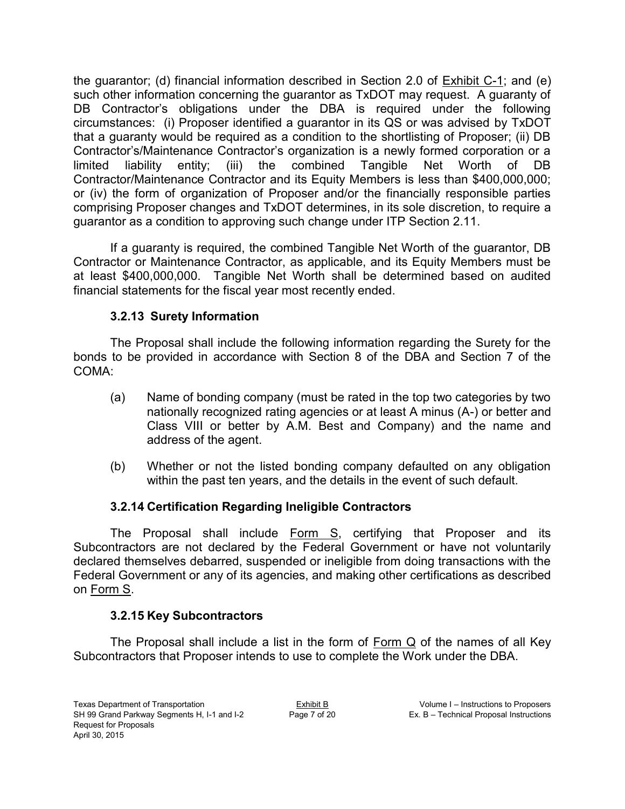the guarantor; (d) financial information described in Section 2.0 of Exhibit C-1; and (e) such other information concerning the guarantor as TxDOT may request. A guaranty of DB Contractor's obligations under the DBA is required under the following circumstances: (i) Proposer identified a guarantor in its QS or was advised by TxDOT that a guaranty would be required as a condition to the shortlisting of Proposer; (ii) DB Contractor's/Maintenance Contractor's organization is a newly formed corporation or a limited liability entity; (iii) the combined Tangible Net Worth of DB Contractor/Maintenance Contractor and its Equity Members is less than \$400,000,000; or (iv) the form of organization of Proposer and/or the financially responsible parties comprising Proposer changes and TxDOT determines, in its sole discretion, to require a guarantor as a condition to approving such change under ITP Section 2.11.

If a guaranty is required, the combined Tangible Net Worth of the guarantor, DB Contractor or Maintenance Contractor, as applicable, and its Equity Members must be at least \$400,000,000. Tangible Net Worth shall be determined based on audited financial statements for the fiscal year most recently ended.

## **3.2.13 Surety Information**

The Proposal shall include the following information regarding the Surety for the bonds to be provided in accordance with Section 8 of the DBA and Section 7 of the COMA:

- (a) Name of bonding company (must be rated in the top two categories by two nationally recognized rating agencies or at least A minus (A-) or better and Class VIII or better by A.M. Best and Company) and the name and address of the agent.
- (b) Whether or not the listed bonding company defaulted on any obligation within the past ten years, and the details in the event of such default.

## **3.2.14 Certification Regarding Ineligible Contractors**

The Proposal shall include Form S, certifying that Proposer and its Subcontractors are not declared by the Federal Government or have not voluntarily declared themselves debarred, suspended or ineligible from doing transactions with the Federal Government or any of its agencies, and making other certifications as described on Form S.

## **3.2.15 Key Subcontractors**

The Proposal shall include a list in the form of Form Q of the names of all Key Subcontractors that Proposer intends to use to complete the Work under the DBA.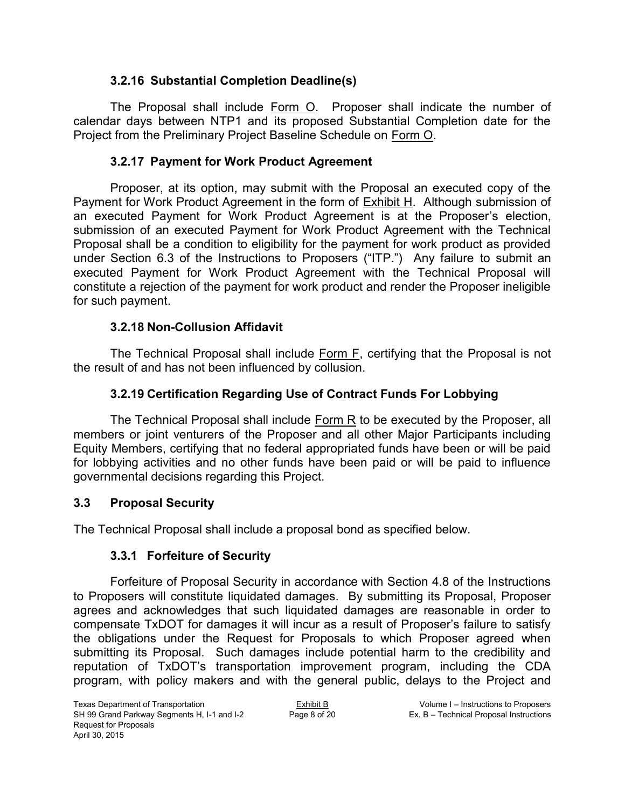#### **3.2.16 Substantial Completion Deadline(s)**

The Proposal shall include Form O. Proposer shall indicate the number of calendar days between NTP1 and its proposed Substantial Completion date for the Project from the Preliminary Project Baseline Schedule on Form O.

## **3.2.17 Payment for Work Product Agreement**

Proposer, at its option, may submit with the Proposal an executed copy of the Payment for Work Product Agreement in the form of **Exhibit H.** Although submission of an executed Payment for Work Product Agreement is at the Proposer's election, submission of an executed Payment for Work Product Agreement with the Technical Proposal shall be a condition to eligibility for the payment for work product as provided under Section 6.3 of the Instructions to Proposers ("ITP.") Any failure to submit an executed Payment for Work Product Agreement with the Technical Proposal will constitute a rejection of the payment for work product and render the Proposer ineligible for such payment.

#### **3.2.18 Non-Collusion Affidavit**

The Technical Proposal shall include Form F, certifying that the Proposal is not the result of and has not been influenced by collusion.

## **3.2.19 Certification Regarding Use of Contract Funds For Lobbying**

The Technical Proposal shall include  $Form R$  to be executed by the Proposer, all members or joint venturers of the Proposer and all other Major Participants including Equity Members, certifying that no federal appropriated funds have been or will be paid for lobbying activities and no other funds have been paid or will be paid to influence governmental decisions regarding this Project.

#### **3.3 Proposal Security**

The Technical Proposal shall include a proposal bond as specified below.

## **3.3.1 Forfeiture of Security**

Forfeiture of Proposal Security in accordance with Section 4.8 of the Instructions to Proposers will constitute liquidated damages. By submitting its Proposal, Proposer agrees and acknowledges that such liquidated damages are reasonable in order to compensate TxDOT for damages it will incur as a result of Proposer's failure to satisfy the obligations under the Request for Proposals to which Proposer agreed when submitting its Proposal. Such damages include potential harm to the credibility and reputation of TxDOT's transportation improvement program, including the CDA program, with policy makers and with the general public, delays to the Project and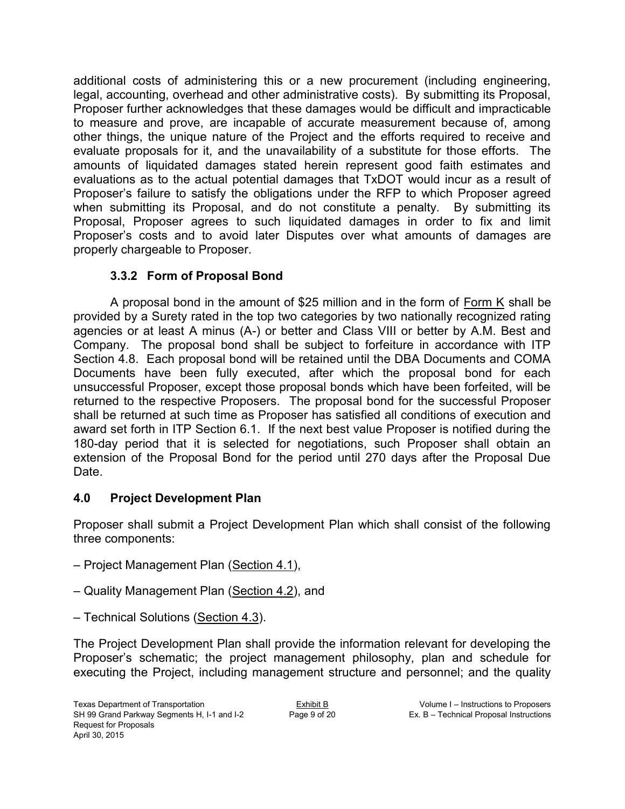additional costs of administering this or a new procurement (including engineering, legal, accounting, overhead and other administrative costs). By submitting its Proposal, Proposer further acknowledges that these damages would be difficult and impracticable to measure and prove, are incapable of accurate measurement because of, among other things, the unique nature of the Project and the efforts required to receive and evaluate proposals for it, and the unavailability of a substitute for those efforts. The amounts of liquidated damages stated herein represent good faith estimates and evaluations as to the actual potential damages that TxDOT would incur as a result of Proposer's failure to satisfy the obligations under the RFP to which Proposer agreed when submitting its Proposal, and do not constitute a penalty. By submitting its Proposal, Proposer agrees to such liquidated damages in order to fix and limit Proposer's costs and to avoid later Disputes over what amounts of damages are properly chargeable to Proposer.

## **3.3.2 Form of Proposal Bond**

A proposal bond in the amount of \$25 million and in the form of Form K shall be provided by a Surety rated in the top two categories by two nationally recognized rating agencies or at least A minus (A-) or better and Class VIII or better by A.M. Best and Company. The proposal bond shall be subject to forfeiture in accordance with ITP Section 4.8. Each proposal bond will be retained until the DBA Documents and COMA Documents have been fully executed, after which the proposal bond for each unsuccessful Proposer, except those proposal bonds which have been forfeited, will be returned to the respective Proposers. The proposal bond for the successful Proposer shall be returned at such time as Proposer has satisfied all conditions of execution and award set forth in ITP Section 6.1. If the next best value Proposer is notified during the 180-day period that it is selected for negotiations, such Proposer shall obtain an extension of the Proposal Bond for the period until 270 days after the Proposal Due Date.

## **4.0 Project Development Plan**

Proposer shall submit a Project Development Plan which shall consist of the following three components:

- Project Management Plan (Section 4.1),
- Quality Management Plan (Section 4.2), and
- Technical Solutions (Section 4.3).

The Project Development Plan shall provide the information relevant for developing the Proposer's schematic; the project management philosophy, plan and schedule for executing the Project, including management structure and personnel; and the quality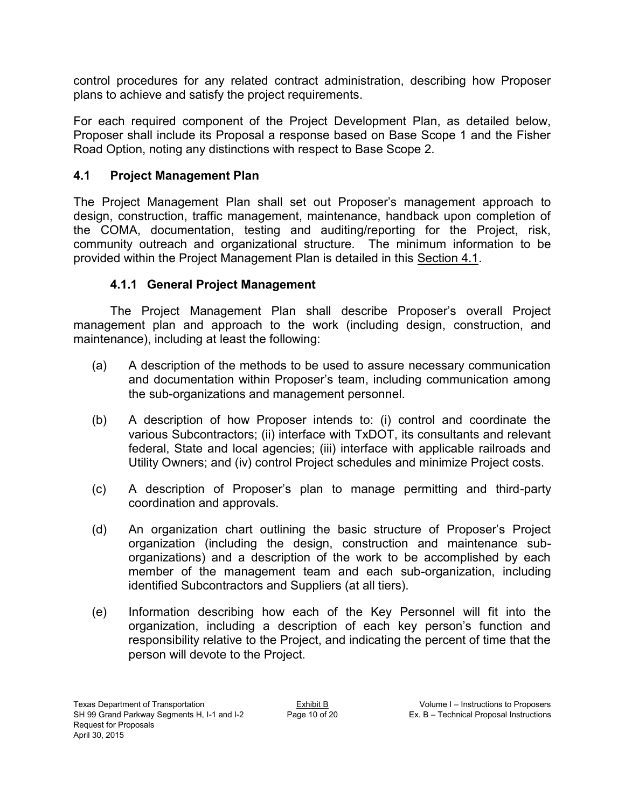control procedures for any related contract administration, describing how Proposer plans to achieve and satisfy the project requirements.

For each required component of the Project Development Plan, as detailed below, Proposer shall include its Proposal a response based on Base Scope 1 and the Fisher Road Option, noting any distinctions with respect to Base Scope 2.

## **4.1 Project Management Plan**

The Project Management Plan shall set out Proposer's management approach to design, construction, traffic management, maintenance, handback upon completion of the COMA, documentation, testing and auditing/reporting for the Project, risk, community outreach and organizational structure. The minimum information to be provided within the Project Management Plan is detailed in this Section 4.1.

## **4.1.1 General Project Management**

The Project Management Plan shall describe Proposer's overall Project management plan and approach to the work (including design, construction, and maintenance), including at least the following:

- (a) A description of the methods to be used to assure necessary communication and documentation within Proposer's team, including communication among the sub-organizations and management personnel.
- (b) A description of how Proposer intends to: (i) control and coordinate the various Subcontractors; (ii) interface with TxDOT, its consultants and relevant federal, State and local agencies; (iii) interface with applicable railroads and Utility Owners; and (iv) control Project schedules and minimize Project costs.
- (c) A description of Proposer's plan to manage permitting and third-party coordination and approvals.
- (d) An organization chart outlining the basic structure of Proposer's Project organization (including the design, construction and maintenance suborganizations) and a description of the work to be accomplished by each member of the management team and each sub-organization, including identified Subcontractors and Suppliers (at all tiers).
- (e) Information describing how each of the Key Personnel will fit into the organization, including a description of each key person's function and responsibility relative to the Project, and indicating the percent of time that the person will devote to the Project.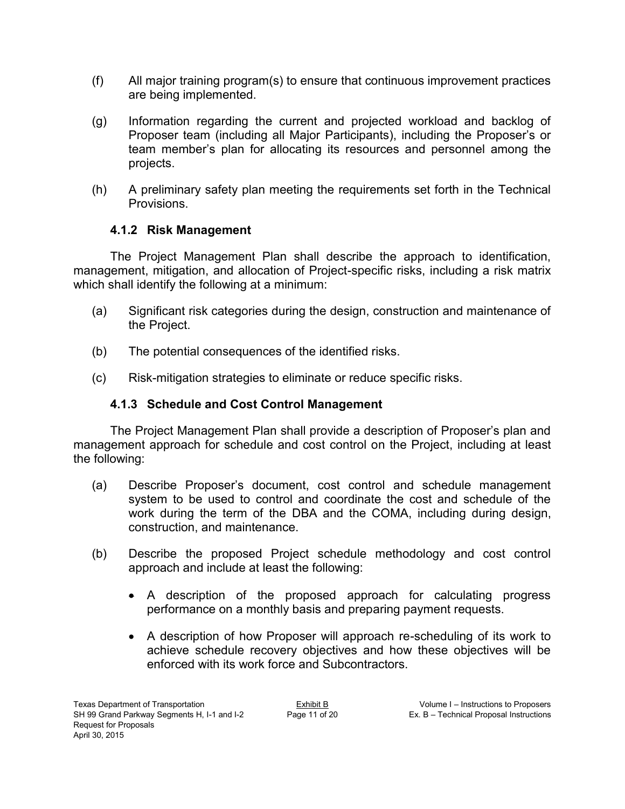- (f) All major training program(s) to ensure that continuous improvement practices are being implemented.
- (g) Information regarding the current and projected workload and backlog of Proposer team (including all Major Participants), including the Proposer's or team member's plan for allocating its resources and personnel among the projects.
- (h) A preliminary safety plan meeting the requirements set forth in the Technical Provisions.

## **4.1.2 Risk Management**

The Project Management Plan shall describe the approach to identification, management, mitigation, and allocation of Project-specific risks, including a risk matrix which shall identify the following at a minimum:

- (a) Significant risk categories during the design, construction and maintenance of the Project.
- (b) The potential consequences of the identified risks.
- (c) Risk-mitigation strategies to eliminate or reduce specific risks.

## **4.1.3 Schedule and Cost Control Management**

The Project Management Plan shall provide a description of Proposer's plan and management approach for schedule and cost control on the Project, including at least the following:

- (a) Describe Proposer's document, cost control and schedule management system to be used to control and coordinate the cost and schedule of the work during the term of the DBA and the COMA, including during design, construction, and maintenance.
- (b) Describe the proposed Project schedule methodology and cost control approach and include at least the following:
	- A description of the proposed approach for calculating progress performance on a monthly basis and preparing payment requests.
	- A description of how Proposer will approach re-scheduling of its work to achieve schedule recovery objectives and how these objectives will be enforced with its work force and Subcontractors.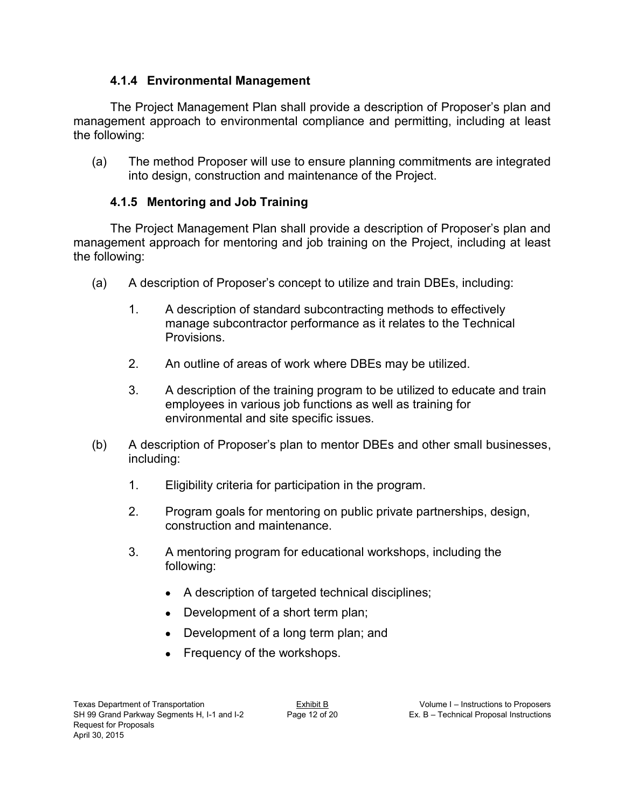## **4.1.4 Environmental Management**

The Project Management Plan shall provide a description of Proposer's plan and management approach to environmental compliance and permitting, including at least the following:

(a) The method Proposer will use to ensure planning commitments are integrated into design, construction and maintenance of the Project.

## **4.1.5 Mentoring and Job Training**

The Project Management Plan shall provide a description of Proposer's plan and management approach for mentoring and job training on the Project, including at least the following:

- (a) A description of Proposer's concept to utilize and train DBEs, including:
	- 1. A description of standard subcontracting methods to effectively manage subcontractor performance as it relates to the Technical Provisions.
	- 2. An outline of areas of work where DBEs may be utilized.
	- 3. A description of the training program to be utilized to educate and train employees in various job functions as well as training for environmental and site specific issues.
- (b) A description of Proposer's plan to mentor DBEs and other small businesses, including:
	- 1. Eligibility criteria for participation in the program.
	- 2. Program goals for mentoring on public private partnerships, design, construction and maintenance.
	- 3. A mentoring program for educational workshops, including the following:
		- A description of targeted technical disciplines;
		- Development of a short term plan;
		- Development of a long term plan; and
		- Frequency of the workshops.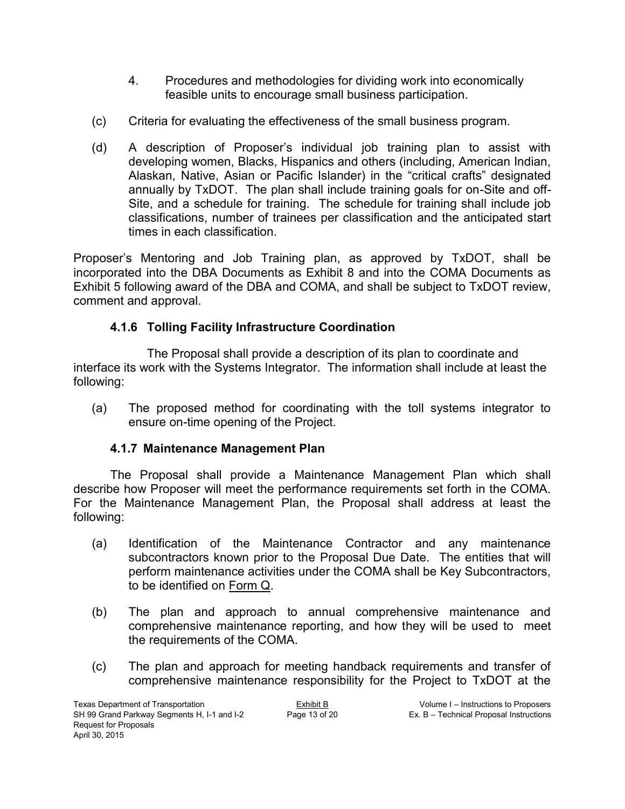- 4. Procedures and methodologies for dividing work into economically feasible units to encourage small business participation.
- (c) Criteria for evaluating the effectiveness of the small business program.
- (d) A description of Proposer's individual job training plan to assist with developing women, Blacks, Hispanics and others (including, American Indian, Alaskan, Native, Asian or Pacific Islander) in the "critical crafts" designated annually by TxDOT. The plan shall include training goals for on-Site and off-Site, and a schedule for training. The schedule for training shall include job classifications, number of trainees per classification and the anticipated start times in each classification.

Proposer's Mentoring and Job Training plan, as approved by TxDOT, shall be incorporated into the DBA Documents as Exhibit 8 and into the COMA Documents as Exhibit 5 following award of the DBA and COMA, and shall be subject to TxDOT review, comment and approval.

## **4.1.6 Tolling Facility Infrastructure Coordination**

The Proposal shall provide a description of its plan to coordinate and interface its work with the Systems Integrator. The information shall include at least the following:

(a) The proposed method for coordinating with the toll systems integrator to ensure on-time opening of the Project.

## **4.1.7 Maintenance Management Plan**

The Proposal shall provide a Maintenance Management Plan which shall describe how Proposer will meet the performance requirements set forth in the COMA. For the Maintenance Management Plan, the Proposal shall address at least the following:

- (a) Identification of the Maintenance Contractor and any maintenance subcontractors known prior to the Proposal Due Date. The entities that will perform maintenance activities under the COMA shall be Key Subcontractors, to be identified on Form Q.
- (b) The plan and approach to annual comprehensive maintenance and comprehensive maintenance reporting, and how they will be used to meet the requirements of the COMA.
- (c) The plan and approach for meeting handback requirements and transfer of comprehensive maintenance responsibility for the Project to TxDOT at the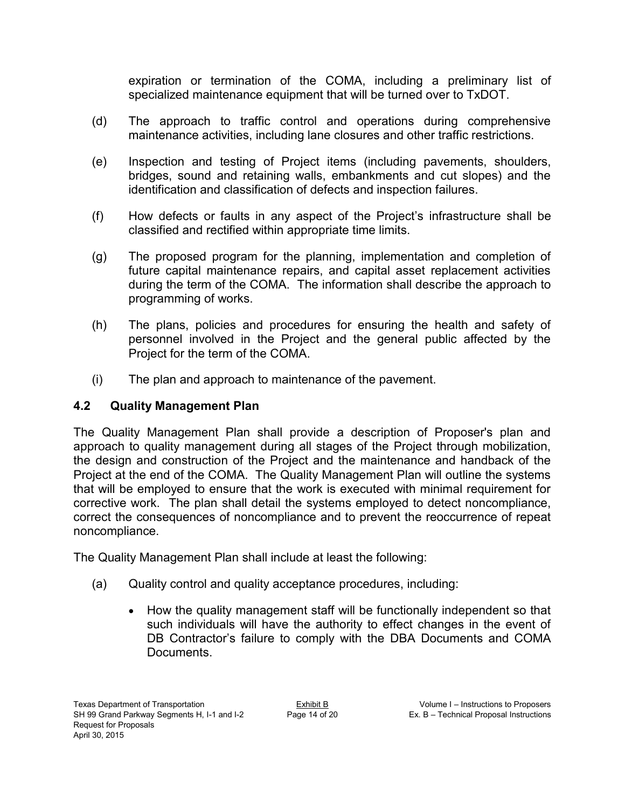expiration or termination of the COMA, including a preliminary list of specialized maintenance equipment that will be turned over to TxDOT.

- (d) The approach to traffic control and operations during comprehensive maintenance activities, including lane closures and other traffic restrictions.
- (e) Inspection and testing of Project items (including pavements, shoulders, bridges, sound and retaining walls, embankments and cut slopes) and the identification and classification of defects and inspection failures.
- (f) How defects or faults in any aspect of the Project's infrastructure shall be classified and rectified within appropriate time limits.
- (g) The proposed program for the planning, implementation and completion of future capital maintenance repairs, and capital asset replacement activities during the term of the COMA. The information shall describe the approach to programming of works.
- (h) The plans, policies and procedures for ensuring the health and safety of personnel involved in the Project and the general public affected by the Project for the term of the COMA.
- (i) The plan and approach to maintenance of the pavement.

## **4.2 Quality Management Plan**

The Quality Management Plan shall provide a description of Proposer's plan and approach to quality management during all stages of the Project through mobilization, the design and construction of the Project and the maintenance and handback of the Project at the end of the COMA. The Quality Management Plan will outline the systems that will be employed to ensure that the work is executed with minimal requirement for corrective work. The plan shall detail the systems employed to detect noncompliance, correct the consequences of noncompliance and to prevent the reoccurrence of repeat noncompliance.

The Quality Management Plan shall include at least the following:

- (a) Quality control and quality acceptance procedures, including:
	- How the quality management staff will be functionally independent so that such individuals will have the authority to effect changes in the event of DB Contractor's failure to comply with the DBA Documents and COMA Documents.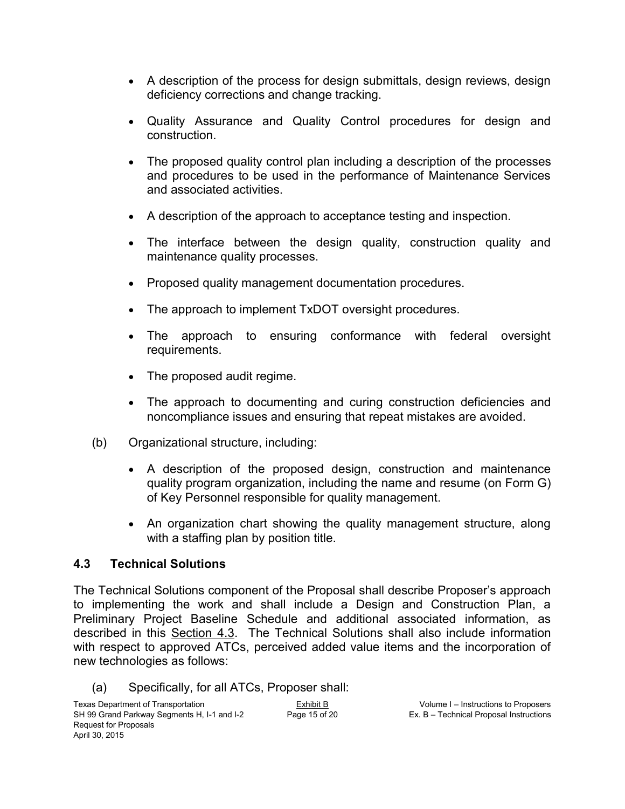- A description of the process for design submittals, design reviews, design deficiency corrections and change tracking.
- Quality Assurance and Quality Control procedures for design and construction.
- The proposed quality control plan including a description of the processes and procedures to be used in the performance of Maintenance Services and associated activities.
- A description of the approach to acceptance testing and inspection.
- The interface between the design quality, construction quality and maintenance quality processes.
- Proposed quality management documentation procedures.
- The approach to implement TxDOT oversight procedures.
- The approach to ensuring conformance with federal oversight requirements.
- The proposed audit regime.
- The approach to documenting and curing construction deficiencies and noncompliance issues and ensuring that repeat mistakes are avoided.
- (b) Organizational structure, including:
	- A description of the proposed design, construction and maintenance quality program organization, including the name and resume (on Form G) of Key Personnel responsible for quality management.
	- An organization chart showing the quality management structure, along with a staffing plan by position title.

## **4.3 Technical Solutions**

The Technical Solutions component of the Proposal shall describe Proposer's approach to implementing the work and shall include a Design and Construction Plan, a Preliminary Project Baseline Schedule and additional associated information, as described in this Section 4.3. The Technical Solutions shall also include information with respect to approved ATCs, perceived added value items and the incorporation of new technologies as follows:

(a) Specifically, for all ATCs, Proposer shall: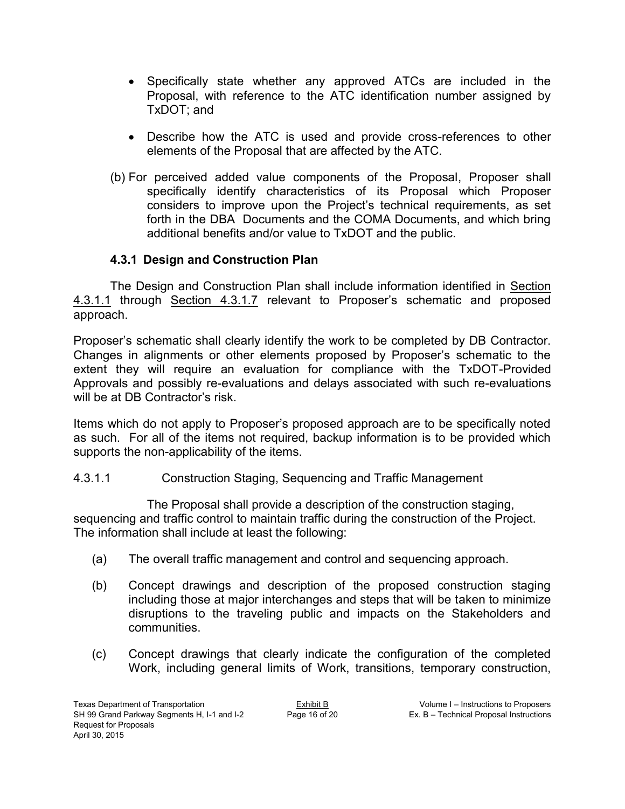- Specifically state whether any approved ATCs are included in the Proposal, with reference to the ATC identification number assigned by TxDOT; and
- Describe how the ATC is used and provide cross-references to other elements of the Proposal that are affected by the ATC.
- (b) For perceived added value components of the Proposal, Proposer shall specifically identify characteristics of its Proposal which Proposer considers to improve upon the Project's technical requirements, as set forth in the DBA Documents and the COMA Documents, and which bring additional benefits and/or value to TxDOT and the public.

## **4.3.1 Design and Construction Plan**

The Design and Construction Plan shall include information identified in Section 4.3.1.1 through Section 4.3.1.7 relevant to Proposer's schematic and proposed approach.

Proposer's schematic shall clearly identify the work to be completed by DB Contractor. Changes in alignments or other elements proposed by Proposer's schematic to the extent they will require an evaluation for compliance with the TxDOT-Provided Approvals and possibly re-evaluations and delays associated with such re-evaluations will be at DB Contractor's risk.

Items which do not apply to Proposer's proposed approach are to be specifically noted as such. For all of the items not required, backup information is to be provided which supports the non-applicability of the items.

## 4.3.1.1 Construction Staging, Sequencing and Traffic Management

The Proposal shall provide a description of the construction staging, sequencing and traffic control to maintain traffic during the construction of the Project. The information shall include at least the following:

- (a) The overall traffic management and control and sequencing approach.
- (b) Concept drawings and description of the proposed construction staging including those at major interchanges and steps that will be taken to minimize disruptions to the traveling public and impacts on the Stakeholders and communities.
- (c) Concept drawings that clearly indicate the configuration of the completed Work, including general limits of Work, transitions, temporary construction,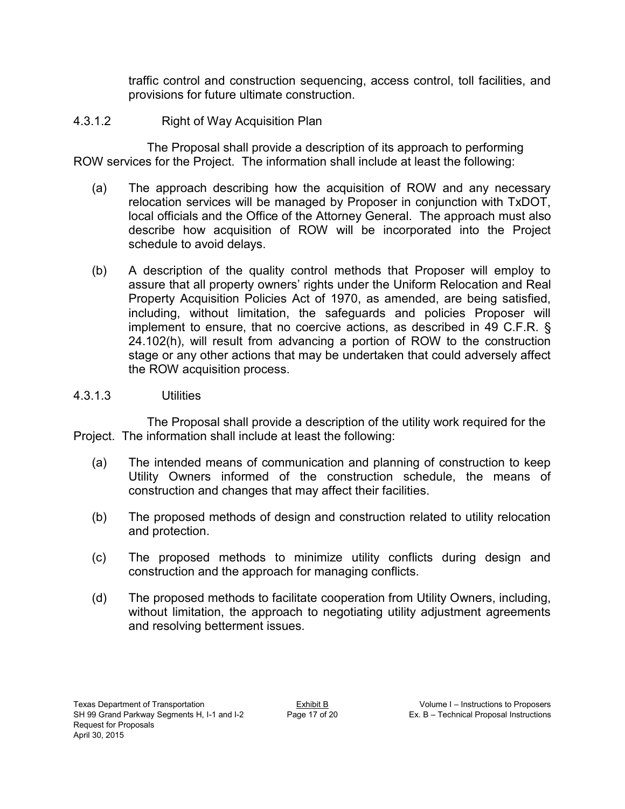traffic control and construction sequencing, access control, toll facilities, and provisions for future ultimate construction.

## 4.3.1.2 Right of Way Acquisition Plan

The Proposal shall provide a description of its approach to performing ROW services for the Project. The information shall include at least the following:

- (a) The approach describing how the acquisition of ROW and any necessary relocation services will be managed by Proposer in conjunction with TxDOT, local officials and the Office of the Attorney General. The approach must also describe how acquisition of ROW will be incorporated into the Project schedule to avoid delays.
- (b) A description of the quality control methods that Proposer will employ to assure that all property owners' rights under the Uniform Relocation and Real Property Acquisition Policies Act of 1970, as amended, are being satisfied, including, without limitation, the safeguards and policies Proposer will implement to ensure, that no coercive actions, as described in 49 C.F.R. § 24.102(h), will result from advancing a portion of ROW to the construction stage or any other actions that may be undertaken that could adversely affect the ROW acquisition process.

## 4.3.1.3 Utilities

The Proposal shall provide a description of the utility work required for the Project. The information shall include at least the following:

- (a) The intended means of communication and planning of construction to keep Utility Owners informed of the construction schedule, the means of construction and changes that may affect their facilities.
- (b) The proposed methods of design and construction related to utility relocation and protection.
- (c) The proposed methods to minimize utility conflicts during design and construction and the approach for managing conflicts.
- (d) The proposed methods to facilitate cooperation from Utility Owners, including, without limitation, the approach to negotiating utility adjustment agreements and resolving betterment issues.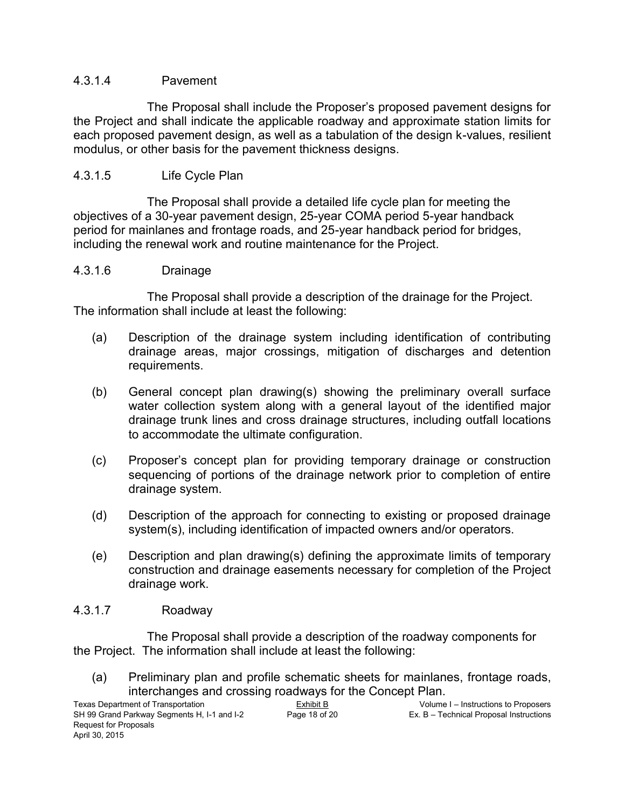#### 4.3.1.4 Pavement

 The Proposal shall include the Proposer's proposed pavement designs for the Project and shall indicate the applicable roadway and approximate station limits for each proposed pavement design, as well as a tabulation of the design k-values, resilient modulus, or other basis for the pavement thickness designs.

#### 4.3.1.5 Life Cycle Plan

The Proposal shall provide a detailed life cycle plan for meeting the objectives of a 30-year pavement design, 25-year COMA period 5-year handback period for mainlanes and frontage roads, and 25-year handback period for bridges, including the renewal work and routine maintenance for the Project.

#### 4.3.1.6 Drainage

The Proposal shall provide a description of the drainage for the Project. The information shall include at least the following:

- (a) Description of the drainage system including identification of contributing drainage areas, major crossings, mitigation of discharges and detention requirements.
- (b) General concept plan drawing(s) showing the preliminary overall surface water collection system along with a general layout of the identified major drainage trunk lines and cross drainage structures, including outfall locations to accommodate the ultimate configuration.
- (c) Proposer's concept plan for providing temporary drainage or construction sequencing of portions of the drainage network prior to completion of entire drainage system.
- (d) Description of the approach for connecting to existing or proposed drainage system(s), including identification of impacted owners and/or operators.
- (e) Description and plan drawing(s) defining the approximate limits of temporary construction and drainage easements necessary for completion of the Project drainage work.

#### 4.3.1.7 Roadway

The Proposal shall provide a description of the roadway components for the Project. The information shall include at least the following:

(a) Preliminary plan and profile schematic sheets for mainlanes, frontage roads, interchanges and crossing roadways for the Concept Plan.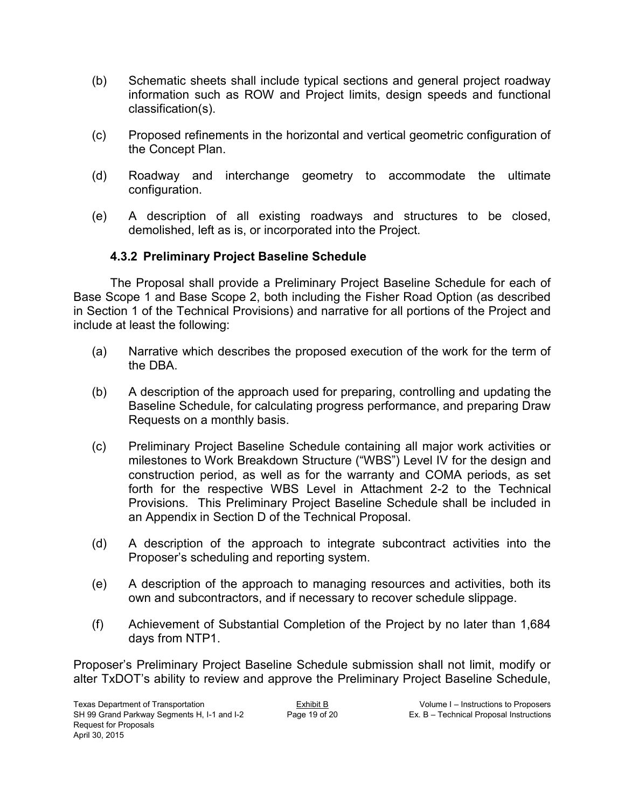- (b) Schematic sheets shall include typical sections and general project roadway information such as ROW and Project limits, design speeds and functional classification(s).
- (c) Proposed refinements in the horizontal and vertical geometric configuration of the Concept Plan.
- (d) Roadway and interchange geometry to accommodate the ultimate configuration.
- (e) A description of all existing roadways and structures to be closed, demolished, left as is, or incorporated into the Project.

## **4.3.2 Preliminary Project Baseline Schedule**

The Proposal shall provide a Preliminary Project Baseline Schedule for each of Base Scope 1 and Base Scope 2, both including the Fisher Road Option (as described in Section 1 of the Technical Provisions) and narrative for all portions of the Project and include at least the following:

- (a) Narrative which describes the proposed execution of the work for the term of the DBA.
- (b) A description of the approach used for preparing, controlling and updating the Baseline Schedule, for calculating progress performance, and preparing Draw Requests on a monthly basis.
- (c) Preliminary Project Baseline Schedule containing all major work activities or milestones to Work Breakdown Structure ("WBS") Level IV for the design and construction period, as well as for the warranty and COMA periods, as set forth for the respective WBS Level in Attachment 2-2 to the Technical Provisions. This Preliminary Project Baseline Schedule shall be included in an Appendix in Section D of the Technical Proposal.
- (d) A description of the approach to integrate subcontract activities into the Proposer's scheduling and reporting system.
- (e) A description of the approach to managing resources and activities, both its own and subcontractors, and if necessary to recover schedule slippage.
- (f) Achievement of Substantial Completion of the Project by no later than 1,684 days from NTP1.

Proposer's Preliminary Project Baseline Schedule submission shall not limit, modify or alter TxDOT's ability to review and approve the Preliminary Project Baseline Schedule,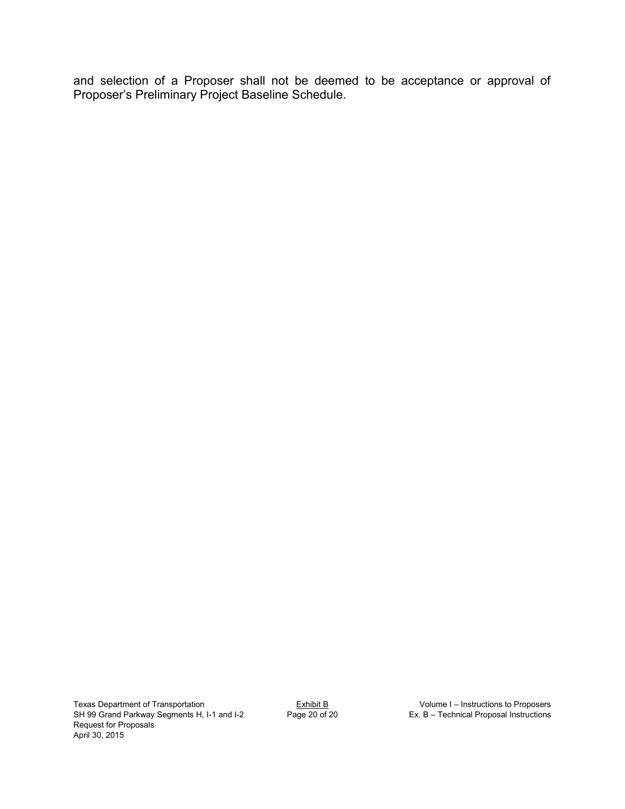and selection of a Proposer shall not be deemed to be acceptance or approval of Proposer's Preliminary Project Baseline Schedule.

Texas Department of Transportation  $\text{Exhibit B}$   $\text{Exhibit B}$  Volume I – Instructions to Proposers SH 99 Grand Parkway Segments H, I-1 and I-2 Page 20 of 20 Ex. B – Technical Proposal Instructions Request for Proposals April 30, 2015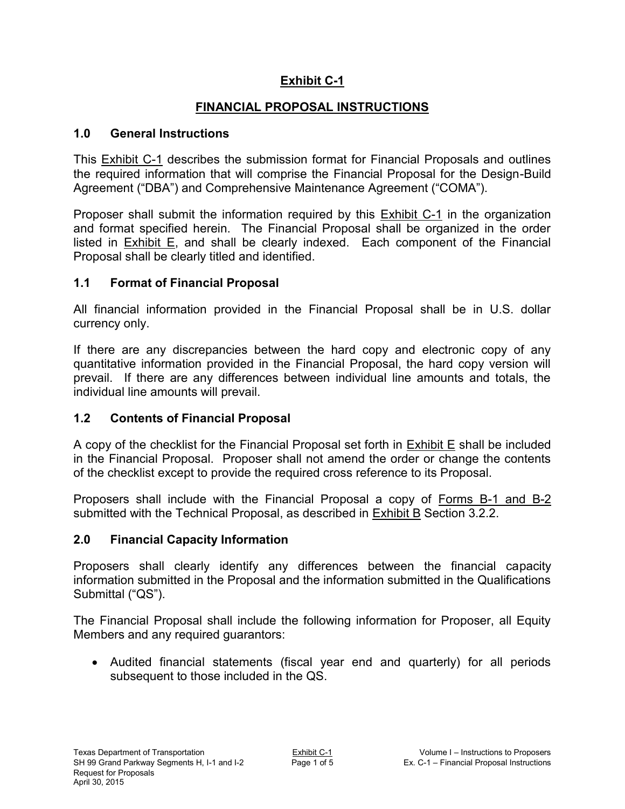## **Exhibit C-1**

## **FINANCIAL PROPOSAL INSTRUCTIONS**

#### **1.0 General Instructions**

This Exhibit C-1 describes the submission format for Financial Proposals and outlines the required information that will comprise the Financial Proposal for the Design-Build Agreement ("DBA") and Comprehensive Maintenance Agreement ("COMA").

Proposer shall submit the information required by this Exhibit C-1 in the organization and format specified herein. The Financial Proposal shall be organized in the order listed in Exhibit E, and shall be clearly indexed. Each component of the Financial Proposal shall be clearly titled and identified.

## **1.1 Format of Financial Proposal**

All financial information provided in the Financial Proposal shall be in U.S. dollar currency only.

If there are any discrepancies between the hard copy and electronic copy of any quantitative information provided in the Financial Proposal, the hard copy version will prevail. If there are any differences between individual line amounts and totals, the individual line amounts will prevail.

## **1.2 Contents of Financial Proposal**

A copy of the checklist for the Financial Proposal set forth in Exhibit E shall be included in the Financial Proposal. Proposer shall not amend the order or change the contents of the checklist except to provide the required cross reference to its Proposal.

Proposers shall include with the Financial Proposal a copy of Forms B-1 and B-2 submitted with the Technical Proposal, as described in Exhibit B Section 3.2.2.

## **2.0 Financial Capacity Information**

Proposers shall clearly identify any differences between the financial capacity information submitted in the Proposal and the information submitted in the Qualifications Submittal ("QS").

The Financial Proposal shall include the following information for Proposer, all Equity Members and any required guarantors:

 Audited financial statements (fiscal year end and quarterly) for all periods subsequent to those included in the QS.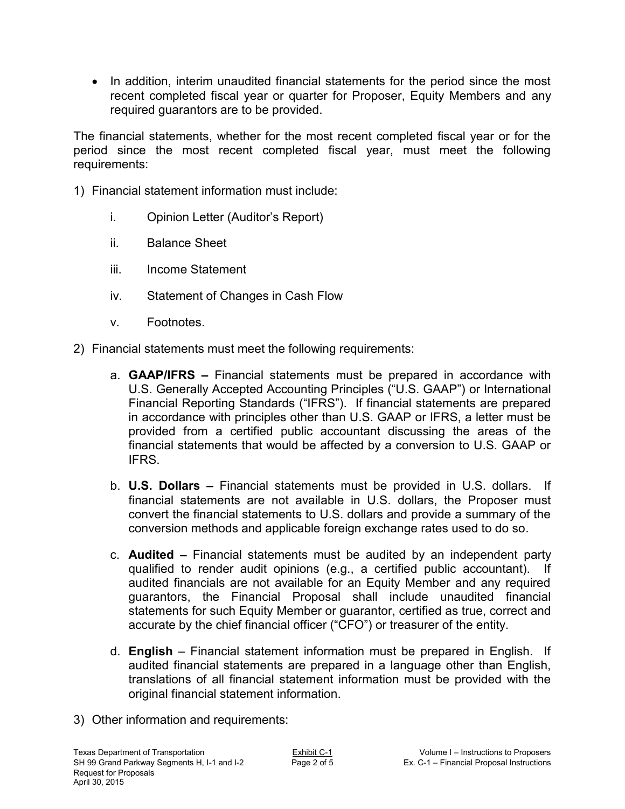• In addition, interim unaudited financial statements for the period since the most recent completed fiscal year or quarter for Proposer, Equity Members and any required guarantors are to be provided.

The financial statements, whether for the most recent completed fiscal year or for the period since the most recent completed fiscal year, must meet the following requirements:

- 1) Financial statement information must include:
	- i. Opinion Letter (Auditor's Report)
	- ii. Balance Sheet
	- iii. Income Statement
	- iv. Statement of Changes in Cash Flow
	- v. Footnotes.
- 2) Financial statements must meet the following requirements:
	- a. **GAAP/IFRS** Financial statements must be prepared in accordance with U.S. Generally Accepted Accounting Principles ("U.S. GAAP") or International Financial Reporting Standards ("IFRS"). If financial statements are prepared in accordance with principles other than U.S. GAAP or IFRS, a letter must be provided from a certified public accountant discussing the areas of the financial statements that would be affected by a conversion to U.S. GAAP or IFRS.
	- b. **U.S. Dollars –** Financial statements must be provided in U.S. dollars. If financial statements are not available in U.S. dollars, the Proposer must convert the financial statements to U.S. dollars and provide a summary of the conversion methods and applicable foreign exchange rates used to do so.
	- c. **Audited –** Financial statements must be audited by an independent party qualified to render audit opinions (e.g., a certified public accountant). If audited financials are not available for an Equity Member and any required guarantors, the Financial Proposal shall include unaudited financial statements for such Equity Member or guarantor, certified as true, correct and accurate by the chief financial officer ("CFO") or treasurer of the entity.
	- d. **English** Financial statement information must be prepared in English. If audited financial statements are prepared in a language other than English, translations of all financial statement information must be provided with the original financial statement information.
- 3) Other information and requirements: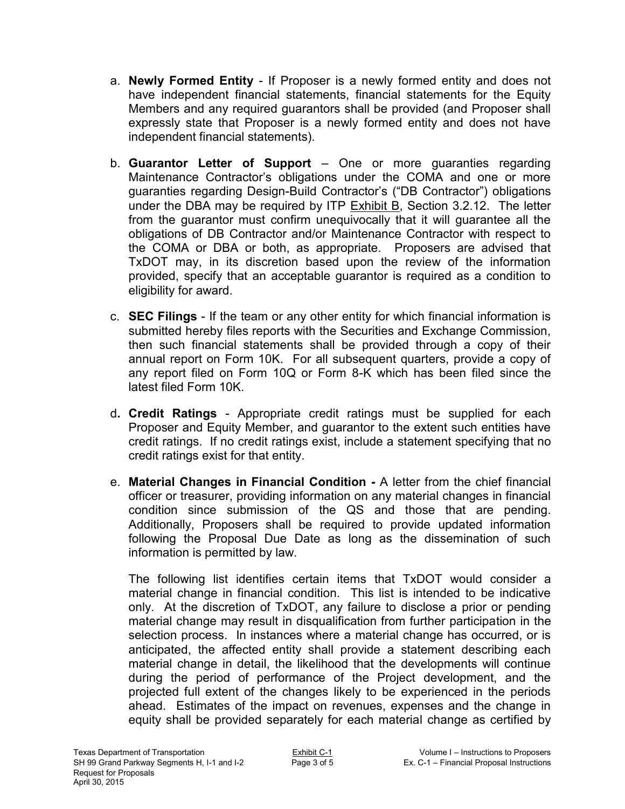- a. **Newly Formed Entity**  If Proposer is a newly formed entity and does not have independent financial statements, financial statements for the Equity Members and any required guarantors shall be provided (and Proposer shall expressly state that Proposer is a newly formed entity and does not have independent financial statements).
- b. **Guarantor Letter of Support**  One or more guaranties regarding Maintenance Contractor's obligations under the COMA and one or more guaranties regarding Design-Build Contractor's ("DB Contractor") obligations under the DBA may be required by ITP  $Exhibit B$ , Section 3.2.12. The letter from the guarantor must confirm unequivocally that it will guarantee all the obligations of DB Contractor and/or Maintenance Contractor with respect to the COMA or DBA or both, as appropriate. Proposers are advised that TxDOT may, in its discretion based upon the review of the information provided, specify that an acceptable guarantor is required as a condition to eligibility for award.
- c. **SEC Filings**  If the team or any other entity for which financial information is submitted hereby files reports with the Securities and Exchange Commission, then such financial statements shall be provided through a copy of their annual report on Form 10K. For all subsequent quarters, provide a copy of any report filed on Form 10Q or Form 8-K which has been filed since the latest filed Form 10K.
- d**. Credit Ratings**  Appropriate credit ratings must be supplied for each Proposer and Equity Member, and guarantor to the extent such entities have credit ratings. If no credit ratings exist, include a statement specifying that no credit ratings exist for that entity.
- e. **Material Changes in Financial Condition** A letter from the chief financial officer or treasurer, providing information on any material changes in financial condition since submission of the QS and those that are pending. Additionally, Proposers shall be required to provide updated information following the Proposal Due Date as long as the dissemination of such information is permitted by law.

The following list identifies certain items that TxDOT would consider a material change in financial condition. This list is intended to be indicative only. At the discretion of TxDOT, any failure to disclose a prior or pending material change may result in disqualification from further participation in the selection process. In instances where a material change has occurred, or is anticipated, the affected entity shall provide a statement describing each material change in detail, the likelihood that the developments will continue during the period of performance of the Project development, and the projected full extent of the changes likely to be experienced in the periods ahead. Estimates of the impact on revenues, expenses and the change in equity shall be provided separately for each material change as certified by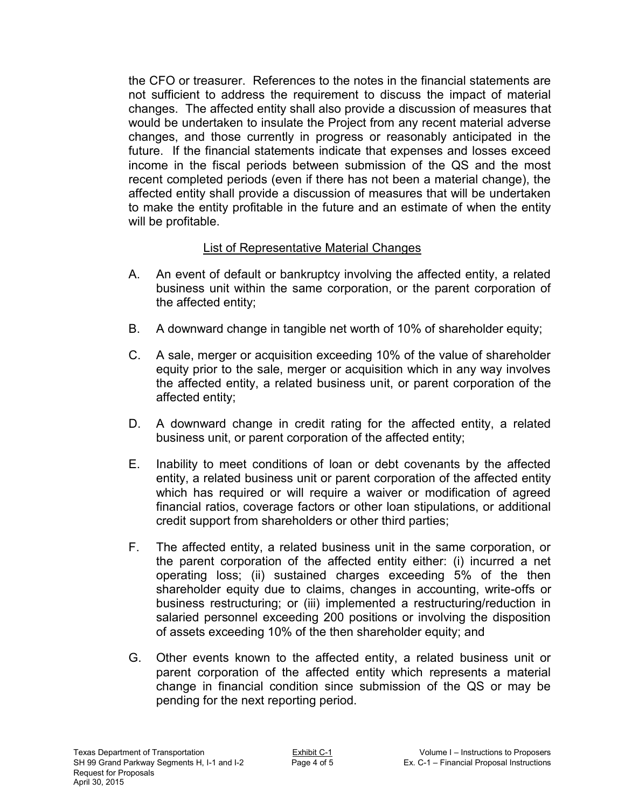the CFO or treasurer. References to the notes in the financial statements are not sufficient to address the requirement to discuss the impact of material changes. The affected entity shall also provide a discussion of measures that would be undertaken to insulate the Project from any recent material adverse changes, and those currently in progress or reasonably anticipated in the future. If the financial statements indicate that expenses and losses exceed income in the fiscal periods between submission of the QS and the most recent completed periods (even if there has not been a material change), the affected entity shall provide a discussion of measures that will be undertaken to make the entity profitable in the future and an estimate of when the entity will be profitable.

## List of Representative Material Changes

- A. An event of default or bankruptcy involving the affected entity, a related business unit within the same corporation, or the parent corporation of the affected entity;
- B. A downward change in tangible net worth of 10% of shareholder equity;
- C. A sale, merger or acquisition exceeding 10% of the value of shareholder equity prior to the sale, merger or acquisition which in any way involves the affected entity, a related business unit, or parent corporation of the affected entity;
- D. A downward change in credit rating for the affected entity, a related business unit, or parent corporation of the affected entity;
- E. Inability to meet conditions of loan or debt covenants by the affected entity, a related business unit or parent corporation of the affected entity which has required or will require a waiver or modification of agreed financial ratios, coverage factors or other loan stipulations, or additional credit support from shareholders or other third parties;
- F. The affected entity, a related business unit in the same corporation, or the parent corporation of the affected entity either: (i) incurred a net operating loss; (ii) sustained charges exceeding 5% of the then shareholder equity due to claims, changes in accounting, write-offs or business restructuring; or (iii) implemented a restructuring/reduction in salaried personnel exceeding 200 positions or involving the disposition of assets exceeding 10% of the then shareholder equity; and
- G. Other events known to the affected entity, a related business unit or parent corporation of the affected entity which represents a material change in financial condition since submission of the QS or may be pending for the next reporting period.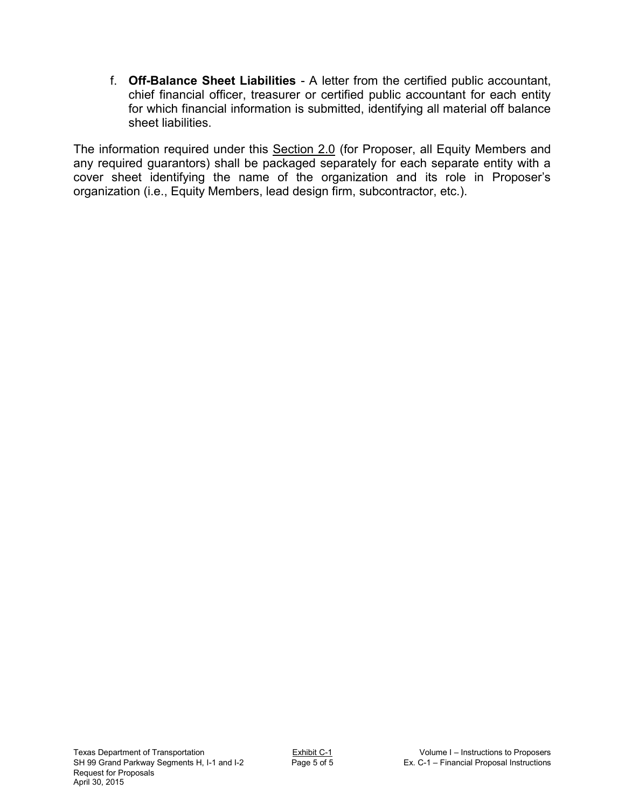f. **Off-Balance Sheet Liabilities** - A letter from the certified public accountant, chief financial officer, treasurer or certified public accountant for each entity for which financial information is submitted, identifying all material off balance sheet liabilities.

The information required under this Section 2.0 (for Proposer, all Equity Members and any required guarantors) shall be packaged separately for each separate entity with a cover sheet identifying the name of the organization and its role in Proposer's organization (i.e., Equity Members, lead design firm, subcontractor, etc.).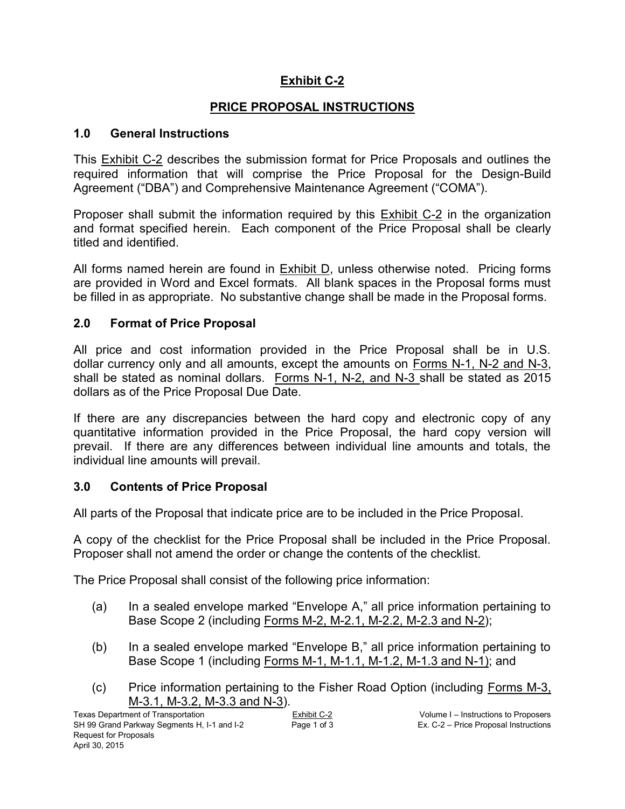## **Exhibit C-2**

## **PRICE PROPOSAL INSTRUCTIONS**

#### **1.0 General Instructions**

This Exhibit C-2 describes the submission format for Price Proposals and outlines the required information that will comprise the Price Proposal for the Design-Build Agreement ("DBA") and Comprehensive Maintenance Agreement ("COMA").

Proposer shall submit the information required by this Exhibit C-2 in the organization and format specified herein. Each component of the Price Proposal shall be clearly titled and identified.

All forms named herein are found in Exhibit D, unless otherwise noted. Pricing forms are provided in Word and Excel formats. All blank spaces in the Proposal forms must be filled in as appropriate. No substantive change shall be made in the Proposal forms.

#### **2.0 Format of Price Proposal**

All price and cost information provided in the Price Proposal shall be in U.S. dollar currency only and all amounts, except the amounts on Forms N-1, N-2 and N-3, shall be stated as nominal dollars. Forms N-1, N-2, and N-3 shall be stated as 2015 dollars as of the Price Proposal Due Date.

If there are any discrepancies between the hard copy and electronic copy of any quantitative information provided in the Price Proposal, the hard copy version will prevail. If there are any differences between individual line amounts and totals, the individual line amounts will prevail.

#### **3.0 Contents of Price Proposal**

All parts of the Proposal that indicate price are to be included in the Price Proposal.

A copy of the checklist for the Price Proposal shall be included in the Price Proposal. Proposer shall not amend the order or change the contents of the checklist.

The Price Proposal shall consist of the following price information:

- (a) In a sealed envelope marked "Envelope A," all price information pertaining to Base Scope 2 (including Forms M-2, M-2.1, M-2.2, M-2.3 and N-2);
- (b) In a sealed envelope marked "Envelope B," all price information pertaining to Base Scope 1 (including Forms M-1, M-1.1, M-1.2, M-1.3 and N-1); and
- (c) Price information pertaining to the Fisher Road Option (including Forms M-3, M-3.1, M-3.2, M-3.3 and N-3).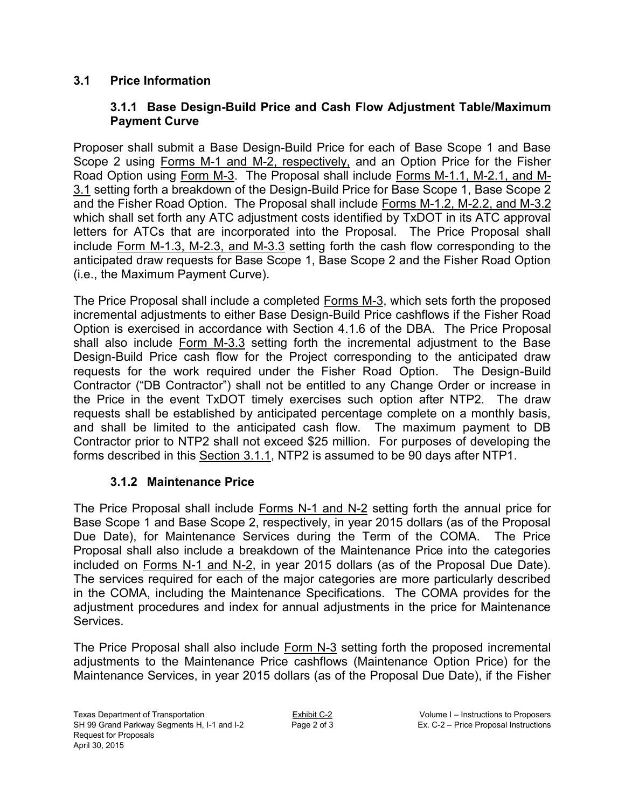## **3.1 Price Information**

## **3.1.1 Base Design-Build Price and Cash Flow Adjustment Table/Maximum Payment Curve**

Proposer shall submit a Base Design-Build Price for each of Base Scope 1 and Base Scope 2 using Forms M-1 and M-2, respectively, and an Option Price for the Fisher Road Option using Form M-3. The Proposal shall include Forms M-1.1, M-2.1, and M-3.1 setting forth a breakdown of the Design-Build Price for Base Scope 1, Base Scope 2 and the Fisher Road Option. The Proposal shall include Forms M-1.2, M-2.2, and M-3.2 which shall set forth any ATC adjustment costs identified by TxDOT in its ATC approval letters for ATCs that are incorporated into the Proposal. The Price Proposal shall include Form M-1.3, M-2.3, and M-3.3 setting forth the cash flow corresponding to the anticipated draw requests for Base Scope 1, Base Scope 2 and the Fisher Road Option (i.e., the Maximum Payment Curve).

The Price Proposal shall include a completed Forms M-3, which sets forth the proposed incremental adjustments to either Base Design-Build Price cashflows if the Fisher Road Option is exercised in accordance with Section 4.1.6 of the DBA. The Price Proposal shall also include Form M-3.3 setting forth the incremental adjustment to the Base Design-Build Price cash flow for the Project corresponding to the anticipated draw requests for the work required under the Fisher Road Option. The Design-Build Contractor ("DB Contractor") shall not be entitled to any Change Order or increase in the Price in the event TxDOT timely exercises such option after NTP2. The draw requests shall be established by anticipated percentage complete on a monthly basis, and shall be limited to the anticipated cash flow. The maximum payment to DB Contractor prior to NTP2 shall not exceed \$25 million. For purposes of developing the forms described in this Section 3.1.1, NTP2 is assumed to be 90 days after NTP1.

## **3.1.2 Maintenance Price**

The Price Proposal shall include Forms N-1 and N-2 setting forth the annual price for Base Scope 1 and Base Scope 2, respectively, in year 2015 dollars (as of the Proposal Due Date), for Maintenance Services during the Term of the COMA. The Price Proposal shall also include a breakdown of the Maintenance Price into the categories included on Forms N-1 and N-2, in year 2015 dollars (as of the Proposal Due Date). The services required for each of the major categories are more particularly described in the COMA, including the Maintenance Specifications. The COMA provides for the adjustment procedures and index for annual adjustments in the price for Maintenance **Services** 

The Price Proposal shall also include Form N-3 setting forth the proposed incremental adjustments to the Maintenance Price cashflows (Maintenance Option Price) for the Maintenance Services, in year 2015 dollars (as of the Proposal Due Date), if the Fisher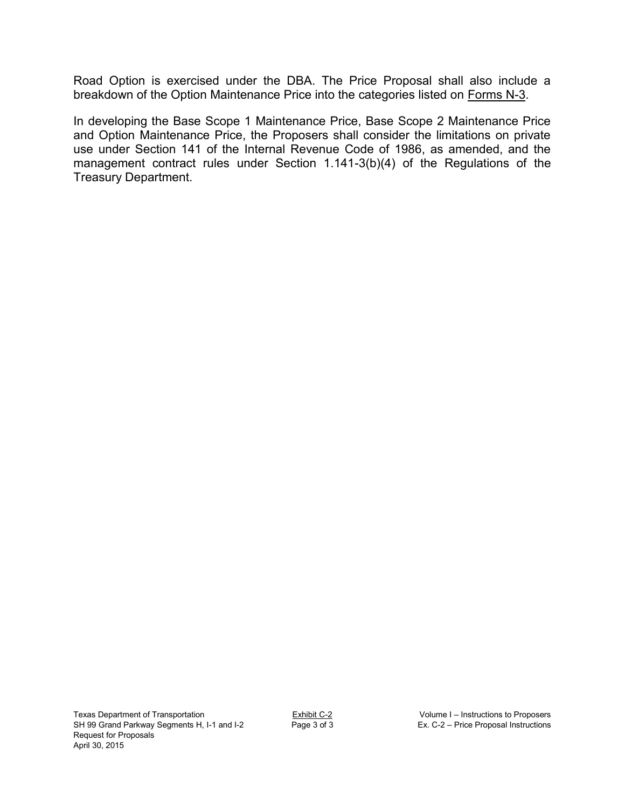Road Option is exercised under the DBA. The Price Proposal shall also include a breakdown of the Option Maintenance Price into the categories listed on Forms N-3.

In developing the Base Scope 1 Maintenance Price, Base Scope 2 Maintenance Price and Option Maintenance Price, the Proposers shall consider the limitations on private use under Section 141 of the Internal Revenue Code of 1986, as amended, and the management contract rules under Section 1.141-3(b)(4) of the Regulations of the Treasury Department.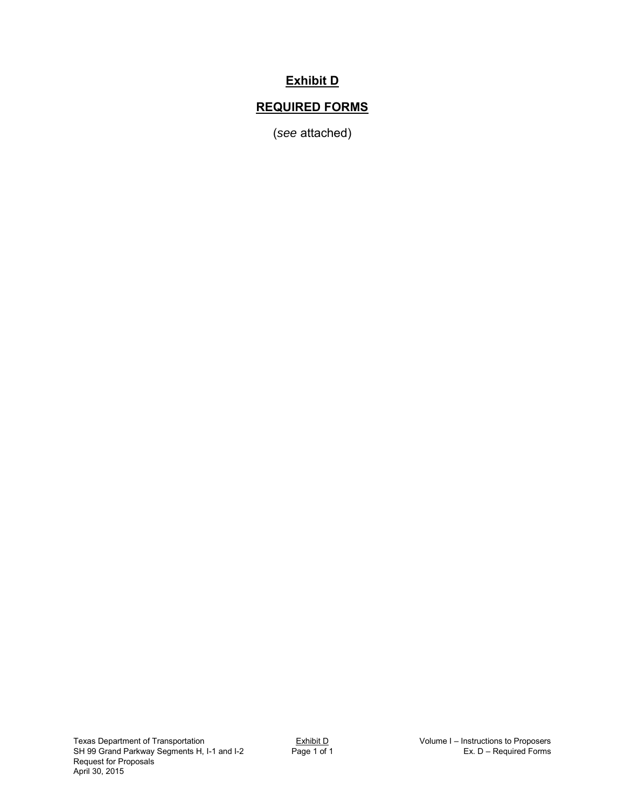## **Exhibit D**

## **REQUIRED FORMS**

(*see* attached)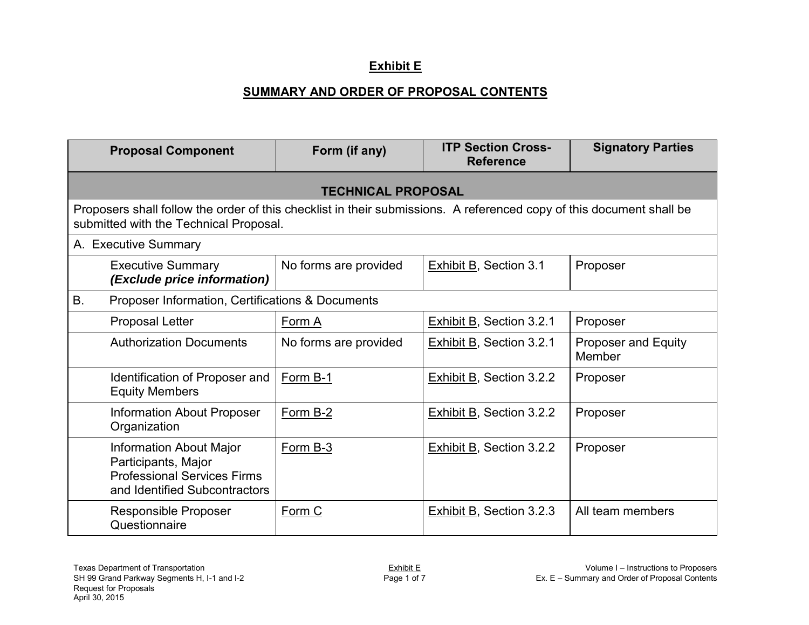## **Exhibit E**

## **SUMMARY AND ORDER OF PROPOSAL CONTENTS**

|    | <b>Proposal Component</b>                                                                                                                                      | Form (if any)             | <b>ITP Section Cross-</b><br><b>Reference</b> | <b>Signatory Parties</b>             |
|----|----------------------------------------------------------------------------------------------------------------------------------------------------------------|---------------------------|-----------------------------------------------|--------------------------------------|
|    |                                                                                                                                                                | <b>TECHNICAL PROPOSAL</b> |                                               |                                      |
|    | Proposers shall follow the order of this checklist in their submissions. A referenced copy of this document shall be<br>submitted with the Technical Proposal. |                           |                                               |                                      |
|    | A. Executive Summary                                                                                                                                           |                           |                                               |                                      |
|    | <b>Executive Summary</b><br>(Exclude price information)                                                                                                        | No forms are provided     | <b>Exhibit B, Section 3.1</b>                 | Proposer                             |
| B. | Proposer Information, Certifications & Documents                                                                                                               |                           |                                               |                                      |
|    | Proposal Letter                                                                                                                                                | Form A                    | Exhibit B, Section 3.2.1                      | Proposer                             |
|    | <b>Authorization Documents</b>                                                                                                                                 | No forms are provided     | Exhibit B, Section 3.2.1                      | <b>Proposer and Equity</b><br>Member |
|    | Identification of Proposer and<br><b>Equity Members</b>                                                                                                        | Form B-1                  | <b>Exhibit B, Section 3.2.2</b>               | Proposer                             |
|    | <b>Information About Proposer</b><br>Organization                                                                                                              | Form B-2                  | Exhibit B, Section 3.2.2                      | Proposer                             |
|    | <b>Information About Major</b><br>Participants, Major<br><b>Professional Services Firms</b><br>and Identified Subcontractors                                   | Form B-3                  | Exhibit B, Section 3.2.2                      | Proposer                             |
|    | Responsible Proposer<br>Questionnaire                                                                                                                          | Form C                    | Exhibit B, Section 3.2.3                      | All team members                     |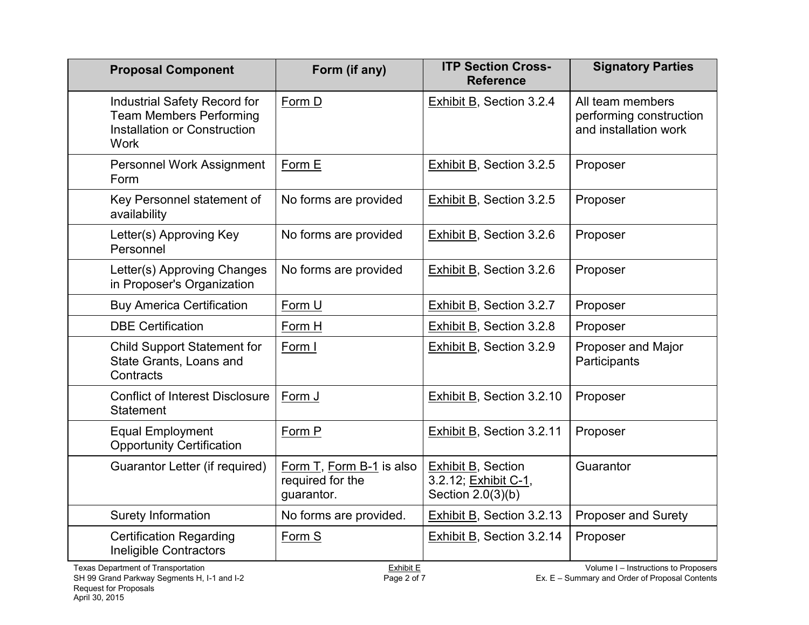| <b>Proposal Component</b>                                                                                     | Form (if any)                                              | <b>ITP Section Cross-</b><br><b>Reference</b>                          | <b>Signatory Parties</b>                                             |
|---------------------------------------------------------------------------------------------------------------|------------------------------------------------------------|------------------------------------------------------------------------|----------------------------------------------------------------------|
| Industrial Safety Record for<br><b>Team Members Performing</b><br>Installation or Construction<br><b>Work</b> | Form D                                                     | <b>Exhibit B, Section 3.2.4</b>                                        | All team members<br>performing construction<br>and installation work |
| Personnel Work Assignment<br>Form                                                                             | Form E                                                     | Exhibit B, Section 3.2.5                                               | Proposer                                                             |
| Key Personnel statement of<br>availability                                                                    | No forms are provided                                      | <b>Exhibit B, Section 3.2.5</b>                                        | Proposer                                                             |
| Letter(s) Approving Key<br>Personnel                                                                          | No forms are provided                                      | <b>Exhibit B, Section 3.2.6</b>                                        | Proposer                                                             |
| Letter(s) Approving Changes<br>in Proposer's Organization                                                     | No forms are provided                                      | <b>Exhibit B, Section 3.2.6</b>                                        | Proposer                                                             |
| <b>Buy America Certification</b>                                                                              | Form U                                                     | Exhibit B, Section 3.2.7                                               | Proposer                                                             |
| <b>DBE Certification</b>                                                                                      | Form H                                                     | <b>Exhibit B, Section 3.2.8</b>                                        | Proposer                                                             |
| <b>Child Support Statement for</b><br>State Grants, Loans and<br>Contracts                                    | Form I                                                     | Exhibit B, Section 3.2.9                                               | Proposer and Major<br>Participants                                   |
| <b>Conflict of Interest Disclosure</b><br><b>Statement</b>                                                    | Form J                                                     | <b>Exhibit B, Section 3.2.10</b>                                       | Proposer                                                             |
| <b>Equal Employment</b><br><b>Opportunity Certification</b>                                                   | Form P                                                     | Exhibit B, Section 3.2.11                                              | Proposer                                                             |
| Guarantor Letter (if required)                                                                                | Form T, Form B-1 is also<br>required for the<br>quarantor. | <b>Exhibit B, Section</b><br>3.2.12; Exhibit C-1,<br>Section 2.0(3)(b) | Guarantor                                                            |
| Surety Information                                                                                            | No forms are provided.                                     | <b>Exhibit B, Section 3.2.13</b>                                       | <b>Proposer and Surety</b>                                           |
| <b>Certification Regarding</b><br><b>Ineligible Contractors</b>                                               | Form S                                                     | Exhibit B, Section 3.2.14                                              | Proposer                                                             |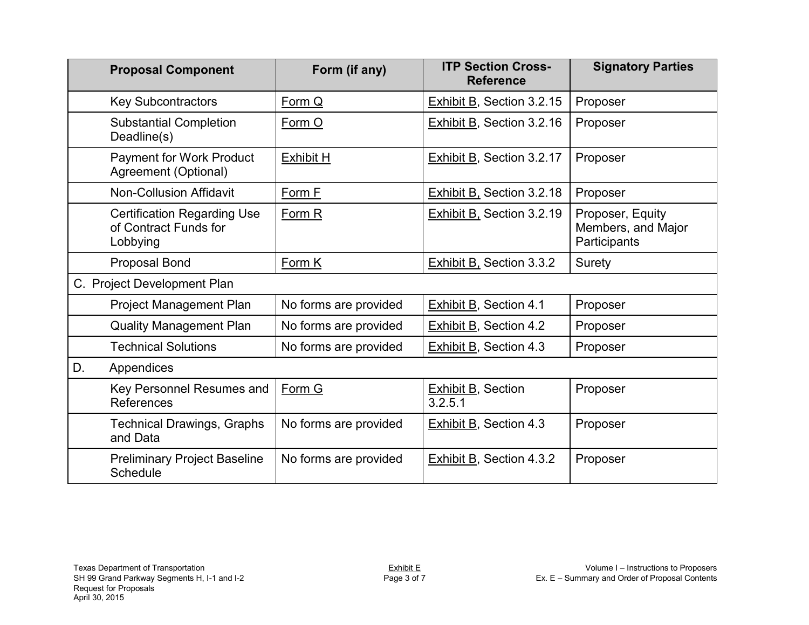|    | <b>Proposal Component</b>                                               | Form (if any)         | <b>ITP Section Cross-</b><br><b>Reference</b> | <b>Signatory Parties</b>                               |
|----|-------------------------------------------------------------------------|-----------------------|-----------------------------------------------|--------------------------------------------------------|
|    | <b>Key Subcontractors</b>                                               | Form Q                | <b>Exhibit B, Section 3.2.15</b>              | Proposer                                               |
|    | <b>Substantial Completion</b><br>Deadline(s)                            | Form O                | <b>Exhibit B, Section 3.2.16</b>              | Proposer                                               |
|    | <b>Payment for Work Product</b><br>Agreement (Optional)                 | <b>Exhibit H</b>      | Exhibit B, Section 3.2.17                     | Proposer                                               |
|    | <b>Non-Collusion Affidavit</b>                                          | Form F                | <b>Exhibit B, Section 3.2.18</b>              | Proposer                                               |
|    | <b>Certification Regarding Use</b><br>of Contract Funds for<br>Lobbying | Form R                | <b>Exhibit B, Section 3.2.19</b>              | Proposer, Equity<br>Members, and Major<br>Participants |
|    | Proposal Bond                                                           | Form K                | <b>Exhibit B, Section 3.3.2</b>               | Surety                                                 |
|    | C. Project Development Plan                                             |                       |                                               |                                                        |
|    | <b>Project Management Plan</b>                                          | No forms are provided | Exhibit B, Section 4.1                        | Proposer                                               |
|    | <b>Quality Management Plan</b>                                          | No forms are provided | <b>Exhibit B, Section 4.2</b>                 | Proposer                                               |
|    | <b>Technical Solutions</b>                                              | No forms are provided | <b>Exhibit B, Section 4.3</b>                 | Proposer                                               |
| D. | Appendices                                                              |                       |                                               |                                                        |
|    | Key Personnel Resumes and<br>References                                 | Form G                | <b>Exhibit B, Section</b><br>3.2.5.1          | Proposer                                               |
|    | <b>Technical Drawings, Graphs</b><br>and Data                           | No forms are provided | <b>Exhibit B, Section 4.3</b>                 | Proposer                                               |
|    | <b>Preliminary Project Baseline</b><br><b>Schedule</b>                  | No forms are provided | Exhibit B, Section 4.3.2                      | Proposer                                               |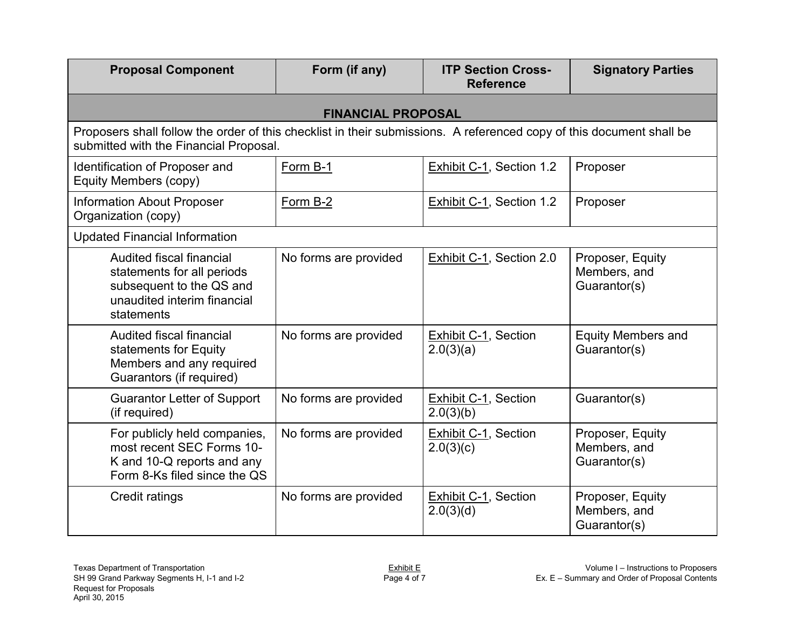| <b>Proposal Component</b>                                                                                                                                      | Form (if any)             | <b>ITP Section Cross-</b><br><b>Reference</b> | <b>Signatory Parties</b>                         |
|----------------------------------------------------------------------------------------------------------------------------------------------------------------|---------------------------|-----------------------------------------------|--------------------------------------------------|
|                                                                                                                                                                | <b>FINANCIAL PROPOSAL</b> |                                               |                                                  |
| Proposers shall follow the order of this checklist in their submissions. A referenced copy of this document shall be<br>submitted with the Financial Proposal. |                           |                                               |                                                  |
| Identification of Proposer and<br>Equity Members (copy)                                                                                                        | Form B-1                  | Exhibit C-1, Section 1.2                      | Proposer                                         |
| <b>Information About Proposer</b><br>Organization (copy)                                                                                                       | Form B-2                  | Exhibit C-1, Section 1.2                      | Proposer                                         |
| <b>Updated Financial Information</b>                                                                                                                           |                           |                                               |                                                  |
| Audited fiscal financial<br>statements for all periods<br>subsequent to the QS and<br>unaudited interim financial<br>statements                                | No forms are provided     | Exhibit C-1, Section 2.0                      | Proposer, Equity<br>Members, and<br>Guarantor(s) |
| Audited fiscal financial<br>statements for Equity<br>Members and any required<br>Guarantors (if required)                                                      | No forms are provided     | Exhibit C-1, Section<br>2.0(3)(a)             | <b>Equity Members and</b><br>Guarantor(s)        |
| <b>Guarantor Letter of Support</b><br>(if required)                                                                                                            | No forms are provided     | <b>Exhibit C-1, Section</b><br>2.0(3)(b)      | Guarantor(s)                                     |
| For publicly held companies,<br>most recent SEC Forms 10-<br>K and 10-Q reports and any<br>Form 8-Ks filed since the QS                                        | No forms are provided     | <b>Exhibit C-1, Section</b><br>2.0(3)(c)      | Proposer, Equity<br>Members, and<br>Guarantor(s) |
| Credit ratings                                                                                                                                                 | No forms are provided     | Exhibit C-1, Section<br>2.0(3)(d)             | Proposer, Equity<br>Members, and<br>Guarantor(s) |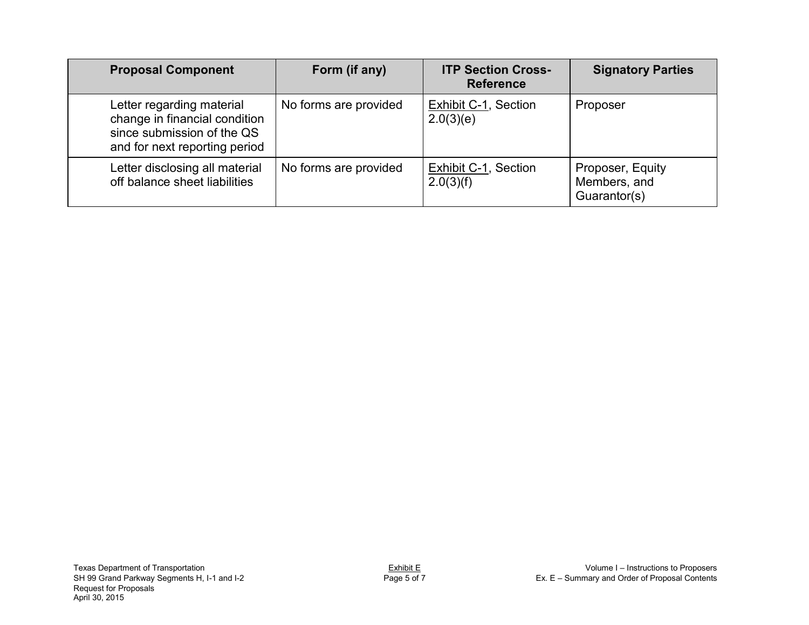| <b>Proposal Component</b>                                                                                                 | Form (if any)         | <b>ITP Section Cross-</b><br><b>Reference</b> | <b>Signatory Parties</b>                         |
|---------------------------------------------------------------------------------------------------------------------------|-----------------------|-----------------------------------------------|--------------------------------------------------|
| Letter regarding material<br>change in financial condition<br>since submission of the QS<br>and for next reporting period | No forms are provided | Exhibit C-1, Section<br>2.0(3)(e)             | Proposer                                         |
| Letter disclosing all material<br>off balance sheet liabilities                                                           | No forms are provided | <b>Exhibit C-1, Section</b><br>2.0(3)(f)      | Proposer, Equity<br>Members, and<br>Guarantor(s) |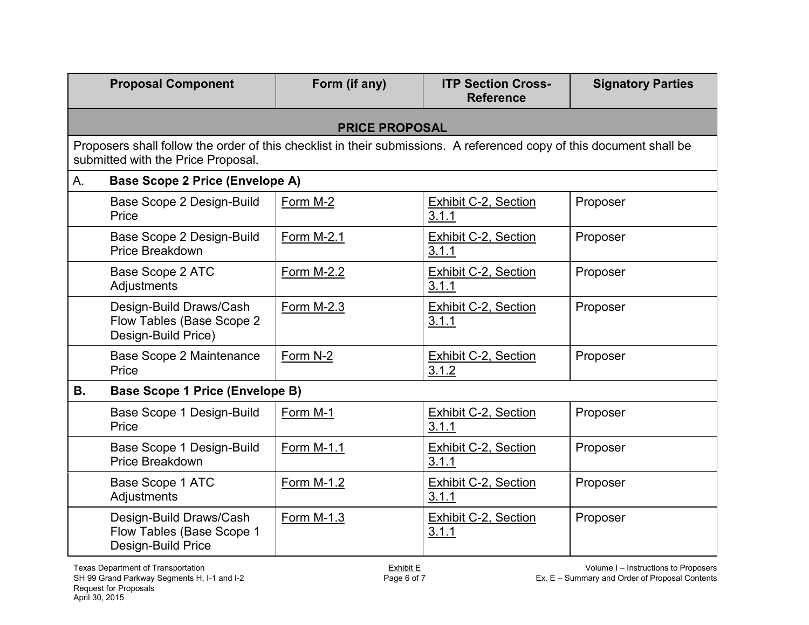|           | <b>Proposal Component</b>                                                                                                                                  | Form (if any)         | <b>ITP Section Cross-</b><br><b>Reference</b> | <b>Signatory Parties</b> |
|-----------|------------------------------------------------------------------------------------------------------------------------------------------------------------|-----------------------|-----------------------------------------------|--------------------------|
|           |                                                                                                                                                            | <b>PRICE PROPOSAL</b> |                                               |                          |
|           | Proposers shall follow the order of this checklist in their submissions. A referenced copy of this document shall be<br>submitted with the Price Proposal. |                       |                                               |                          |
| A.        | <b>Base Scope 2 Price (Envelope A)</b>                                                                                                                     |                       |                                               |                          |
|           | Base Scope 2 Design-Build<br>Price                                                                                                                         | Form M-2              | <b>Exhibit C-2, Section</b><br>3.1.1          | Proposer                 |
|           | Base Scope 2 Design-Build<br>Price Breakdown                                                                                                               | Form M-2.1            | <b>Exhibit C-2, Section</b><br>3.1.1          | Proposer                 |
|           | <b>Base Scope 2 ATC</b><br>Adjustments                                                                                                                     | Form M-2.2            | <b>Exhibit C-2, Section</b><br>3.1.1          | Proposer                 |
|           | Design-Build Draws/Cash<br>Flow Tables (Base Scope 2<br>Design-Build Price)                                                                                | Form M-2.3            | Exhibit C-2, Section<br>3.1.1                 | Proposer                 |
|           | <b>Base Scope 2 Maintenance</b><br>Price                                                                                                                   | Form N-2              | Exhibit C-2, Section<br>3.1.2                 | Proposer                 |
| <b>B.</b> | <b>Base Scope 1 Price (Envelope B)</b>                                                                                                                     |                       |                                               |                          |
|           | Base Scope 1 Design-Build<br>Price                                                                                                                         | Form M-1              | Exhibit C-2, Section<br>3.1.1                 | Proposer                 |
|           | Base Scope 1 Design-Build<br><b>Price Breakdown</b>                                                                                                        | Form M-1.1            | <b>Exhibit C-2, Section</b><br>3.1.1          | Proposer                 |
|           | Base Scope 1 ATC<br>Adjustments                                                                                                                            | Form M-1.2            | <b>Exhibit C-2, Section</b><br>3.1.1          | Proposer                 |
|           | Design-Build Draws/Cash<br>Flow Tables (Base Scope 1<br>Design-Build Price                                                                                 | Form M-1.3            | <b>Exhibit C-2, Section</b><br>3.1.1          | Proposer                 |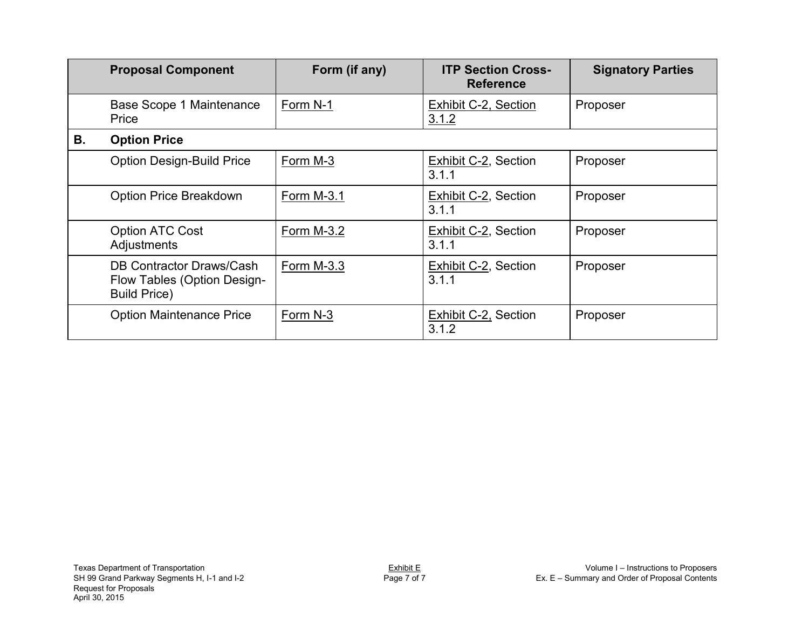|    | <b>Proposal Component</b>                                                      | Form (if any) | <b>ITP Section Cross-</b><br><b>Reference</b> | <b>Signatory Parties</b> |
|----|--------------------------------------------------------------------------------|---------------|-----------------------------------------------|--------------------------|
|    | Base Scope 1 Maintenance<br>Price                                              | Form N-1      | Exhibit C-2, Section<br>3.1.2                 | Proposer                 |
| В. | <b>Option Price</b>                                                            |               |                                               |                          |
|    | <b>Option Design-Build Price</b>                                               | Form M-3      | <b>Exhibit C-2, Section</b><br>3.1.1          | Proposer                 |
|    | <b>Option Price Breakdown</b>                                                  | Form M-3.1    | <b>Exhibit C-2, Section</b><br>3.1.1          | Proposer                 |
|    | <b>Option ATC Cost</b><br>Adjustments                                          | Form M-3.2    | <b>Exhibit C-2, Section</b><br>3.1.1          | Proposer                 |
|    | DB Contractor Draws/Cash<br>Flow Tables (Option Design-<br><b>Build Price)</b> | Form M-3.3    | <b>Exhibit C-2, Section</b><br>3.1.1          | Proposer                 |
|    | <b>Option Maintenance Price</b>                                                | Form N-3      | Exhibit C-2, Section<br>3.1.2                 | Proposer                 |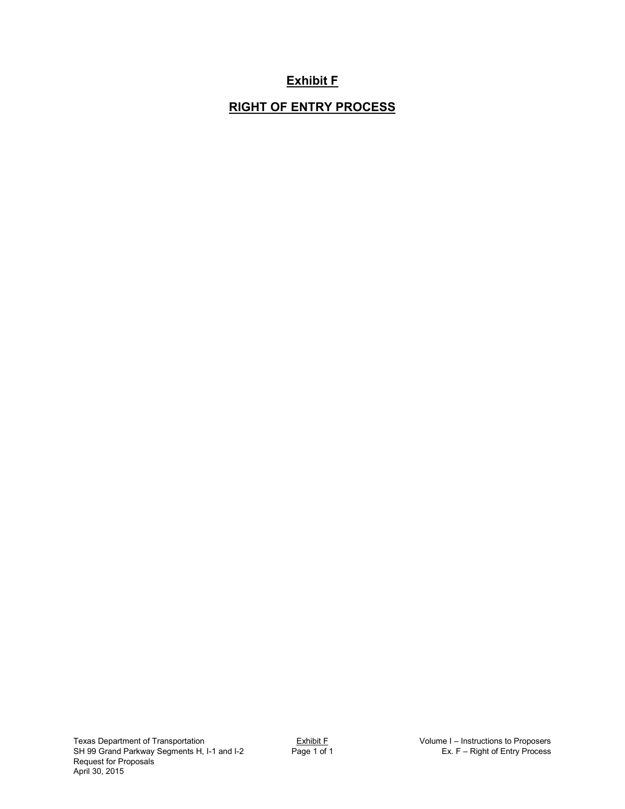## **Exhibit F**

## **RIGHT OF ENTRY PROCESS**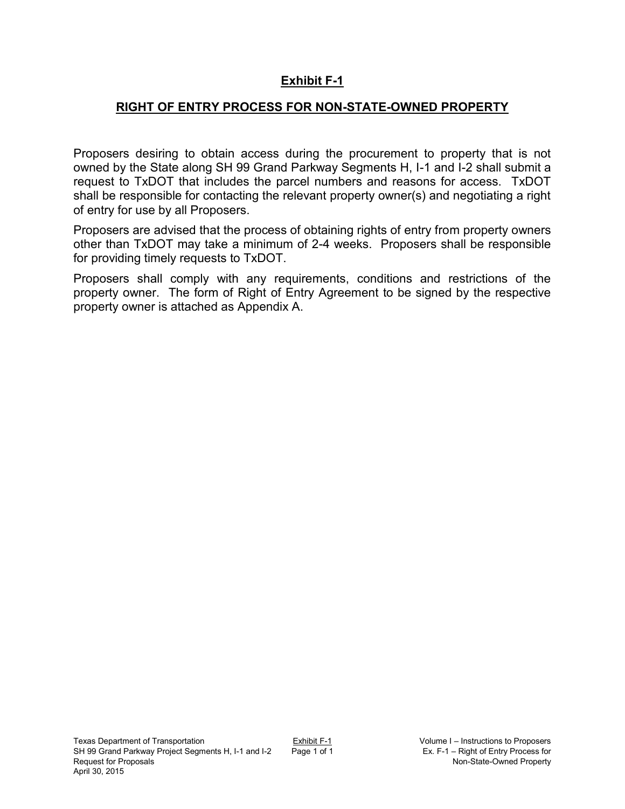## **Exhibit F-1**

## **RIGHT OF ENTRY PROCESS FOR NON-STATE-OWNED PROPERTY**

Proposers desiring to obtain access during the procurement to property that is not owned by the State along SH 99 Grand Parkway Segments H, I-1 and I-2 shall submit a request to TxDOT that includes the parcel numbers and reasons for access. TxDOT shall be responsible for contacting the relevant property owner(s) and negotiating a right of entry for use by all Proposers.

Proposers are advised that the process of obtaining rights of entry from property owners other than TxDOT may take a minimum of 2-4 weeks. Proposers shall be responsible for providing timely requests to TxDOT.

Proposers shall comply with any requirements, conditions and restrictions of the property owner. The form of Right of Entry Agreement to be signed by the respective property owner is attached as Appendix A.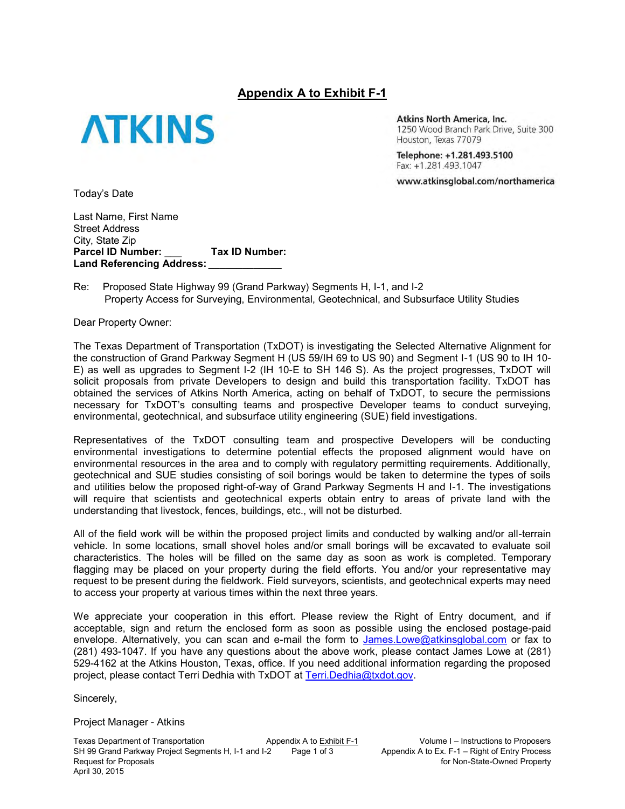#### **Appendix A to Exhibit F-1**



Atkins North America, Inc. 1250 Wood Branch Park Drive, Suite 300 Houston, Texas 77079

Telephone: +1.281.493.5100 Fax: +1.281.493.1047

www.atkinsglobal.com/northamerica

Today's Date

Last Name, First Name Street Address City, State Zip **Parcel ID Number:** \_\_\_ **Tax ID Number:**  Land Referencing Address:

Re: Proposed State Highway 99 (Grand Parkway) Segments H, I-1, and I-2 Property Access for Surveying, Environmental, Geotechnical, and Subsurface Utility Studies

Dear Property Owner:

The Texas Department of Transportation (TxDOT) is investigating the Selected Alternative Alignment for the construction of Grand Parkway Segment H (US 59/IH 69 to US 90) and Segment I-1 (US 90 to IH 10- E) as well as upgrades to Segment I-2 (IH 10-E to SH 146 S). As the project progresses, TxDOT will solicit proposals from private Developers to design and build this transportation facility. TxDOT has obtained the services of Atkins North America, acting on behalf of TxDOT, to secure the permissions necessary for TxDOT's consulting teams and prospective Developer teams to conduct surveying, environmental, geotechnical, and subsurface utility engineering (SUE) field investigations.

Representatives of the TxDOT consulting team and prospective Developers will be conducting environmental investigations to determine potential effects the proposed alignment would have on environmental resources in the area and to comply with regulatory permitting requirements. Additionally, geotechnical and SUE studies consisting of soil borings would be taken to determine the types of soils and utilities below the proposed right-of-way of Grand Parkway Segments H and I-1. The investigations will require that scientists and geotechnical experts obtain entry to areas of private land with the understanding that livestock, fences, buildings, etc., will not be disturbed.

All of the field work will be within the proposed project limits and conducted by walking and/or all-terrain vehicle. In some locations, small shovel holes and/or small borings will be excavated to evaluate soil characteristics. The holes will be filled on the same day as soon as work is completed. Temporary flagging may be placed on your property during the field efforts. You and/or your representative may request to be present during the fieldwork. Field surveyors, scientists, and geotechnical experts may need to access your property at various times within the next three years.

We appreciate your cooperation in this effort. Please review the Right of Entry document, and if acceptable, sign and return the enclosed form as soon as possible using the enclosed postage-paid envelope. Alternatively, you can scan and e-mail the form to [James.Lowe@atkinsglobal.com](mailto:James.Lowe@atkinsglobal.com) or fax to (281) 493-1047. If you have any questions about the above work, please contact James Lowe at (281) 529-4162 at the Atkins Houston, Texas, office. If you need additional information regarding the proposed project, please contact Terri Dedhia with TxDOT at [Terri.Dedhia@txdot.gov.](mailto:Terri.Dedhia@txdot.gov)

Sincerely,

Project Manager - Atkins

Texas Department of Transportation **Appendix A to Exhibit F-1** Volume I – Instructions to Proposers SH 99 Grand Parkway Project Segments H, I-1 and I-2 Page 1 of 3 Appendix A to Ex. F-1 – Right of Entry Process SH 99 Grand Parkway Project Segments H, I-1 and I-2 Page 1 of 3 Request for Proposals **For Accept and Contract Contract Contract Contract Contract Contract Contract Contract Contract Contract Contract Contract Contract Contract Contract Contract Contract Contract Contract Contract Cont** April 30, 2015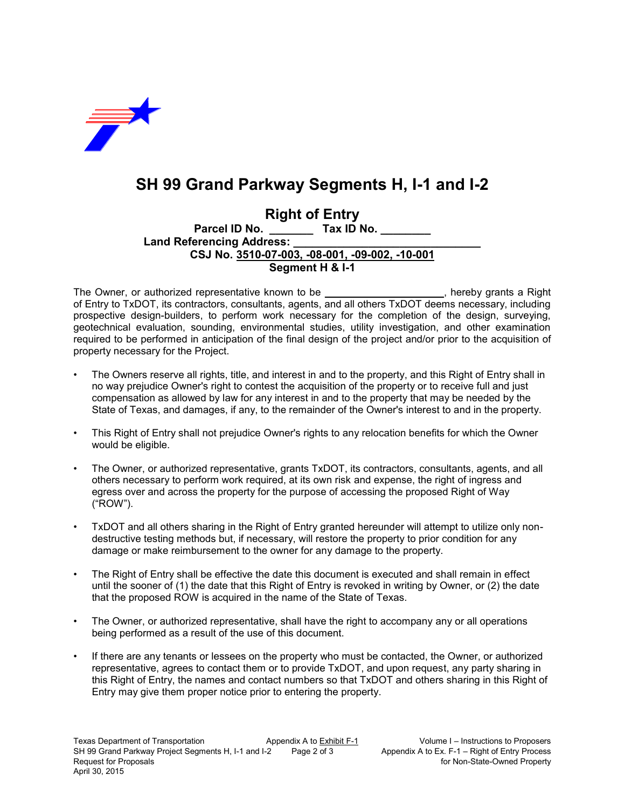

# **SH 99 Grand Parkway Segments H, I-1 and I-2**

**Right of Entry<br>Parcel ID No.** Tax ID I **Parcel ID No. \_\_\_\_\_\_\_ Tax ID No. \_\_\_\_\_\_\_\_** Land Referencing Address: **CSJ No. 3510-07-003, -08-001, -09-002, -10-001 Segment H & I-1** 

The Owner, or authorized representative known to be **\_\_\_\_\_\_\_\_\_\_\_\_\_\_\_\_\_\_\_\_\_**, hereby grants a Right of Entry to TxDOT, its contractors, consultants, agents, and all others TxDOT deems necessary, including prospective design-builders, to perform work necessary for the completion of the design, surveying, geotechnical evaluation, sounding, environmental studies, utility investigation, and other examination required to be performed in anticipation of the final design of the project and/or prior to the acquisition of property necessary for the Project.

- The Owners reserve all rights, title, and interest in and to the property, and this Right of Entry shall in no way prejudice Owner's right to contest the acquisition of the property or to receive full and just compensation as allowed by law for any interest in and to the property that may be needed by the State of Texas, and damages, if any, to the remainder of the Owner's interest to and in the property.
- This Right of Entry shall not prejudice Owner's rights to any relocation benefits for which the Owner would be eligible.
- The Owner, or authorized representative, grants TxDOT, its contractors, consultants, agents, and all others necessary to perform work required, at its own risk and expense, the right of ingress and egress over and across the property for the purpose of accessing the proposed Right of Way ("ROW").
- TxDOT and all others sharing in the Right of Entry granted hereunder will attempt to utilize only nondestructive testing methods but, if necessary, will restore the property to prior condition for any damage or make reimbursement to the owner for any damage to the property.
- The Right of Entry shall be effective the date this document is executed and shall remain in effect until the sooner of (1) the date that this Right of Entry is revoked in writing by Owner, or (2) the date that the proposed ROW is acquired in the name of the State of Texas.
- The Owner, or authorized representative, shall have the right to accompany any or all operations being performed as a result of the use of this document.
- If there are any tenants or lessees on the property who must be contacted, the Owner, or authorized representative, agrees to contact them or to provide TxDOT, and upon request, any party sharing in this Right of Entry, the names and contact numbers so that TxDOT and others sharing in this Right of Entry may give them proper notice prior to entering the property.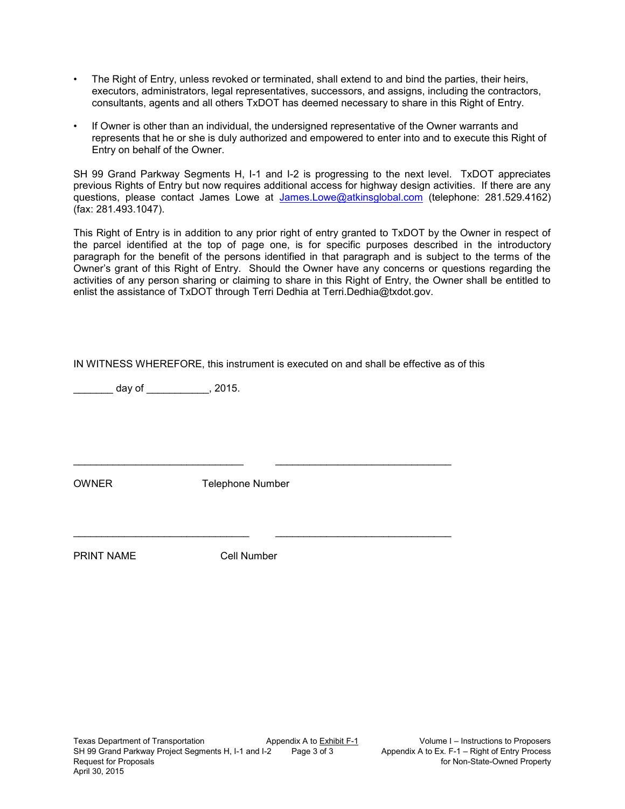- The Right of Entry, unless revoked or terminated, shall extend to and bind the parties, their heirs, executors, administrators, legal representatives, successors, and assigns, including the contractors, consultants, agents and all others TxDOT has deemed necessary to share in this Right of Entry.
- If Owner is other than an individual, the undersigned representative of the Owner warrants and represents that he or she is duly authorized and empowered to enter into and to execute this Right of Entry on behalf of the Owner.

SH 99 Grand Parkway Segments H, I-1 and I-2 is progressing to the next level. TxDOT appreciates previous Rights of Entry but now requires additional access for highway design activities. If there are any questions, please contact James Lowe at [James.Lowe@atkinsglobal.com](mailto:James.Lowe@atkinsglobal.com) (telephone: 281.529.4162) (fax: 281.493.1047).

This Right of Entry is in addition to any prior right of entry granted to TxDOT by the Owner in respect of the parcel identified at the top of page one, is for specific purposes described in the introductory paragraph for the benefit of the persons identified in that paragraph and is subject to the terms of the Owner's grant of this Right of Entry. Should the Owner have any concerns or questions regarding the activities of any person sharing or claiming to share in this Right of Entry, the Owner shall be entitled to enlist the assistance of TxDOT through Terri Dedhia at Terri.Dedhia@txdot.gov.

|  |  | IN WITNESS WHEREFORE, this instrument is executed on and shall be effective as of this |
|--|--|----------------------------------------------------------------------------------------|
|--|--|----------------------------------------------------------------------------------------|

 $day of$ , 2015.

OWNER Telephone Number

\_\_\_\_\_\_\_\_\_\_\_\_\_\_\_\_\_\_\_\_\_\_\_\_\_\_\_\_\_\_ \_\_\_\_\_\_\_\_\_\_\_\_\_\_\_\_\_\_\_\_\_\_\_\_\_\_\_\_\_\_\_

\_\_\_\_\_\_\_\_\_\_\_\_\_\_\_\_\_\_\_\_\_\_\_\_\_\_\_\_\_\_\_ \_\_\_\_\_\_\_\_\_\_\_\_\_\_\_\_\_\_\_\_\_\_\_\_\_\_\_\_\_\_\_

PRINT NAME Cell Number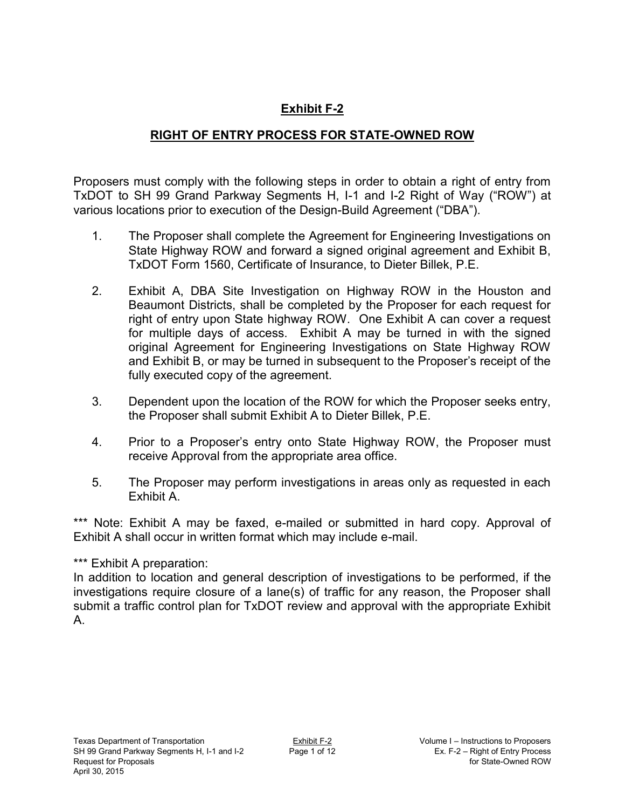## **Exhibit F-2**

## **RIGHT OF ENTRY PROCESS FOR STATE-OWNED ROW**

Proposers must comply with the following steps in order to obtain a right of entry from TxDOT to SH 99 Grand Parkway Segments H, I-1 and I-2 Right of Way ("ROW") at various locations prior to execution of the Design-Build Agreement ("DBA").

- 1. The Proposer shall complete the Agreement for Engineering Investigations on State Highway ROW and forward a signed original agreement and Exhibit B, TxDOT Form 1560, Certificate of Insurance, to Dieter Billek, P.E.
- 2. Exhibit A, DBA Site Investigation on Highway ROW in the Houston and Beaumont Districts, shall be completed by the Proposer for each request for right of entry upon State highway ROW. One Exhibit A can cover a request for multiple days of access. Exhibit A may be turned in with the signed original Agreement for Engineering Investigations on State Highway ROW and Exhibit B, or may be turned in subsequent to the Proposer's receipt of the fully executed copy of the agreement.
- 3. Dependent upon the location of the ROW for which the Proposer seeks entry, the Proposer shall submit Exhibit A to Dieter Billek, P.E.
- 4. Prior to a Proposer's entry onto State Highway ROW, the Proposer must receive Approval from the appropriate area office.
- 5. The Proposer may perform investigations in areas only as requested in each Exhibit A.

\*\*\* Note: Exhibit A may be faxed, e-mailed or submitted in hard copy. Approval of Exhibit A shall occur in written format which may include e-mail.

## \*\*\* Exhibit A preparation:

In addition to location and general description of investigations to be performed, if the investigations require closure of a lane(s) of traffic for any reason, the Proposer shall submit a traffic control plan for TxDOT review and approval with the appropriate Exhibit A.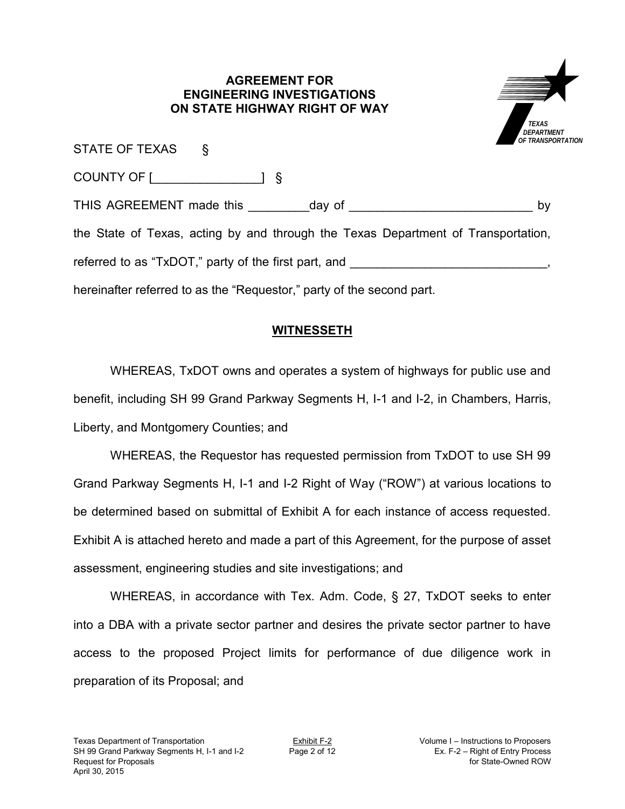#### **AGREEMENT FOR ENGINEERING INVESTIGATIONS ON STATE HIGHWAY RIGHT OF WAY**



| STATE OF TEXAS §                                                                  |  |
|-----------------------------------------------------------------------------------|--|
| COUNTY OF [ <b>willenger</b> ] §                                                  |  |
| by                                                                                |  |
| the State of Texas, acting by and through the Texas Department of Transportation, |  |
| referred to as "TxDOT," party of the first part, and ___________________________  |  |
| hereinafter referred to as the "Requestor," party of the second part.             |  |

## **WITNESSETH**

WHEREAS, TxDOT owns and operates a system of highways for public use and benefit, including SH 99 Grand Parkway Segments H, I-1 and I-2, in Chambers, Harris, Liberty, and Montgomery Counties; and

WHEREAS, the Requestor has requested permission from TxDOT to use SH 99 Grand Parkway Segments H, I-1 and I-2 Right of Way ("ROW") at various locations to be determined based on submittal of Exhibit A for each instance of access requested. Exhibit A is attached hereto and made a part of this Agreement, for the purpose of asset assessment, engineering studies and site investigations; and

WHEREAS, in accordance with Tex. Adm. Code, § 27, TxDOT seeks to enter into a DBA with a private sector partner and desires the private sector partner to have access to the proposed Project limits for performance of due diligence work in preparation of its Proposal; and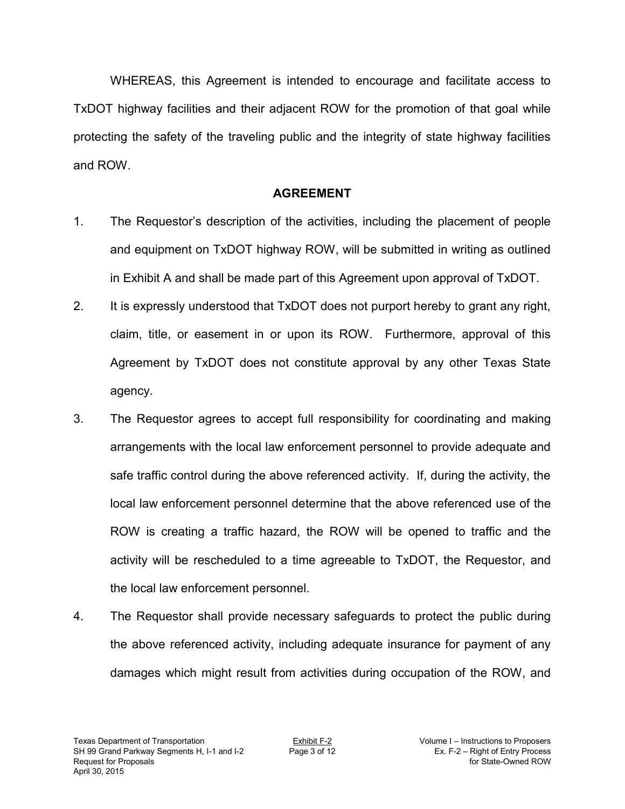WHEREAS, this Agreement is intended to encourage and facilitate access to TxDOT highway facilities and their adjacent ROW for the promotion of that goal while protecting the safety of the traveling public and the integrity of state highway facilities and ROW.

## **AGREEMENT**

- 1. The Requestor's description of the activities, including the placement of people and equipment on TxDOT highway ROW, will be submitted in writing as outlined in Exhibit A and shall be made part of this Agreement upon approval of TxDOT.
- 2. It is expressly understood that TxDOT does not purport hereby to grant any right, claim, title, or easement in or upon its ROW. Furthermore, approval of this Agreement by TxDOT does not constitute approval by any other Texas State agency.
- 3. The Requestor agrees to accept full responsibility for coordinating and making arrangements with the local law enforcement personnel to provide adequate and safe traffic control during the above referenced activity. If, during the activity, the local law enforcement personnel determine that the above referenced use of the ROW is creating a traffic hazard, the ROW will be opened to traffic and the activity will be rescheduled to a time agreeable to TxDOT, the Requestor, and the local law enforcement personnel.
- 4. The Requestor shall provide necessary safeguards to protect the public during the above referenced activity, including adequate insurance for payment of any damages which might result from activities during occupation of the ROW, and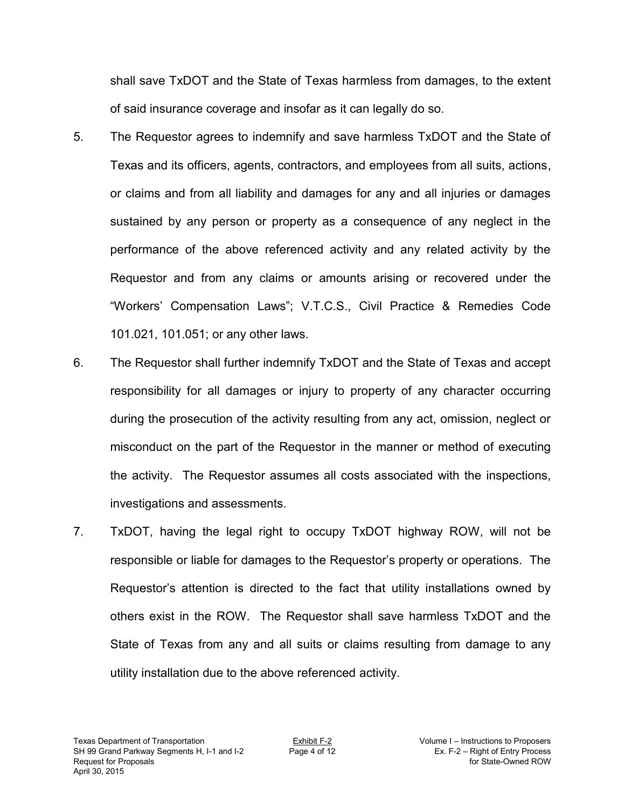shall save TxDOT and the State of Texas harmless from damages, to the extent of said insurance coverage and insofar as it can legally do so.

- 5. The Requestor agrees to indemnify and save harmless TxDOT and the State of Texas and its officers, agents, contractors, and employees from all suits, actions, or claims and from all liability and damages for any and all injuries or damages sustained by any person or property as a consequence of any neglect in the performance of the above referenced activity and any related activity by the Requestor and from any claims or amounts arising or recovered under the "Workers' Compensation Laws"; V.T.C.S., Civil Practice & Remedies Code 101.021, 101.051; or any other laws.
- 6. The Requestor shall further indemnify TxDOT and the State of Texas and accept responsibility for all damages or injury to property of any character occurring during the prosecution of the activity resulting from any act, omission, neglect or misconduct on the part of the Requestor in the manner or method of executing the activity. The Requestor assumes all costs associated with the inspections, investigations and assessments.
- 7. TxDOT, having the legal right to occupy TxDOT highway ROW, will not be responsible or liable for damages to the Requestor's property or operations. The Requestor's attention is directed to the fact that utility installations owned by others exist in the ROW. The Requestor shall save harmless TxDOT and the State of Texas from any and all suits or claims resulting from damage to any utility installation due to the above referenced activity.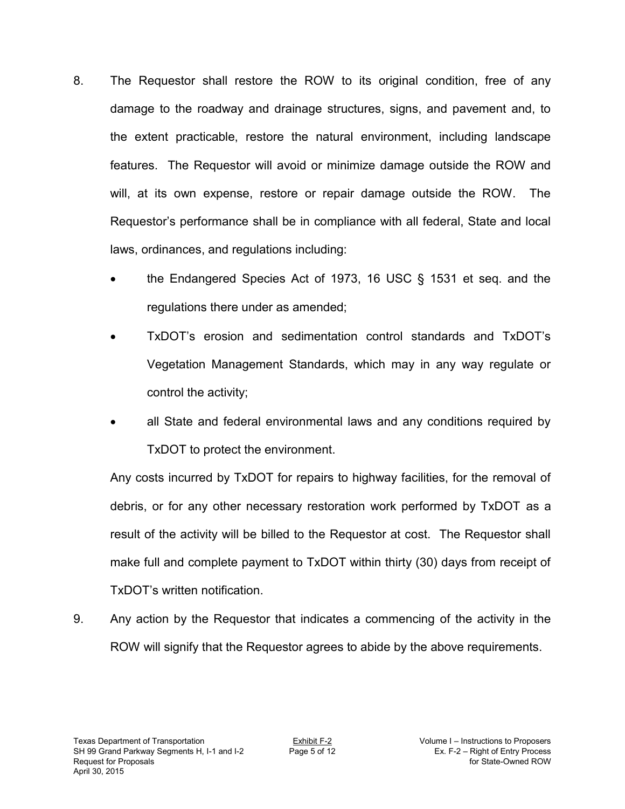- 8. The Requestor shall restore the ROW to its original condition, free of any damage to the roadway and drainage structures, signs, and pavement and, to the extent practicable, restore the natural environment, including landscape features. The Requestor will avoid or minimize damage outside the ROW and will, at its own expense, restore or repair damage outside the ROW. The Requestor's performance shall be in compliance with all federal, State and local laws, ordinances, and regulations including:
	- the Endangered Species Act of 1973, 16 USC § 1531 et seq. and the regulations there under as amended;
	- TxDOT's erosion and sedimentation control standards and TxDOT's Vegetation Management Standards, which may in any way regulate or control the activity;
	- all State and federal environmental laws and any conditions required by TxDOT to protect the environment.

Any costs incurred by TxDOT for repairs to highway facilities, for the removal of debris, or for any other necessary restoration work performed by TxDOT as a result of the activity will be billed to the Requestor at cost. The Requestor shall make full and complete payment to TxDOT within thirty (30) days from receipt of TxDOT's written notification.

9. Any action by the Requestor that indicates a commencing of the activity in the ROW will signify that the Requestor agrees to abide by the above requirements.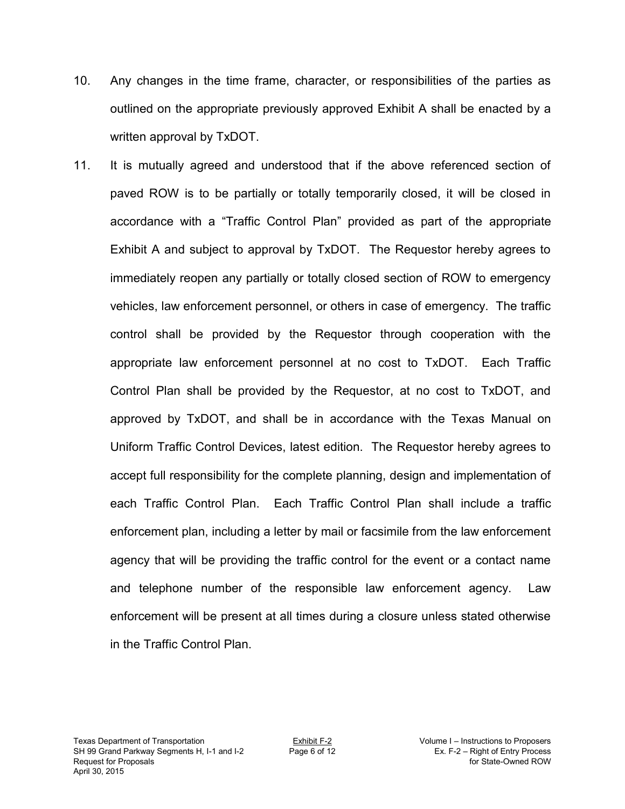- 10. Any changes in the time frame, character, or responsibilities of the parties as outlined on the appropriate previously approved Exhibit A shall be enacted by a written approval by TxDOT.
- 11. It is mutually agreed and understood that if the above referenced section of paved ROW is to be partially or totally temporarily closed, it will be closed in accordance with a "Traffic Control Plan" provided as part of the appropriate Exhibit A and subject to approval by TxDOT. The Requestor hereby agrees to immediately reopen any partially or totally closed section of ROW to emergency vehicles, law enforcement personnel, or others in case of emergency. The traffic control shall be provided by the Requestor through cooperation with the appropriate law enforcement personnel at no cost to TxDOT. Each Traffic Control Plan shall be provided by the Requestor, at no cost to TxDOT, and approved by TxDOT, and shall be in accordance with the Texas Manual on Uniform Traffic Control Devices, latest edition. The Requestor hereby agrees to accept full responsibility for the complete planning, design and implementation of each Traffic Control Plan. Each Traffic Control Plan shall include a traffic enforcement plan, including a letter by mail or facsimile from the law enforcement agency that will be providing the traffic control for the event or a contact name and telephone number of the responsible law enforcement agency. Law enforcement will be present at all times during a closure unless stated otherwise in the Traffic Control Plan.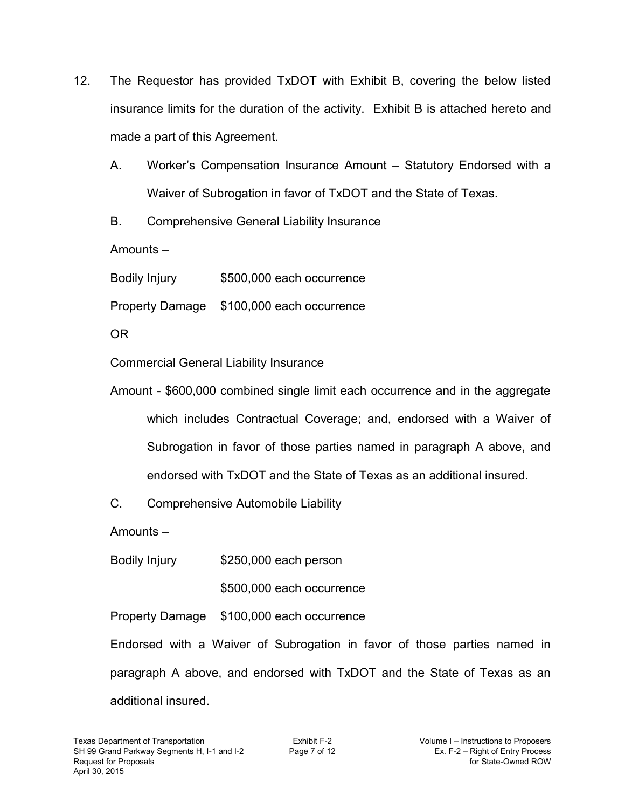- 12. The Requestor has provided TxDOT with Exhibit B, covering the below listed insurance limits for the duration of the activity. Exhibit B is attached hereto and made a part of this Agreement.
	- A. Worker's Compensation Insurance Amount Statutory Endorsed with a Waiver of Subrogation in favor of TxDOT and the State of Texas.
	- B. Comprehensive General Liability Insurance

Amounts –

Bodily Injury \$500,000 each occurrence

Property Damage \$100,000 each occurrence

OR

Commercial General Liability Insurance

Amount - \$600,000 combined single limit each occurrence and in the aggregate which includes Contractual Coverage; and, endorsed with a Waiver of Subrogation in favor of those parties named in paragraph A above, and endorsed with TxDOT and the State of Texas as an additional insured.

C. Comprehensive Automobile Liability

Amounts –

Bodily Injury \$250,000 each person

\$500,000 each occurrence

Property Damage \$100,000 each occurrence

Endorsed with a Waiver of Subrogation in favor of those parties named in paragraph A above, and endorsed with TxDOT and the State of Texas as an additional insured.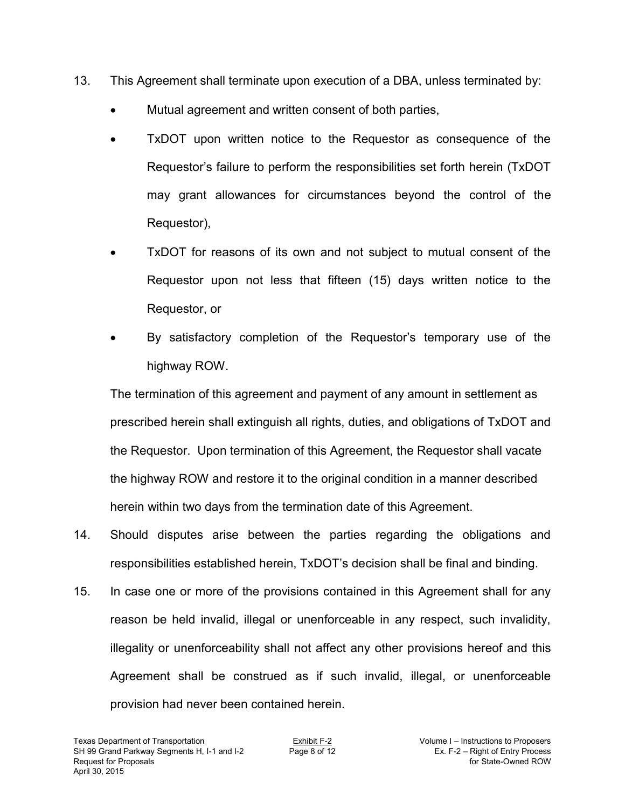- 13. This Agreement shall terminate upon execution of a DBA, unless terminated by:
	- Mutual agreement and written consent of both parties,
	- TxDOT upon written notice to the Requestor as consequence of the Requestor's failure to perform the responsibilities set forth herein (TxDOT may grant allowances for circumstances beyond the control of the Requestor),
	- TxDOT for reasons of its own and not subject to mutual consent of the Requestor upon not less that fifteen (15) days written notice to the Requestor, or
	- By satisfactory completion of the Requestor's temporary use of the highway ROW.

 The termination of this agreement and payment of any amount in settlement as prescribed herein shall extinguish all rights, duties, and obligations of TxDOT and the Requestor. Upon termination of this Agreement, the Requestor shall vacate the highway ROW and restore it to the original condition in a manner described herein within two days from the termination date of this Agreement.

- 14. Should disputes arise between the parties regarding the obligations and responsibilities established herein, TxDOT's decision shall be final and binding.
- 15. In case one or more of the provisions contained in this Agreement shall for any reason be held invalid, illegal or unenforceable in any respect, such invalidity, illegality or unenforceability shall not affect any other provisions hereof and this Agreement shall be construed as if such invalid, illegal, or unenforceable provision had never been contained herein.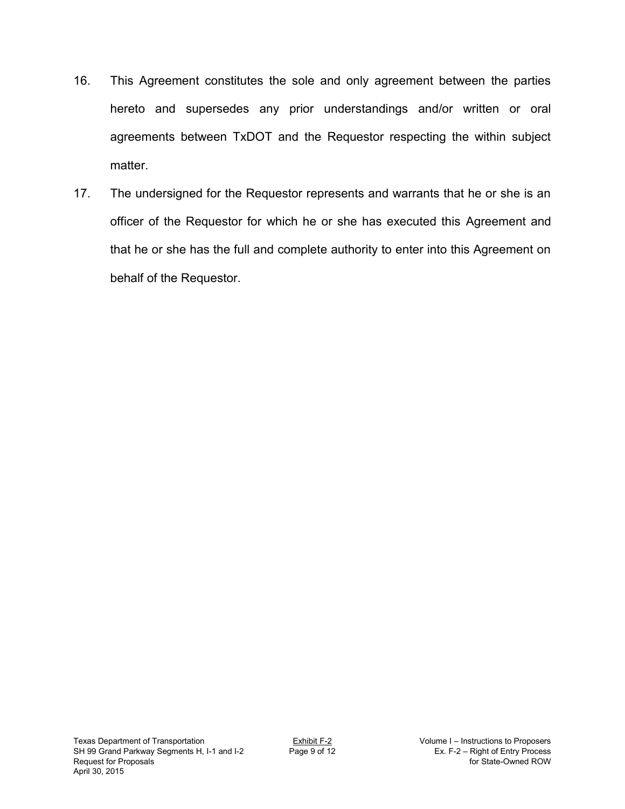- 16. This Agreement constitutes the sole and only agreement between the parties hereto and supersedes any prior understandings and/or written or oral agreements between TxDOT and the Requestor respecting the within subject matter.
- 17. The undersigned for the Requestor represents and warrants that he or she is an officer of the Requestor for which he or she has executed this Agreement and that he or she has the full and complete authority to enter into this Agreement on behalf of the Requestor.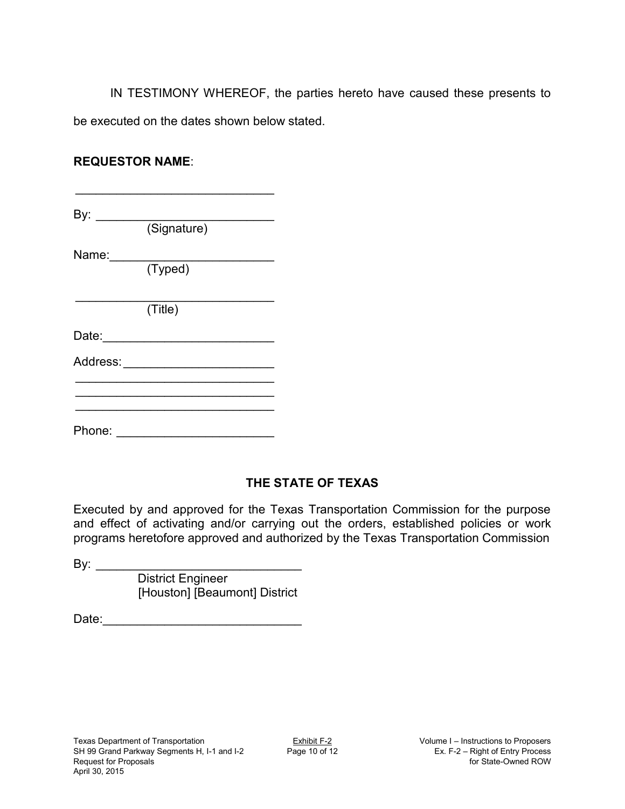IN TESTIMONY WHEREOF, the parties hereto have caused these presents to be executed on the dates shown below stated.

## **REQUESTOR NAME**:

By: \_\_\_\_\_\_\_\_\_\_\_\_\_\_\_\_\_\_\_\_\_\_\_\_\_\_ (Signature)

\_\_\_\_\_\_\_\_\_\_\_\_\_\_\_\_\_\_\_\_\_\_\_\_\_\_\_\_\_

Name: \_\_\_\_\_\_\_\_\_\_\_\_\_\_\_\_\_\_\_\_\_\_\_\_

(Typed)

 $\_$ (Title)

Date: \_\_\_\_\_\_\_\_\_\_\_\_\_\_\_\_\_\_\_\_\_\_\_\_\_

Address: **and a set of the set of the set of the set of the set of the set of the set of the set of the set of the set of the set of the set of the set of the set of the set of the set of the set of the set of the set of t** 

Phone: \_\_\_\_\_\_\_\_\_\_\_\_\_\_\_\_\_\_\_\_\_\_\_

 $\_$  $\_$ \_\_\_\_\_\_\_\_\_\_\_\_\_\_\_\_\_\_\_\_\_\_\_\_\_\_\_\_\_

## **THE STATE OF TEXAS**

Executed by and approved for the Texas Transportation Commission for the purpose and effect of activating and/or carrying out the orders, established policies or work programs heretofore approved and authorized by the Texas Transportation Commission

By: \_\_\_\_\_\_\_\_\_\_\_\_\_\_\_\_\_\_\_\_\_\_\_\_\_\_\_\_\_\_ District Engineer [Houston] [Beaumont] District

Date: \_\_\_\_\_\_\_\_\_\_\_\_\_\_\_\_\_\_\_\_\_\_\_\_\_\_\_\_\_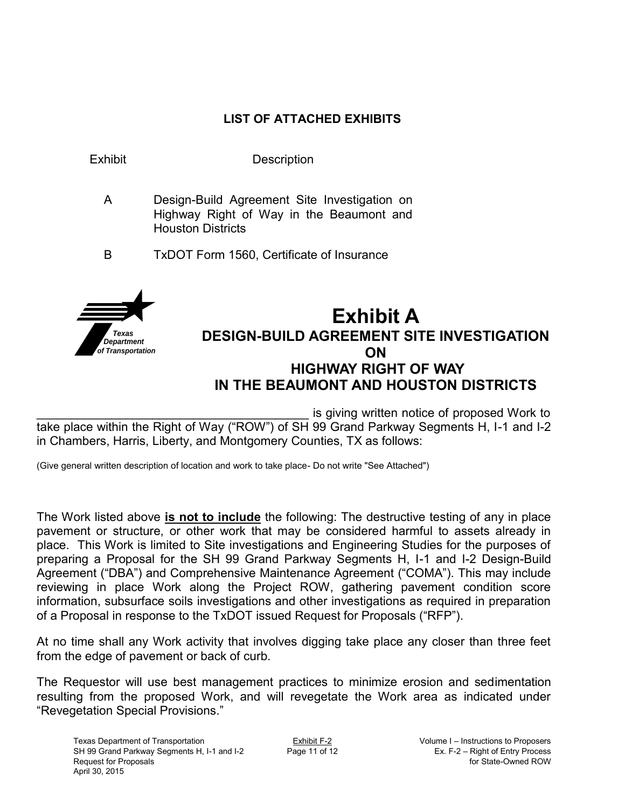## **LIST OF ATTACHED EXHIBITS**



\_\_\_\_\_\_\_\_\_\_\_\_\_\_\_\_\_\_\_\_\_\_\_\_\_\_\_\_\_\_\_\_\_\_\_\_\_\_\_\_ is giving written notice of proposed Work to take place within the Right of Way ("ROW") of SH 99 Grand Parkway Segments H, I-1 and I-2 in Chambers, Harris, Liberty, and Montgomery Counties, TX as follows:

(Give general written description of location and work to take place- Do not write "See Attached")

The Work listed above **is not to include** the following: The destructive testing of any in place pavement or structure, or other work that may be considered harmful to assets already in place. This Work is limited to Site investigations and Engineering Studies for the purposes of preparing a Proposal for the SH 99 Grand Parkway Segments H, I-1 and I-2 Design-Build Agreement ("DBA") and Comprehensive Maintenance Agreement ("COMA"). This may include reviewing in place Work along the Project ROW, gathering pavement condition score information, subsurface soils investigations and other investigations as required in preparation of a Proposal in response to the TxDOT issued Request for Proposals ("RFP").

At no time shall any Work activity that involves digging take place any closer than three feet from the edge of pavement or back of curb.

The Requestor will use best management practices to minimize erosion and sedimentation resulting from the proposed Work, and will revegetate the Work area as indicated under "Revegetation Special Provisions."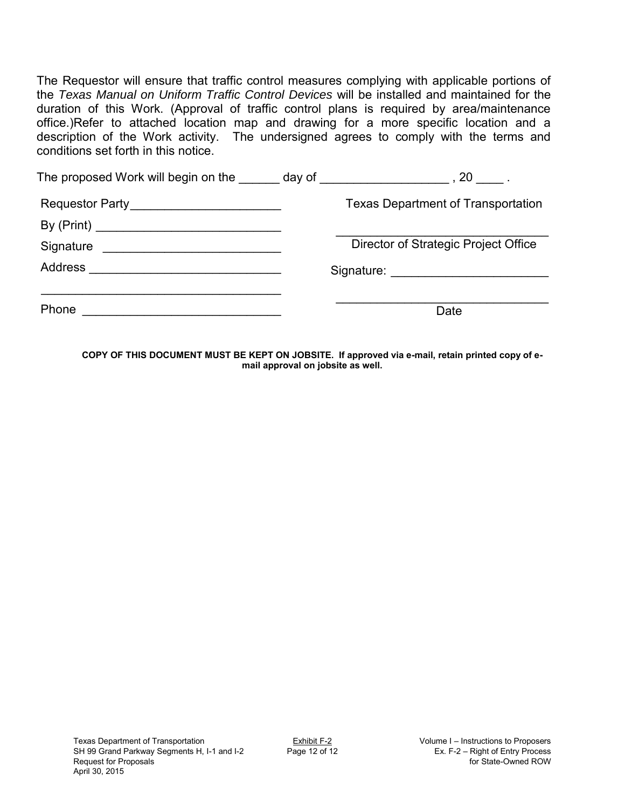The Requestor will ensure that traffic control measures complying with applicable portions of the *Texas Manual on Uniform Traffic Control Devices* will be installed and maintained for the duration of this Work. (Approval of traffic control plans is required by area/maintenance office.)Refer to attached location map and drawing for a more specific location and a description of the Work activity. The undersigned agrees to comply with the terms and conditions set forth in this notice.

| The proposed Work will begin on the day of the state of the state of the state of the state of the state of the |                                                     |
|-----------------------------------------------------------------------------------------------------------------|-----------------------------------------------------|
|                                                                                                                 | <b>Texas Department of Transportation</b>           |
|                                                                                                                 |                                                     |
|                                                                                                                 | Director of Strategic Project Office                |
|                                                                                                                 | Signature: <u>_________________________________</u> |
|                                                                                                                 |                                                     |
| Phone                                                                                                           | Date                                                |

**COPY OF THIS DOCUMENT MUST BE KEPT ON JOBSITE. If approved via e-mail, retain printed copy of email approval on jobsite as well.**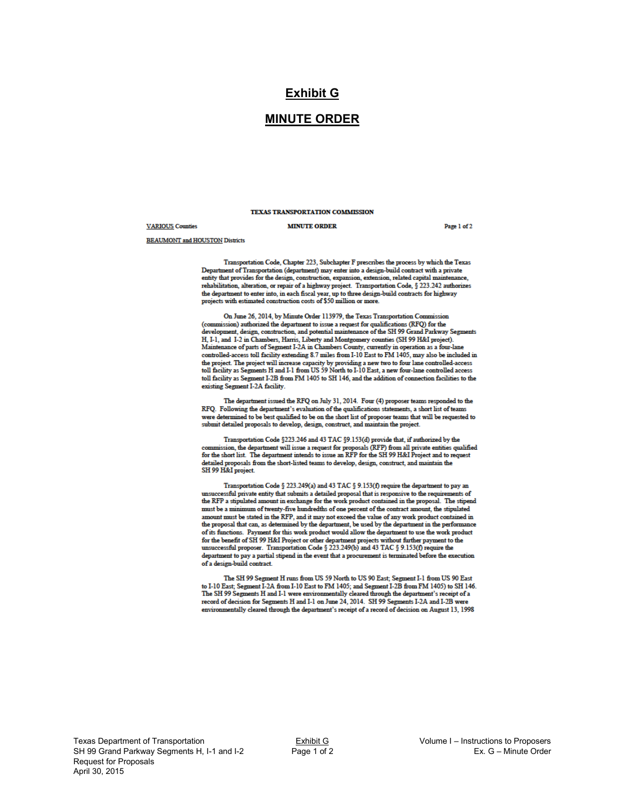#### **Exhibit G**

#### **MINUTE ORDER**

#### TEXAS TRANSPORTATION COMMISSION

#### **VARIOUS** Counties

#### **MINUTE ORDER**

Page 1 of 2

**BEAUMONT** and HOUSTON Districts

Transportation Code, Chapter 223, Subchapter F prescribes the process by which the Texas Department of Transportation (department) may enter into a design-build contract with a private entity that provides for the design, construction, expansion, extension, related capital maintenance, rehabilitation, alteration, or repair of a highway project. Transportation Code, § 223.242 authorizes removements, and each mean or a magnety project. Transportance code,  $\frac{1}{3}$  and the department to enter into, in each fiscal year, up to three design-build contracts for highway projects with estimated construction cos

On June 26, 2014, by Minute Order 113979, the Texas Transportation Commission (commission) authorized the department to issue a request for qualifications (RFQ) for the development, design, construction, and potential maintenance of the SH 99 Grand Parkway Segments H, I-1, and I-2 in Chambers, Harris, Liberty and Montgomery counties (SH 99 H&I project). Maintenance of parts of Segment I-2A in Chambers County, currently in operation as a four-lane controlled-access toll facility extending 8.7 miles from I-10 East to FM 1405, may also be included in the project. The project will increase capacity by providing a new two to four lane controlled-access<br>toll facility as Segments H and I-1 from US 59 North to I-10 East, a new four-lane controlled access toll facility as Segment I-2B from FM 1405 to SH 146, and the addition of connection facilities to the existing Segment I-2A facility.

The department issued the RFQ on July 31, 2014. Four (4) proposer teams responded to the RFQ. Following the department's evaluation of the qualifications statements, a short list of teams were determined to be best qualified to be on the short list of proposer teams that will be requested to submit detailed proposals to develop, design, construct, and maintain the project.

Transportation Code §223.246 and 43 TAC §9.153(d) provide that, if authorized by the commission, the department will issue a request for proposals (RFP) from all private entities qualified<br>for the short list. The department intends to issue an RFP for the SH 99 H&I Project and to request detailed proposals from the short-listed teams to develop, design, construct, and maintain the SH 99 H&I project

Transportation Code § 223.249(a) and 43 TAC § 9.153(f) require the department to pay an cessful private entity that submits a detailed proposal that is responsive to the requirements of the RFP a stipulated amount in exchange for the work product contained in the proposal. The stipend must be a minimum of twenty-five hundredths of one percent of the contract amount, the stipulated amount must be stated in the RFP, and it may not exceed the value of any work product contained in the proposal that can, as determined by the department, be used by the department in the performance of its functions. Payment for this work product would allow the department to use the work product So the benefit of SH 99 H&I Project or other department projects without further payment to the form the benefit of SH 99 H&I Project or other department projects without further payment to the unsuccessful proposer. Tran department to pay a partial stipend in the event that a procurement is terminated before the execution of a design-build contract.

The SH 99 Segment H runs from US 59 North to US 90 East; Segment I-1 from US 90 East to I-10 East; Segment I-2A from I-10 East to FM 1405; and Segment I-2B from FM 1405) to SH 146. The SH 99 Segments H and I-1 were environmentally cleared through the department's receipt of a record of decision for Segments H and I-1 on June 24, 2014. SH 99 Segments I-2A and I-2B were environmentally cleared through the department's receipt of a record of decision on August 13, 1998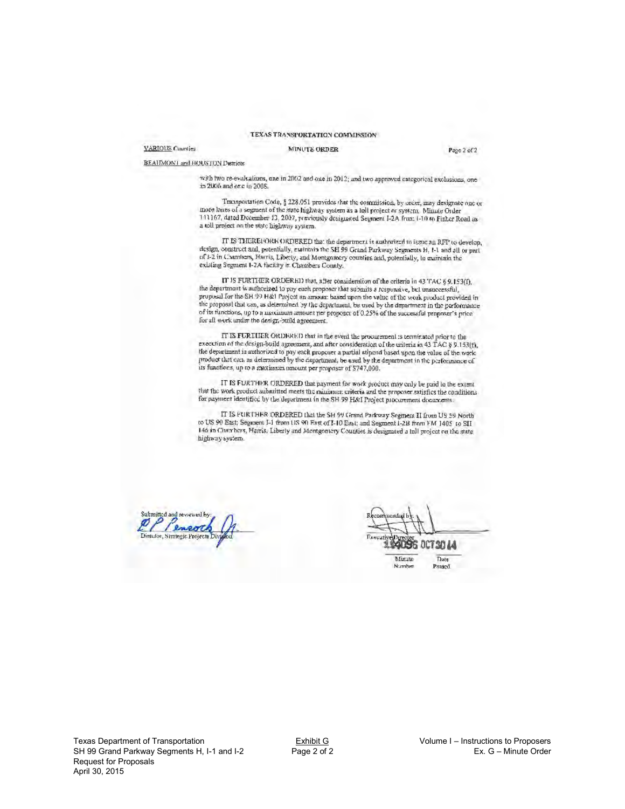#### TEXAS TRANSPORTATION COMMISSION

#### VARIOUS Counties

#### **MINUTE ORDER**

Page 2 of 2

BEAIIMONT and HOUSTON Districts

with two re-evaluations, one in 2002 and one in 2012; and two approved eategorical exclusions, one in 2006 and one in 2008.

Transportation Code, § 228.051 provides that the commission, by order, may designate one or more lanes of a segment of the state highway system as a foll project or system. Minute Order 111167, dated Docember 13, 2007, previously designated Segment I-2A from 1-10 to Fisher Road as a toll project on the state highway system.

IT IS THEREFORK ORDERED that the department is authorized to issue an RFP to develop, design, construct and, potentially, customate SH 99 Grand Parkway Segments H, 1-1 and all or parl ocsigit, construct ann, potentially, elaminon me Sri 99 Grand Parkway Segments H, 1-1 and all of 1-2 in Chambers, Harris, Liberty, and Montgomery counties and, potentially, to maintain the existing Segment I-2A facility in Chambers County.

IT IS FURTHER ORDERED that, after consideration of the criteria in 43 TAC § 9.153(I), the department is authorized to pay each proposer that submits a responsive, but unsuccessful, proposal for the SH 99 H&1 Project an amount based upon the value of the work product provided in the proposal that can, as determined by the department, be used by the department in the performance of its functions, up to a maximum amount per proposer of 0.25% of the successful proposer's price for all work under the design-build agreement.

IT IS FURTHER ORDERED that in the event the procurement is terminated prior to the execution of the design-build agreement, and after consideration of the uniteria in 43 TAC § 9.153(f), the department is authorized to pay each proposer a partial stipend based upon the value of the work<br>product that can, as determined by the department, be used by the department in the performance of its functions, up to a maximum neount per proposer of \$747,000.

IT IS FURTHER ORDERED that payment for work product may only be paid to the extent that the work product submitted meets the minimum criteria and the proposer satisfies the conditions for payment identified by the department in the SH 99 H&I Project procurement documents.

IT IS FURTHER ORDERED that the SH 99 Grand Parkway Segment II from US 59 North to US 90 East; Segment I-1 from US 90 East of I-10 East; and Segment I-2B from FM 1405 to SII 146 in Chambers, Harris, Liberty and Montgomery Counties is designated a full project on the state highway system.

Submitted and reviewed b eneve Director, Strategic Projec

30 M Thate

Passed

Minute Number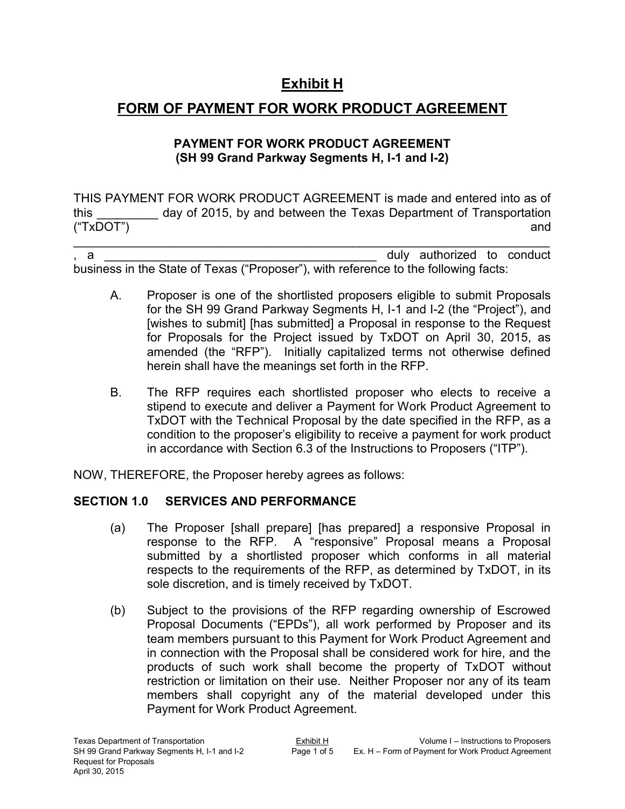# **Exhibit H**

# **FORM OF PAYMENT FOR WORK PRODUCT AGREEMENT**

## **PAYMENT FOR WORK PRODUCT AGREEMENT (SH 99 Grand Parkway Segments H, I-1 and I-2)**

THIS PAYMENT FOR WORK PRODUCT AGREEMENT is made and entered into as of this day of 2015, by and between the Texas Department of Transportation ("TxDOT") and

 $\mathcal{L}_\text{max}$  , and the contribution of the contribution of the contribution of the contribution of the contribution of the contribution of the contribution of the contribution of the contribution of the contribution of t a and the state of the state of the state of the state of the state of the state of the state of the state of the state of the state of the state of the state of the state of the state of the state of the state of the stat business in the State of Texas ("Proposer"), with reference to the following facts:

- A. Proposer is one of the shortlisted proposers eligible to submit Proposals for the SH 99 Grand Parkway Segments H, I-1 and I-2 (the "Project"), and [wishes to submit] [has submitted] a Proposal in response to the Request for Proposals for the Project issued by TxDOT on April 30, 2015, as amended (the "RFP"). Initially capitalized terms not otherwise defined herein shall have the meanings set forth in the RFP.
- B. The RFP requires each shortlisted proposer who elects to receive a stipend to execute and deliver a Payment for Work Product Agreement to TxDOT with the Technical Proposal by the date specified in the RFP, as a condition to the proposer's eligibility to receive a payment for work product in accordance with Section 6.3 of the Instructions to Proposers ("ITP").

NOW, THEREFORE, the Proposer hereby agrees as follows:

## **SECTION 1.0 SERVICES AND PERFORMANCE**

- (a) The Proposer [shall prepare] [has prepared] a responsive Proposal in response to the RFP. A "responsive" Proposal means a Proposal submitted by a shortlisted proposer which conforms in all material respects to the requirements of the RFP, as determined by TxDOT, in its sole discretion, and is timely received by TxDOT.
- (b) Subject to the provisions of the RFP regarding ownership of Escrowed Proposal Documents ("EPDs"), all work performed by Proposer and its team members pursuant to this Payment for Work Product Agreement and in connection with the Proposal shall be considered work for hire, and the products of such work shall become the property of TxDOT without restriction or limitation on their use. Neither Proposer nor any of its team members shall copyright any of the material developed under this Payment for Work Product Agreement.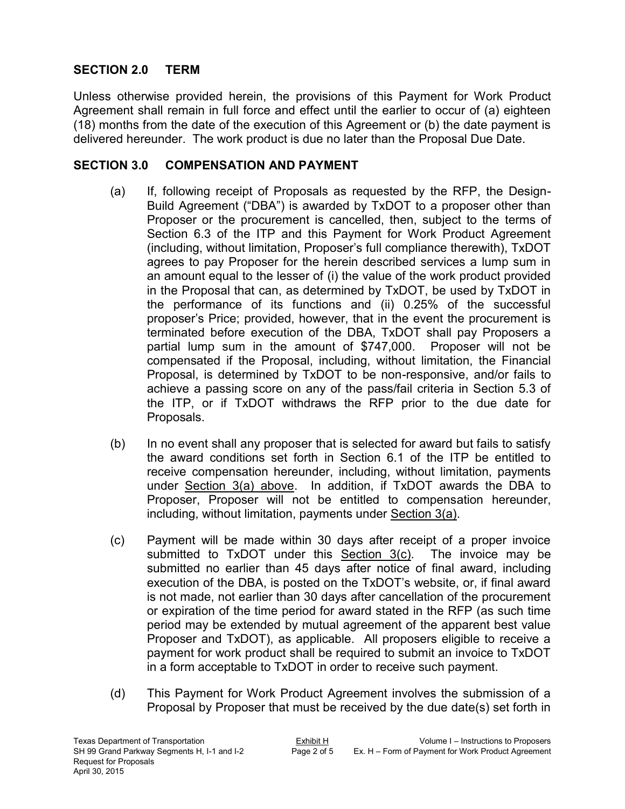## **SECTION 2.0 TERM**

Unless otherwise provided herein, the provisions of this Payment for Work Product Agreement shall remain in full force and effect until the earlier to occur of (a) eighteen (18) months from the date of the execution of this Agreement or (b) the date payment is delivered hereunder. The work product is due no later than the Proposal Due Date.

#### **SECTION 3.0 COMPENSATION AND PAYMENT**

- (a) If, following receipt of Proposals as requested by the RFP, the Design-Build Agreement ("DBA") is awarded by TxDOT to a proposer other than Proposer or the procurement is cancelled, then, subject to the terms of Section 6.3 of the ITP and this Payment for Work Product Agreement (including, without limitation, Proposer's full compliance therewith), TxDOT agrees to pay Proposer for the herein described services a lump sum in an amount equal to the lesser of (i) the value of the work product provided in the Proposal that can, as determined by TxDOT, be used by TxDOT in the performance of its functions and (ii) 0.25% of the successful proposer's Price; provided, however, that in the event the procurement is terminated before execution of the DBA, TxDOT shall pay Proposers a partial lump sum in the amount of \$747,000. Proposer will not be compensated if the Proposal, including, without limitation, the Financial Proposal, is determined by TxDOT to be non-responsive, and/or fails to achieve a passing score on any of the pass/fail criteria in Section 5.3 of the ITP, or if TxDOT withdraws the RFP prior to the due date for Proposals.
- (b) In no event shall any proposer that is selected for award but fails to satisfy the award conditions set forth in Section 6.1 of the ITP be entitled to receive compensation hereunder, including, without limitation, payments under Section 3(a) above. In addition, if TxDOT awards the DBA to Proposer, Proposer will not be entitled to compensation hereunder, including, without limitation, payments under Section 3(a).
- (c) Payment will be made within 30 days after receipt of a proper invoice submitted to TxDOT under this Section 3(c). The invoice may be submitted no earlier than 45 days after notice of final award, including execution of the DBA, is posted on the TxDOT's website, or, if final award is not made, not earlier than 30 days after cancellation of the procurement or expiration of the time period for award stated in the RFP (as such time period may be extended by mutual agreement of the apparent best value Proposer and TxDOT), as applicable. All proposers eligible to receive a payment for work product shall be required to submit an invoice to TxDOT in a form acceptable to TxDOT in order to receive such payment.
- (d) This Payment for Work Product Agreement involves the submission of a Proposal by Proposer that must be received by the due date(s) set forth in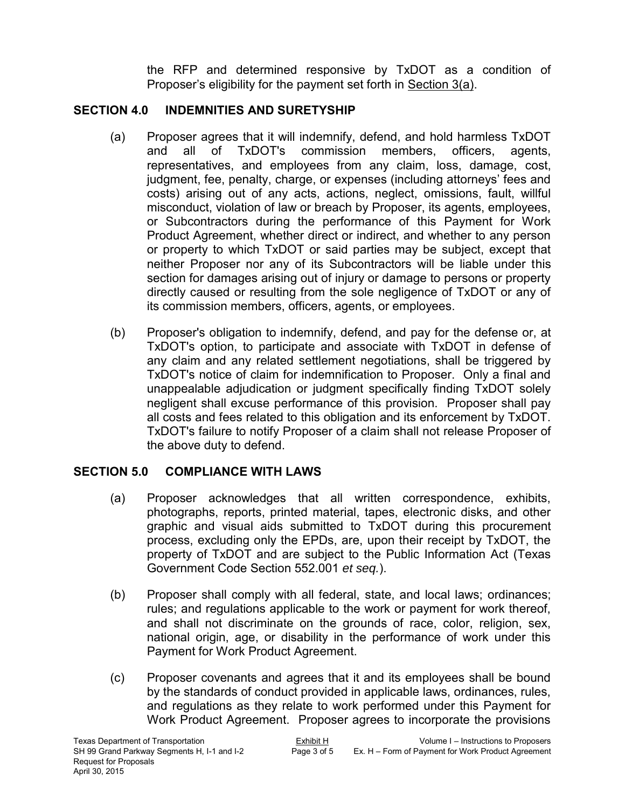the RFP and determined responsive by TxDOT as a condition of Proposer's eligibility for the payment set forth in Section 3(a).

#### **SECTION 4.0 INDEMNITIES AND SURETYSHIP**

- (a) Proposer agrees that it will indemnify, defend, and hold harmless TxDOT and all of TxDOT's commission members, officers, agents, representatives, and employees from any claim, loss, damage, cost, judgment, fee, penalty, charge, or expenses (including attorneys' fees and costs) arising out of any acts, actions, neglect, omissions, fault, willful misconduct, violation of law or breach by Proposer, its agents, employees, or Subcontractors during the performance of this Payment for Work Product Agreement, whether direct or indirect, and whether to any person or property to which TxDOT or said parties may be subject, except that neither Proposer nor any of its Subcontractors will be liable under this section for damages arising out of injury or damage to persons or property directly caused or resulting from the sole negligence of TxDOT or any of its commission members, officers, agents, or employees.
- (b) Proposer's obligation to indemnify, defend, and pay for the defense or, at TxDOT's option, to participate and associate with TxDOT in defense of any claim and any related settlement negotiations, shall be triggered by TxDOT's notice of claim for indemnification to Proposer. Only a final and unappealable adjudication or judgment specifically finding TxDOT solely negligent shall excuse performance of this provision. Proposer shall pay all costs and fees related to this obligation and its enforcement by TxDOT. TxDOT's failure to notify Proposer of a claim shall not release Proposer of the above duty to defend.

## **SECTION 5.0 COMPLIANCE WITH LAWS**

- (a) Proposer acknowledges that all written correspondence, exhibits, photographs, reports, printed material, tapes, electronic disks, and other graphic and visual aids submitted to TxDOT during this procurement process, excluding only the EPDs, are, upon their receipt by TxDOT, the property of TxDOT and are subject to the Public Information Act (Texas Government Code Section 552.001 *et seq.*).
- (b) Proposer shall comply with all federal, state, and local laws; ordinances; rules; and regulations applicable to the work or payment for work thereof, and shall not discriminate on the grounds of race, color, religion, sex, national origin, age, or disability in the performance of work under this Payment for Work Product Agreement.
- (c) Proposer covenants and agrees that it and its employees shall be bound by the standards of conduct provided in applicable laws, ordinances, rules, and regulations as they relate to work performed under this Payment for Work Product Agreement. Proposer agrees to incorporate the provisions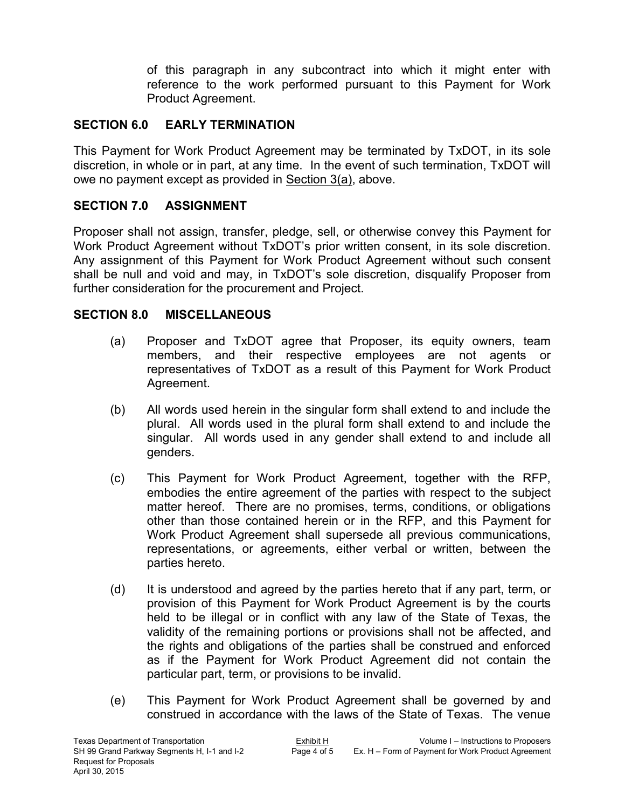of this paragraph in any subcontract into which it might enter with reference to the work performed pursuant to this Payment for Work Product Agreement.

#### **SECTION 6.0 EARLY TERMINATION**

This Payment for Work Product Agreement may be terminated by TxDOT, in its sole discretion, in whole or in part, at any time. In the event of such termination, TxDOT will owe no payment except as provided in Section 3(a), above.

#### **SECTION 7.0 ASSIGNMENT**

Proposer shall not assign, transfer, pledge, sell, or otherwise convey this Payment for Work Product Agreement without TxDOT's prior written consent, in its sole discretion. Any assignment of this Payment for Work Product Agreement without such consent shall be null and void and may, in TxDOT's sole discretion, disqualify Proposer from further consideration for the procurement and Project.

#### **SECTION 8.0 MISCELLANEOUS**

- (a) Proposer and TxDOT agree that Proposer, its equity owners, team members, and their respective employees are not agents or representatives of TxDOT as a result of this Payment for Work Product Agreement.
- (b) All words used herein in the singular form shall extend to and include the plural. All words used in the plural form shall extend to and include the singular. All words used in any gender shall extend to and include all genders.
- (c) This Payment for Work Product Agreement, together with the RFP, embodies the entire agreement of the parties with respect to the subject matter hereof. There are no promises, terms, conditions, or obligations other than those contained herein or in the RFP, and this Payment for Work Product Agreement shall supersede all previous communications, representations, or agreements, either verbal or written, between the parties hereto.
- (d) It is understood and agreed by the parties hereto that if any part, term, or provision of this Payment for Work Product Agreement is by the courts held to be illegal or in conflict with any law of the State of Texas, the validity of the remaining portions or provisions shall not be affected, and the rights and obligations of the parties shall be construed and enforced as if the Payment for Work Product Agreement did not contain the particular part, term, or provisions to be invalid.
- (e) This Payment for Work Product Agreement shall be governed by and construed in accordance with the laws of the State of Texas. The venue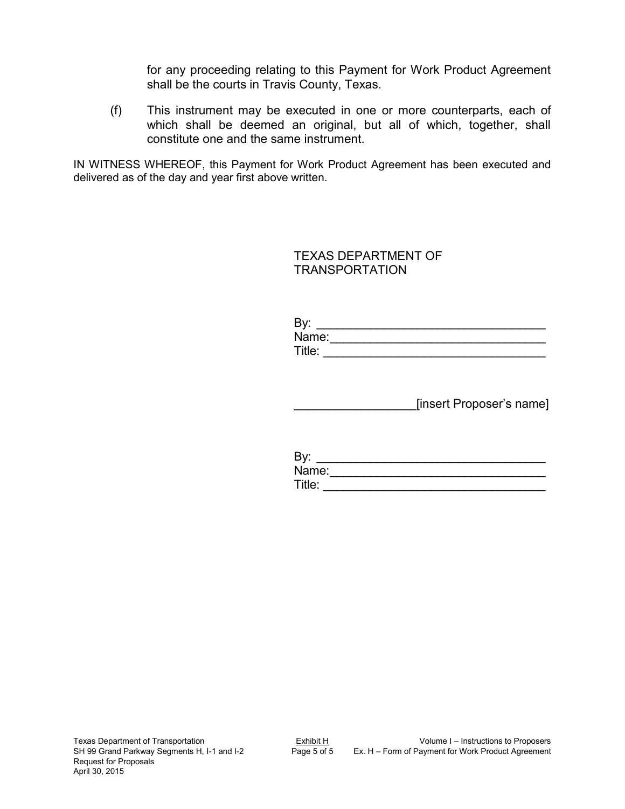for any proceeding relating to this Payment for Work Product Agreement shall be the courts in Travis County, Texas.

(f) This instrument may be executed in one or more counterparts, each of which shall be deemed an original, but all of which, together, shall constitute one and the same instrument.

IN WITNESS WHEREOF, this Payment for Work Product Agreement has been executed and delivered as of the day and year first above written.

> TEXAS DEPARTMENT OF TRANSPORTATION

| By:    |  |
|--------|--|
| Name:  |  |
| Title: |  |

\_\_\_\_\_\_\_\_\_\_\_\_\_\_\_\_\_\_[insert Proposer's name]

| By:    |  |  |  |
|--------|--|--|--|
| Name:  |  |  |  |
| Title: |  |  |  |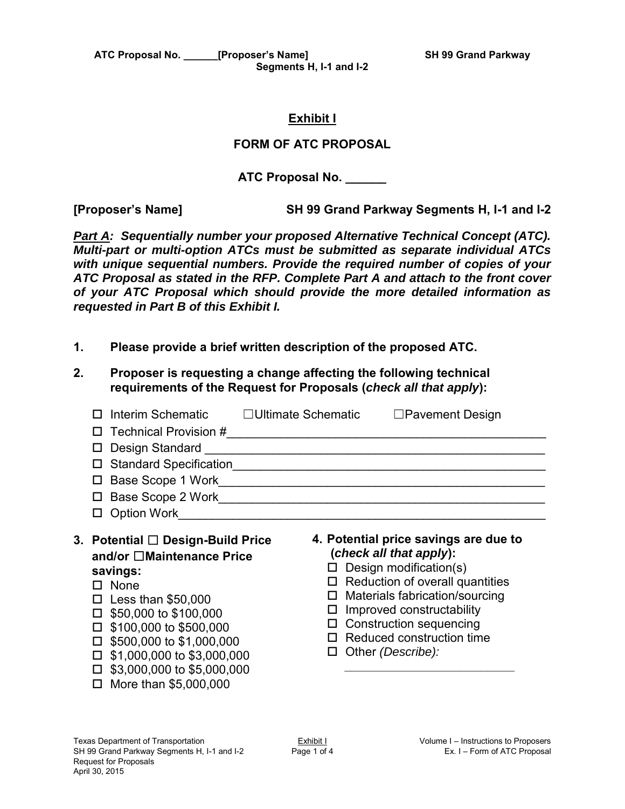**ATC Proposal No. \_\_\_\_\_\_[Proposer's Name] SH 99 Grand Parkway Segments H, I-1 and I-2** 

#### **Exhibit I**

#### **FORM OF ATC PROPOSAL**

**ATC Proposal No. \_\_\_\_\_\_** 

**[Proposer's Name] SH 99 Grand Parkway Segments H, I-1 and I-2** 

*Part A: Sequentially number your proposed Alternative Technical Concept (ATC). Multi-part or multi-option ATCs must be submitted as separate individual ATCs with unique sequential numbers. Provide the required number of copies of your ATC Proposal as stated in the RFP. Complete Part A and attach to the front cover of your ATC Proposal which should provide the more detailed information as requested in Part B of this Exhibit I.* 

- **1. Please provide a brief written description of the proposed ATC.**
- **2. Proposer is requesting a change affecting the following technical requirements of the Request for Proposals (***check all that apply***):**

| Interim Schematic<br>Technical Provision #<br>$\mathsf{L}$<br>Design Standard<br><b>Standard Specification</b><br>Base Scope 1 Work<br>П<br>Base Scope 2 Work<br><b>Option Work</b> | $\Box$ Ultimate Schematic<br>$\Box$ Pavement Design |
|-------------------------------------------------------------------------------------------------------------------------------------------------------------------------------------|-----------------------------------------------------|
| Potential □ Design-Build Price                                                                                                                                                      | 4. Potential price savings are due to               |
| 3.                                                                                                                                                                                  | (check all that apply):                             |
| and/or □Maintenance Price                                                                                                                                                           | Design modification(s)                              |
| savings:                                                                                                                                                                            | Reduction of overall quantities                     |
| None                                                                                                                                                                                | □                                                   |
| П                                                                                                                                                                                   | Materials fabrication/sourcing                      |
| Less than \$50,000                                                                                                                                                                  | ⊔                                                   |
| \$50,000 to \$100,000                                                                                                                                                               | Improved constructability                           |
| \$100,000 to \$500,000                                                                                                                                                              | ш                                                   |
| \$500,000 to \$1,000,000                                                                                                                                                            | <b>Construction sequencing</b>                      |
| П                                                                                                                                                                                   | ⊔                                                   |
| \$1,000,000 to \$3,000,000                                                                                                                                                          | Reduced construction time                           |
| \$3,000,000 to \$5,000,000                                                                                                                                                          | Other (Describe):                                   |
| More than \$5,000,000                                                                                                                                                               | $\Box$                                              |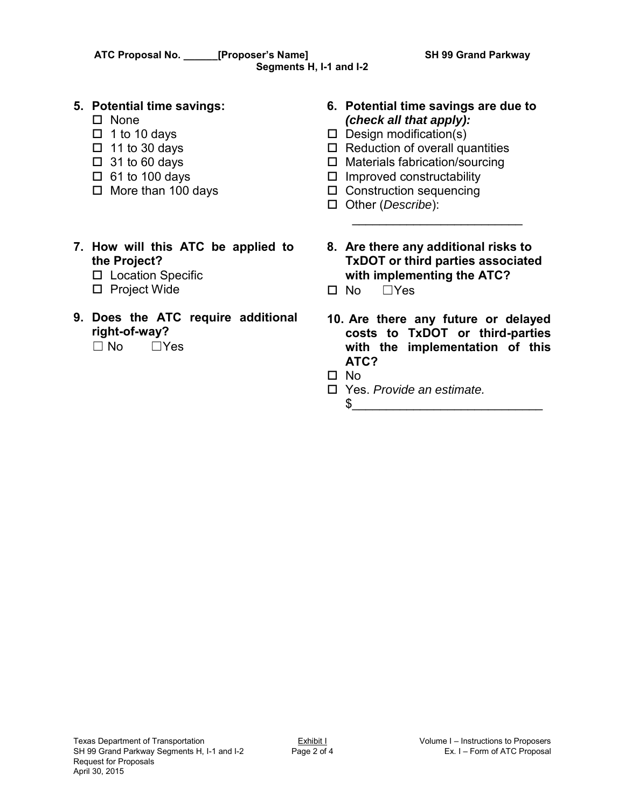#### **5. Potential time savings:**

- $\square$  None
- $\Box$  1 to 10 days
- $\Box$  11 to 30 days
- $\Box$  31 to 60 days
- $\Box$  61 to 100 days
- $\Box$  More than 100 days
- **6. Potential time savings are due to**  *(check all that apply):*
- $\square$  Design modification(s)
- $\Box$  Reduction of overall quantities
- $\Box$  Materials fabrication/sourcing
- $\square$  Improved constructability
- $\square$  Construction sequencing
- Other (*Describe*):
- **7. How will this ATC be applied to the Project?** 
	- □ Location Specific
	- □ Project Wide
- **9. Does the ATC require additional right-of-way?**  $\Box$  No  $\Box$  Yes
- **8. Are there any additional risks to TxDOT or third parties associated with implementing the ATC?**

 $\overline{\phantom{a}}$  , where the contract of the contract of the contract of the contract of the contract of the contract of the contract of the contract of the contract of the contract of the contract of the contract of the contr

- $\Box$  No  $\Box$  Yes
- **10. Are there any future or delayed costs to TxDOT or third-parties with the implementation of this ATC?**

 $\frac{1}{2}$ 

- $\Box$  No
- Yes. *Provide an estimate.*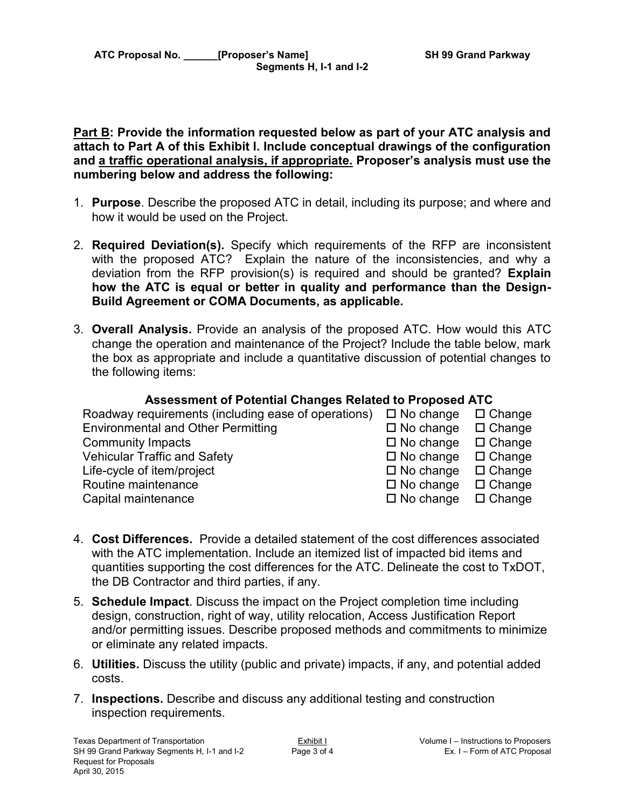#### **Part B: Provide the information requested below as part of your ATC analysis and attach to Part A of this Exhibit I. Include conceptual drawings of the configuration and a traffic operational analysis, if appropriate. Proposer's analysis must use the numbering below and address the following:**

- 1. **Purpose**. Describe the proposed ATC in detail, including its purpose; and where and how it would be used on the Project.
- 2. **Required Deviation(s).** Specify which requirements of the RFP are inconsistent with the proposed ATC? Explain the nature of the inconsistencies, and why a deviation from the RFP provision(s) is required and should be granted? **Explain how the ATC is equal or better in quality and performance than the Design-Build Agreement or COMA Documents, as applicable.**
- 3. **Overall Analysis.** Provide an analysis of the proposed ATC. How would this ATC change the operation and maintenance of the Project? Include the table below, mark the box as appropriate and include a quantitative discussion of potential changes to the following items:

## **Assessment of Potential Changes Related to Proposed ATC**

| Roadway requirements (including ease of operations) $\Box$ No change | $\Box$ Change<br>$\Box$ Change |
|----------------------------------------------------------------------|--------------------------------|
| $\Box$ No change                                                     | $\Box$ Change                  |
| $\square$ No change                                                  | $\Box$ Change                  |
| $\Box$ No change                                                     | $\Box$ Change                  |
| $\square$ No change                                                  | $\Box$ Change                  |
| $\square$ No change                                                  | $\Box$ Change                  |
|                                                                      | $\Box$ No change               |

- 4. **Cost Differences.** Provide a detailed statement of the cost differences associated with the ATC implementation. Include an itemized list of impacted bid items and quantities supporting the cost differences for the ATC. Delineate the cost to TxDOT, the DB Contractor and third parties, if any.
- 5. **Schedule Impact**. Discuss the impact on the Project completion time including design, construction, right of way, utility relocation, Access Justification Report and/or permitting issues. Describe proposed methods and commitments to minimize or eliminate any related impacts.
- 6. **Utilities.** Discuss the utility (public and private) impacts, if any, and potential added costs.
- 7. **Inspections.** Describe and discuss any additional testing and construction inspection requirements.